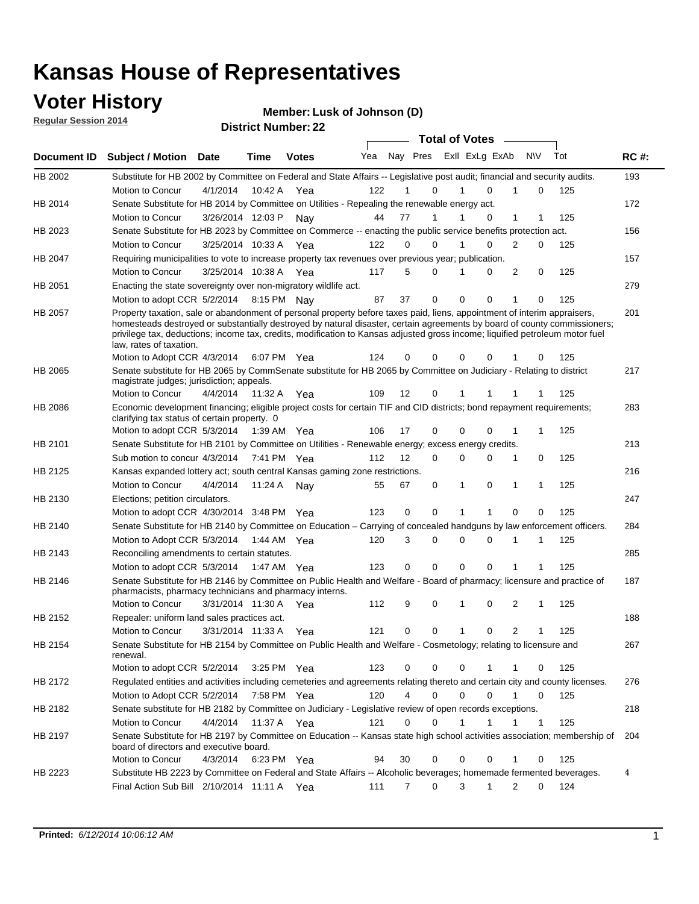### **Voter History**

**Regular Session 2014**

#### **Member: Lusk of Johnson (D)**

|                |                                                                                                                                                                                                                                                                                                                                                                                                                  |                       |             | <b>DISUILLINUIIINGI. ZZ</b> |     |                |                               | <b>Total of Votes</b> |              |                |             |     |             |
|----------------|------------------------------------------------------------------------------------------------------------------------------------------------------------------------------------------------------------------------------------------------------------------------------------------------------------------------------------------------------------------------------------------------------------------|-----------------------|-------------|-----------------------------|-----|----------------|-------------------------------|-----------------------|--------------|----------------|-------------|-----|-------------|
| Document ID    | <b>Subject / Motion Date</b>                                                                                                                                                                                                                                                                                                                                                                                     |                       | Time        | <b>Votes</b>                | Yea |                | Nay Pres Exll ExLg ExAb       |                       |              | <b>NV</b>      |             | Tot | <b>RC#:</b> |
| HB 2002        | Substitute for HB 2002 by Committee on Federal and State Affairs -- Legislative post audit; financial and security audits.                                                                                                                                                                                                                                                                                       |                       |             |                             |     |                |                               |                       |              |                |             |     | 193         |
|                | Motion to Concur                                                                                                                                                                                                                                                                                                                                                                                                 | 4/1/2014              | 10:42 A     | Yea                         | 122 |                | 0                             |                       | $\Omega$     | 1              | 0           | 125 |             |
| HB 2014        | Senate Substitute for HB 2014 by Committee on Utilities - Repealing the renewable energy act.                                                                                                                                                                                                                                                                                                                    |                       |             |                             |     |                |                               |                       |              |                |             |     | 172         |
|                | Motion to Concur                                                                                                                                                                                                                                                                                                                                                                                                 | 3/26/2014 12:03 P Nay |             |                             | 44  | 77             | 1                             |                       | $\Omega$     | 1              | 1           | 125 |             |
| HB 2023        | Senate Substitute for HB 2023 by Committee on Commerce -- enacting the public service benefits protection act.                                                                                                                                                                                                                                                                                                   |                       |             |                             |     |                |                               |                       |              |                |             |     | 156         |
|                | Motion to Concur                                                                                                                                                                                                                                                                                                                                                                                                 | 3/25/2014 10:33 A Yea |             |                             | 122 | 0              | 0                             |                       | 0            | 2              | 0           | 125 |             |
| HB 2047        | Requiring municipalities to vote to increase property tax revenues over previous year; publication.                                                                                                                                                                                                                                                                                                              |                       |             |                             |     |                |                               |                       |              |                |             |     | 157         |
|                | Motion to Concur                                                                                                                                                                                                                                                                                                                                                                                                 | 3/25/2014 10:38 A Yea |             |                             | 117 | 5              | 0                             |                       | 0            | 2              | 0           | 125 |             |
| HB 2051        | Enacting the state sovereignty over non-migratory wildlife act.                                                                                                                                                                                                                                                                                                                                                  |                       |             |                             |     |                |                               |                       |              |                |             |     | 279         |
|                | Motion to adopt CCR 5/2/2014 8:15 PM Nay                                                                                                                                                                                                                                                                                                                                                                         |                       |             |                             | 87  | 37             | 0                             | $\mathbf 0$           | 0            | 1              | 0           | 125 |             |
| HB 2057        | Property taxation, sale or abandonment of personal property before taxes paid, liens, appointment of interim appraisers,<br>homesteads destroyed or substantially destroyed by natural disaster, certain agreements by board of county commissioners;<br>privilege tax, deductions; income tax, credits, modification to Kansas adjusted gross income; liquified petroleum motor fuel<br>law, rates of taxation. |                       |             |                             |     |                |                               |                       |              |                |             |     | 201         |
|                | Motion to Adopt CCR 4/3/2014                                                                                                                                                                                                                                                                                                                                                                                     |                       |             | 6:07 PM Yea                 | 124 | 0              | 0                             | 0                     | 0            |                | 0           | 125 |             |
| HB 2065        | Senate substitute for HB 2065 by CommSenate substitute for HB 2065 by Committee on Judiciary - Relating to district<br>magistrate judges; jurisdiction; appeals.                                                                                                                                                                                                                                                 |                       |             |                             |     |                |                               |                       |              |                |             |     | 217         |
|                | Motion to Concur                                                                                                                                                                                                                                                                                                                                                                                                 | 4/4/2014              | 11:32 A     | Yea                         | 109 | 12             | 0                             | 1                     | 1            |                |             | 125 |             |
| <b>HB 2086</b> | Economic development financing; eligible project costs for certain TIF and CID districts; bond repayment requirements;<br>clarifying tax status of certain property. 0                                                                                                                                                                                                                                           |                       |             |                             |     |                |                               |                       |              |                |             |     | 283         |
|                | Motion to adopt CCR 5/3/2014                                                                                                                                                                                                                                                                                                                                                                                     |                       | 1:39 AM Yea |                             | 106 | 17             | 0                             | $\mathbf 0$           | $\Omega$     | 1              | 1           | 125 |             |
| HB 2101        | Senate Substitute for HB 2101 by Committee on Utilities - Renewable energy; excess energy credits.                                                                                                                                                                                                                                                                                                               |                       |             |                             |     |                |                               |                       |              |                |             |     | 213         |
|                | Sub motion to concur 4/3/2014                                                                                                                                                                                                                                                                                                                                                                                    |                       |             | 7:41 PM Yea                 | 112 | 12             | 0                             | $\mathbf 0$           | 0            | 1              | 0           | 125 |             |
| HB 2125        | Kansas expanded lottery act; south central Kansas gaming zone restrictions.                                                                                                                                                                                                                                                                                                                                      |                       |             |                             |     |                |                               |                       |              |                |             |     | 216         |
|                | Motion to Concur                                                                                                                                                                                                                                                                                                                                                                                                 | 4/4/2014              | 11:24 A     | Nav                         | 55  | 67             | 0                             | 1                     | 0            | $\mathbf{1}$   | 1           | 125 |             |
| HB 2130        | Elections; petition circulators.                                                                                                                                                                                                                                                                                                                                                                                 |                       |             |                             |     |                |                               |                       |              |                |             |     | 247         |
|                | Motion to adopt CCR 4/30/2014 3:48 PM Yea                                                                                                                                                                                                                                                                                                                                                                        |                       |             |                             | 123 | 0              | 0                             |                       | 1            | 0              | 0           | 125 |             |
| HB 2140        | Senate Substitute for HB 2140 by Committee on Education – Carrying of concealed handguns by law enforcement officers.                                                                                                                                                                                                                                                                                            |                       |             |                             |     |                |                               |                       |              |                |             |     | 284         |
|                | Motion to Adopt CCR 5/3/2014                                                                                                                                                                                                                                                                                                                                                                                     |                       |             | 1:44 AM Yea                 | 120 | 3              | 0                             | $\mathbf 0$           | 0            | 1              | 1           | 125 |             |
| HB 2143        | Reconciling amendments to certain statutes.                                                                                                                                                                                                                                                                                                                                                                      |                       |             |                             |     |                |                               |                       |              |                |             |     | 285         |
|                | Motion to adopt CCR 5/3/2014                                                                                                                                                                                                                                                                                                                                                                                     |                       | 1:47 AM Yea |                             | 123 | 0              | 0                             | $\mathbf 0$           | 0            | 1              | 1           | 125 |             |
| HB 2146        | Senate Substitute for HB 2146 by Committee on Public Health and Welfare - Board of pharmacy; licensure and practice of<br>pharmacists, pharmacy technicians and pharmacy interns.                                                                                                                                                                                                                                |                       |             |                             |     |                |                               |                       |              |                |             |     | 187         |
|                | Motion to Concur                                                                                                                                                                                                                                                                                                                                                                                                 | 3/31/2014 11:30 A     |             | Yea                         | 112 | 9              | 0                             | 1                     | 0            | 2              | 1           | 125 |             |
| HB 2152        | Repealer: uniform land sales practices act.                                                                                                                                                                                                                                                                                                                                                                      |                       |             |                             |     |                |                               |                       |              |                |             |     | 188         |
|                | <b>Motion to Concur</b>                                                                                                                                                                                                                                                                                                                                                                                          | 3/31/2014 11:33 A     |             | Yea                         | 121 | 0              | 0                             | 1                     | 0            | $\overline{2}$ | 1           | 125 |             |
| HB 2154        | Senate Substitute for HB 2154 by Committee on Public Health and Welfare - Cosmetology; relating to licensure and<br>renewal.                                                                                                                                                                                                                                                                                     |                       |             |                             |     |                |                               |                       |              |                |             |     | 267         |
|                | Motion to adopt CCR 5/2/2014                                                                                                                                                                                                                                                                                                                                                                                     |                       |             | 3:25 PM Yea                 | 123 | 0              | 0                             | 0                     | 1            | 1              | 0           | 125 |             |
| HB 2172        | Regulated entities and activities including cemeteries and agreements relating thereto and certain city and county licenses.                                                                                                                                                                                                                                                                                     |                       |             |                             |     |                |                               |                       |              |                |             |     | 276         |
|                | Motion to Adopt CCR 5/2/2014                                                                                                                                                                                                                                                                                                                                                                                     |                       |             | 7:58 PM Yea                 | 120 |                | $\overline{4}$<br>$\mathbf 0$ | $\mathbf 0$           | $\Omega$     | $\mathbf{1}$   | $\mathbf 0$ | 125 |             |
| HB 2182        | Senate substitute for HB 2182 by Committee on Judiciary - Legislative review of open records exceptions.                                                                                                                                                                                                                                                                                                         |                       |             |                             |     |                |                               |                       |              |                |             |     | 218         |
|                | Motion to Concur                                                                                                                                                                                                                                                                                                                                                                                                 | 4/4/2014              | 11:37 A Yea |                             | 121 | $\mathbf 0$    | 0                             | 1                     | $\mathbf{1}$ | 1              | 1           | 125 |             |
| HB 2197        | Senate Substitute for HB 2197 by Committee on Education -- Kansas state high school activities association; membership of<br>board of directors and executive board.                                                                                                                                                                                                                                             |                       |             |                             |     |                |                               |                       |              |                |             |     | 204         |
|                | Motion to Concur                                                                                                                                                                                                                                                                                                                                                                                                 | 4/3/2014              |             | 6:23 PM Yea                 | 94  | 30             | 0                             | 0                     | 0            | 1              | 0           | 125 |             |
| HB 2223        | Substitute HB 2223 by Committee on Federal and State Affairs -- Alcoholic beverages; homemade fermented beverages.                                                                                                                                                                                                                                                                                               |                       |             |                             |     |                |                               |                       |              |                |             |     | 4           |
|                | Final Action Sub Bill 2/10/2014 11:11 A Yea                                                                                                                                                                                                                                                                                                                                                                      |                       |             |                             | 111 | $\overline{7}$ | 0                             | 3                     | 1            | 2              | 0           | 124 |             |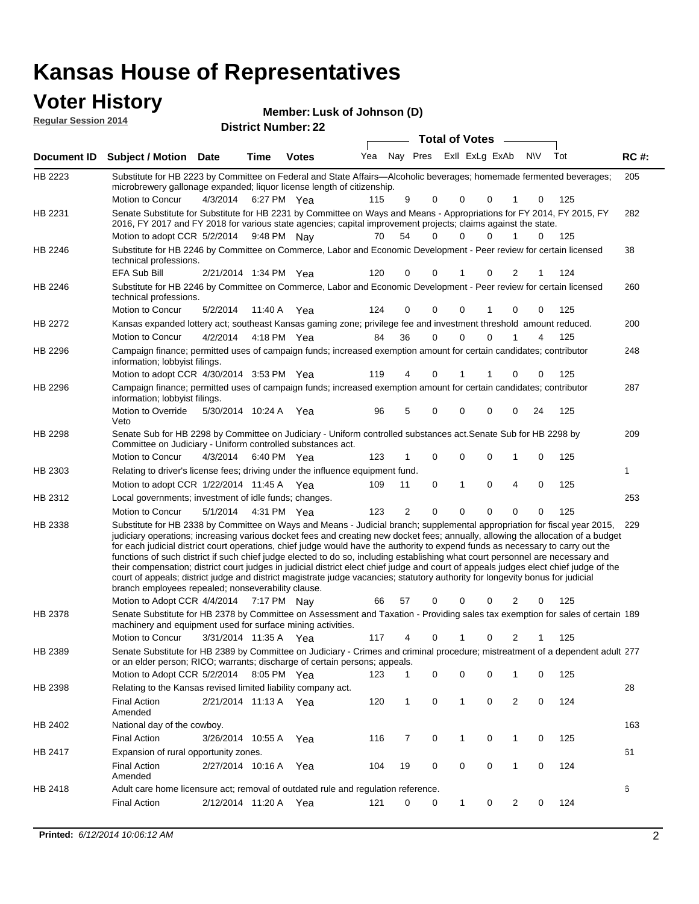#### **Voter History Manufact 10**

| <b>VULCE FIISLUI Y</b><br><b>Regular Session 2014</b> |                              |      | <b>District Number: 22</b> | Member: Lusk of Johnson (D) |  |                                 |     |             |
|-------------------------------------------------------|------------------------------|------|----------------------------|-----------------------------|--|---------------------------------|-----|-------------|
|                                                       |                              |      |                            |                             |  | <b>Total of Votes</b>           |     |             |
|                                                       | Document ID Subject / Motion | Date | Time                       | <b>Votes</b>                |  | Yea Nay Pres ExII ExLg ExAb N\V | Tot | <b>RC#:</b> |

| HB 2223 | Substitute for HB 2223 by Committee on Federal and State Affairs—Alcoholic beverages; homemade fermented beverages;<br>microbrewery gallonage expanded; liquor license length of citizenship.                                                                                                                                                                                                                                                                                                                                                                                                                                                                                                                                                                                                                                                                       | 205 |
|---------|---------------------------------------------------------------------------------------------------------------------------------------------------------------------------------------------------------------------------------------------------------------------------------------------------------------------------------------------------------------------------------------------------------------------------------------------------------------------------------------------------------------------------------------------------------------------------------------------------------------------------------------------------------------------------------------------------------------------------------------------------------------------------------------------------------------------------------------------------------------------|-----|
|         | Motion to Concur<br>4/3/2014 6:27 PM Yea<br>9<br>125<br>115<br>0<br>0<br>0<br>0<br>1                                                                                                                                                                                                                                                                                                                                                                                                                                                                                                                                                                                                                                                                                                                                                                                |     |
| HB 2231 | Senate Substitute for Substitute for HB 2231 by Committee on Ways and Means - Appropriations for FY 2014, FY 2015, FY<br>2016, FY 2017 and FY 2018 for various state agencies; capital improvement projects; claims against the state.                                                                                                                                                                                                                                                                                                                                                                                                                                                                                                                                                                                                                              | 282 |
|         | Motion to adopt CCR 5/2/2014 9:48 PM Nay<br>54<br>0<br>1<br>70<br>0<br>$\Omega$<br>$\Omega$<br>125                                                                                                                                                                                                                                                                                                                                                                                                                                                                                                                                                                                                                                                                                                                                                                  |     |
| HB 2246 | Substitute for HB 2246 by Committee on Commerce, Labor and Economic Development - Peer review for certain licensed<br>technical professions.                                                                                                                                                                                                                                                                                                                                                                                                                                                                                                                                                                                                                                                                                                                        | 38  |
|         | EFA Sub Bill<br>120<br>0<br>124<br>2/21/2014 1:34 PM Yea<br>0<br>0<br>2<br>1                                                                                                                                                                                                                                                                                                                                                                                                                                                                                                                                                                                                                                                                                                                                                                                        |     |
| HB 2246 | Substitute for HB 2246 by Committee on Commerce, Labor and Economic Development - Peer review for certain licensed<br>technical professions.                                                                                                                                                                                                                                                                                                                                                                                                                                                                                                                                                                                                                                                                                                                        | 260 |
|         | Motion to Concur<br>5/2/2014<br>0<br>0<br>125<br>11:40 A Yea<br>124<br>0<br>1<br>0<br>0                                                                                                                                                                                                                                                                                                                                                                                                                                                                                                                                                                                                                                                                                                                                                                             |     |
| HB 2272 | Kansas expanded lottery act; southeast Kansas gaming zone; privilege fee and investment threshold amount reduced.                                                                                                                                                                                                                                                                                                                                                                                                                                                                                                                                                                                                                                                                                                                                                   | 200 |
|         | 36<br>0<br>$\Omega$<br>4/2/2014<br>4:18 PM Yea<br>84<br>0<br>1<br>125<br>Motion to Concur<br>4                                                                                                                                                                                                                                                                                                                                                                                                                                                                                                                                                                                                                                                                                                                                                                      |     |
| HB 2296 | Campaign finance; permitted uses of campaign funds; increased exemption amount for certain candidates; contributor<br>information; lobbyist filings.                                                                                                                                                                                                                                                                                                                                                                                                                                                                                                                                                                                                                                                                                                                | 248 |
|         | Motion to adopt CCR 4/30/2014 3:53 PM Yea<br>125<br>119<br>0<br>0<br>4<br>0<br>1                                                                                                                                                                                                                                                                                                                                                                                                                                                                                                                                                                                                                                                                                                                                                                                    |     |
| HB 2296 | Campaign finance; permitted uses of campaign funds; increased exemption amount for certain candidates; contributor                                                                                                                                                                                                                                                                                                                                                                                                                                                                                                                                                                                                                                                                                                                                                  | 287 |
|         | information; lobbyist filings.<br>Motion to Override<br>5/30/2014 10:24 A Yea<br>0<br>125<br>96<br>5<br>0<br>0<br>0<br>24<br>Veto                                                                                                                                                                                                                                                                                                                                                                                                                                                                                                                                                                                                                                                                                                                                   |     |
| HB 2298 | Senate Sub for HB 2298 by Committee on Judiciary - Uniform controlled substances act. Senate Sub for HB 2298 by<br>Committee on Judiciary - Uniform controlled substances act.                                                                                                                                                                                                                                                                                                                                                                                                                                                                                                                                                                                                                                                                                      | 209 |
|         | Motion to Concur<br>0<br>0<br>0<br>125<br>4/3/2014<br>6:40 PM Yea<br>123<br>1<br>0<br>1                                                                                                                                                                                                                                                                                                                                                                                                                                                                                                                                                                                                                                                                                                                                                                             |     |
| HB 2303 | Relating to driver's license fees; driving under the influence equipment fund.<br>1                                                                                                                                                                                                                                                                                                                                                                                                                                                                                                                                                                                                                                                                                                                                                                                 |     |
|         | 4<br>125<br>Motion to adopt CCR 1/22/2014 11:45 A Yea<br>109<br>0<br>1<br>0<br>0<br>11                                                                                                                                                                                                                                                                                                                                                                                                                                                                                                                                                                                                                                                                                                                                                                              |     |
| HB 2312 | Local governments; investment of idle funds; changes.                                                                                                                                                                                                                                                                                                                                                                                                                                                                                                                                                                                                                                                                                                                                                                                                               | 253 |
|         | Motion to Concur<br>5/1/2014<br>123<br>2<br>0<br>0<br>0<br>0<br>125<br>4:31 PM Yea<br>$\Omega$                                                                                                                                                                                                                                                                                                                                                                                                                                                                                                                                                                                                                                                                                                                                                                      |     |
| HB 2338 | Substitute for HB 2338 by Committee on Ways and Means - Judicial branch; supplemental appropriation for fiscal year 2015,<br>judiciary operations; increasing various docket fees and creating new docket fees; annually, allowing the allocation of a budget<br>for each judicial district court operations, chief judge would have the authority to expend funds as necessary to carry out the<br>functions of such district if such chief judge elected to do so, including establishing what court personnel are necessary and<br>their compensation; district court judges in judicial district elect chief judge and court of appeals judges elect chief judge of the<br>court of appeals; district judge and district magistrate judge vacancies; statutory authority for longevity bonus for judicial<br>branch employees repealed; nonseverability clause. | 229 |
|         | 2<br>125<br>Motion to Adopt CCR 4/4/2014<br>7:17 PM Nay<br>66<br>57<br>0<br>0<br>0<br>0                                                                                                                                                                                                                                                                                                                                                                                                                                                                                                                                                                                                                                                                                                                                                                             |     |
| HB 2378 | Senate Substitute for HB 2378 by Committee on Assessment and Taxation - Providing sales tax exemption for sales of certain 189<br>machinery and equipment used for surface mining activities.                                                                                                                                                                                                                                                                                                                                                                                                                                                                                                                                                                                                                                                                       |     |
|         | Motion to Concur<br>117<br>3/31/2014 11:35 A Yea<br>4<br>0<br>0<br>2<br>125<br>1                                                                                                                                                                                                                                                                                                                                                                                                                                                                                                                                                                                                                                                                                                                                                                                    |     |
| HB 2389 | Senate Substitute for HB 2389 by Committee on Judiciary - Crimes and criminal procedure; mistreatment of a dependent adult 277<br>or an elder person; RICO; warrants; discharge of certain persons; appeals.<br>Motion to Adopt CCR 5/2/2014 8:05 PM Yea 123 1 0 0 0 1 0 125                                                                                                                                                                                                                                                                                                                                                                                                                                                                                                                                                                                        |     |
|         |                                                                                                                                                                                                                                                                                                                                                                                                                                                                                                                                                                                                                                                                                                                                                                                                                                                                     |     |
| HB 2398 | Relating to the Kansas revised limited liability company act.                                                                                                                                                                                                                                                                                                                                                                                                                                                                                                                                                                                                                                                                                                                                                                                                       | 28  |
|         | <b>Final Action</b><br>2/21/2014 11:13 A Yea<br>120<br>$\mathbf{1}$<br>0<br>$\mathbf{1}$<br>0<br>2<br>0<br>124<br>Amended                                                                                                                                                                                                                                                                                                                                                                                                                                                                                                                                                                                                                                                                                                                                           |     |
| HB 2402 | National day of the cowboy.                                                                                                                                                                                                                                                                                                                                                                                                                                                                                                                                                                                                                                                                                                                                                                                                                                         | 163 |
|         | <b>Final Action</b><br>0<br>1<br>0<br>125<br>3/26/2014 10:55 A<br>116<br>7<br>$\mathbf{1}$<br>0<br>Yea                                                                                                                                                                                                                                                                                                                                                                                                                                                                                                                                                                                                                                                                                                                                                              |     |
| HB 2417 | Expansion of rural opportunity zones.                                                                                                                                                                                                                                                                                                                                                                                                                                                                                                                                                                                                                                                                                                                                                                                                                               | 61  |
|         | <b>Final Action</b><br>2/27/2014 10:16 A Yea<br>0<br>0<br>0<br>1<br>0<br>124<br>104<br>19<br>Amended                                                                                                                                                                                                                                                                                                                                                                                                                                                                                                                                                                                                                                                                                                                                                                |     |
| HB 2418 | Adult care home licensure act; removal of outdated rule and regulation reference.<br>6                                                                                                                                                                                                                                                                                                                                                                                                                                                                                                                                                                                                                                                                                                                                                                              |     |
|         | 124<br><b>Final Action</b><br>2/12/2014 11:20 A Yea<br>0<br>0<br>$\mathbf{1}$<br>$\overline{2}$<br>0<br>121<br>0                                                                                                                                                                                                                                                                                                                                                                                                                                                                                                                                                                                                                                                                                                                                                    |     |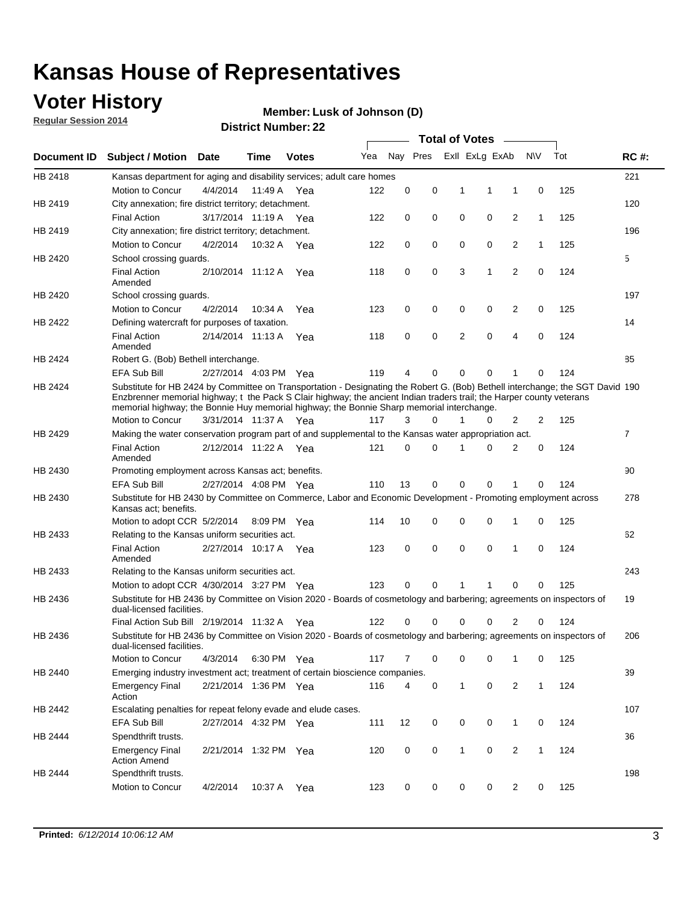### **Voter History**

**Regular Session 2014**

#### **Member: Lusk of Johnson (D)**

|                    |                                                                                                                                                                                                                                                                                                                                                      |                       |             | DISTRICT MAILING . ZZ | <b>Total of Votes</b><br>$\sim$ |          |          |   |                |                |              |     |                |
|--------------------|------------------------------------------------------------------------------------------------------------------------------------------------------------------------------------------------------------------------------------------------------------------------------------------------------------------------------------------------------|-----------------------|-------------|-----------------------|---------------------------------|----------|----------|---|----------------|----------------|--------------|-----|----------------|
| <b>Document ID</b> | <b>Subject / Motion</b>                                                                                                                                                                                                                                                                                                                              | Date                  | Time        | <b>Votes</b>          | Yea                             |          | Nay Pres |   | Exll ExLg ExAb |                | <b>NV</b>    | Tot | <b>RC#:</b>    |
| HB 2418            | Kansas department for aging and disability services; adult care homes                                                                                                                                                                                                                                                                                |                       |             |                       |                                 |          |          |   |                |                |              |     | 221            |
|                    | Motion to Concur                                                                                                                                                                                                                                                                                                                                     | 4/4/2014              | 11:49 A     | Yea                   | 122                             | 0        | 0        | 1 | 1              | 1              | 0            | 125 |                |
| HB 2419            | City annexation; fire district territory; detachment.                                                                                                                                                                                                                                                                                                |                       |             |                       |                                 |          |          |   |                |                |              |     | 120            |
|                    | <b>Final Action</b>                                                                                                                                                                                                                                                                                                                                  | 3/17/2014 11:19 A Yea |             |                       | 122                             | 0        | 0        | 0 | 0              | 2              | $\mathbf{1}$ | 125 |                |
| HB 2419            | City annexation; fire district territory; detachment.                                                                                                                                                                                                                                                                                                |                       |             |                       |                                 |          |          |   |                |                |              |     | 196            |
|                    | Motion to Concur                                                                                                                                                                                                                                                                                                                                     | 4/2/2014              | 10:32 A Yea |                       | 122                             | 0        | 0        | 0 | 0              | 2              | $\mathbf{1}$ | 125 |                |
| HB 2420            | School crossing guards.                                                                                                                                                                                                                                                                                                                              |                       |             |                       |                                 |          |          |   |                |                |              |     | 5              |
|                    | <b>Final Action</b><br>Amended                                                                                                                                                                                                                                                                                                                       | 2/10/2014 11:12 A     |             | Yea                   | 118                             | 0        | 0        | 3 | 1              | $\overline{2}$ | 0            | 124 |                |
| HB 2420            | School crossing guards.                                                                                                                                                                                                                                                                                                                              |                       |             |                       |                                 |          |          |   |                |                |              |     | 197            |
|                    | Motion to Concur                                                                                                                                                                                                                                                                                                                                     | 4/2/2014              | 10:34 A     | Yea                   | 123                             | 0        | 0        | 0 | 0              | 2              | 0            | 125 |                |
| HB 2422            | Defining watercraft for purposes of taxation.                                                                                                                                                                                                                                                                                                        |                       |             |                       |                                 |          |          |   |                |                |              |     | 14             |
|                    | <b>Final Action</b><br>Amended                                                                                                                                                                                                                                                                                                                       | 2/14/2014 11:13 A     |             | Yea                   | 118                             | 0        | 0        | 2 | $\mathbf 0$    | 4              | 0            | 124 |                |
| HB 2424            | Robert G. (Bob) Bethell interchange.                                                                                                                                                                                                                                                                                                                 |                       |             |                       |                                 |          |          |   |                |                |              |     | 85             |
|                    | <b>EFA Sub Bill</b>                                                                                                                                                                                                                                                                                                                                  | 2/27/2014 4:03 PM Yea |             |                       | 119                             | 4        | 0        | 0 | $\mathbf 0$    | 1              | 0            | 124 |                |
| HB 2424            | Substitute for HB 2424 by Committee on Transportation - Designating the Robert G. (Bob) Bethell interchange; the SGT David 190<br>Enzbrenner memorial highway; t the Pack S Clair highway; the ancient Indian traders trail; the Harper county veterans<br>memorial highway; the Bonnie Huy memorial highway; the Bonnie Sharp memorial interchange. |                       |             |                       |                                 |          |          |   |                |                |              |     |                |
|                    | Motion to Concur                                                                                                                                                                                                                                                                                                                                     | 3/31/2014 11:37 A Yea |             |                       | 117                             | 3        | $\Omega$ | 1 | 0              | 2              | 2            | 125 |                |
| HB 2429            | Making the water conservation program part of and supplemental to the Kansas water appropriation act.                                                                                                                                                                                                                                                |                       |             |                       |                                 |          |          |   |                |                |              |     | $\overline{7}$ |
|                    | <b>Final Action</b><br>Amended                                                                                                                                                                                                                                                                                                                       | 2/12/2014 11:22 A Yea |             |                       | 121                             | $\Omega$ | 0        | 1 | $\Omega$       | 2              | 0            | 124 |                |
| HB 2430            | Promoting employment across Kansas act; benefits.                                                                                                                                                                                                                                                                                                    |                       |             |                       |                                 |          |          |   |                |                |              |     | 90             |
|                    | <b>EFA Sub Bill</b>                                                                                                                                                                                                                                                                                                                                  | 2/27/2014 4:08 PM Yea |             |                       | 110                             | 13       | 0        | 0 | 0              | 1              | 0            | 124 |                |
| HB 2430            | Substitute for HB 2430 by Committee on Commerce, Labor and Economic Development - Promoting employment across<br>Kansas act; benefits.                                                                                                                                                                                                               |                       |             |                       |                                 |          |          |   |                |                |              |     | 278            |
|                    | Motion to adopt CCR 5/2/2014                                                                                                                                                                                                                                                                                                                         |                       | 8:09 PM Yea |                       | 114                             | 10       | 0        | 0 | 0              | 1              | 0            | 125 |                |
| HB 2433            | Relating to the Kansas uniform securities act.                                                                                                                                                                                                                                                                                                       |                       |             |                       |                                 |          |          |   |                |                |              |     | 62             |
|                    | <b>Final Action</b><br>Amended                                                                                                                                                                                                                                                                                                                       | 2/27/2014 10:17 A Yea |             |                       | 123                             | 0        | 0        | 0 | $\mathbf 0$    | 1              | 0            | 124 |                |
| HB 2433            | Relating to the Kansas uniform securities act.                                                                                                                                                                                                                                                                                                       |                       |             |                       |                                 |          |          |   |                |                |              |     | 243            |
|                    | Motion to adopt CCR 4/30/2014 3:27 PM Yea                                                                                                                                                                                                                                                                                                            |                       |             |                       | 123                             | $\Omega$ | 0        | 1 | 1              | 0              | 0            | 125 |                |
| HB 2436            | Substitute for HB 2436 by Committee on Vision 2020 - Boards of cosmetology and barbering; agreements on inspectors of<br>dual-licensed facilities.                                                                                                                                                                                                   |                       |             |                       |                                 |          |          |   |                |                |              |     | 19             |
|                    | Final Action Sub Bill 2/19/2014 11:32 A                                                                                                                                                                                                                                                                                                              |                       |             | Yea                   | 122                             | O        | 0        | 0 | 0              | 2              | 0            | 124 |                |
| HB 2436            | Substitute for HB 2436 by Committee on Vision 2020 - Boards of cosmetology and barbering; agreements on inspectors of<br>dual-licensed facilities.                                                                                                                                                                                                   |                       |             |                       |                                 |          |          |   |                |                |              |     | 206            |
|                    | <b>Motion to Concur</b>                                                                                                                                                                                                                                                                                                                              | 4/3/2014              | 6:30 PM Yea |                       | 117                             | 7        | 0        | 0 | 0              | 1              | 0            | 125 |                |
| HB 2440            | Emerging industry investment act; treatment of certain bioscience companies.                                                                                                                                                                                                                                                                         |                       |             |                       |                                 |          |          |   |                |                |              |     | 39             |
|                    | <b>Emergency Final</b><br>Action                                                                                                                                                                                                                                                                                                                     | 2/21/2014 1:36 PM Yea |             |                       | 116                             | 4        | 0        | 1 | $\mathbf 0$    | 2              | $\mathbf{1}$ | 124 |                |
| HB 2442            | Escalating penalties for repeat felony evade and elude cases.                                                                                                                                                                                                                                                                                        |                       |             |                       |                                 |          |          |   |                |                |              |     | 107            |
|                    | EFA Sub Bill                                                                                                                                                                                                                                                                                                                                         | 2/27/2014 4:32 PM Yea |             |                       | 111                             | 12       | 0        | 0 | 0              | $\mathbf{1}$   | 0            | 124 |                |
| HB 2444            | Spendthrift trusts.                                                                                                                                                                                                                                                                                                                                  |                       |             |                       |                                 |          |          |   |                |                |              |     | 36             |
|                    | <b>Emergency Final</b><br><b>Action Amend</b>                                                                                                                                                                                                                                                                                                        | 2/21/2014 1:32 PM Yea |             |                       | 120                             | 0        | 0        | 1 | 0              | $\overline{2}$ | $\mathbf{1}$ | 124 |                |
| HB 2444            | Spendthrift trusts.                                                                                                                                                                                                                                                                                                                                  |                       |             |                       |                                 |          |          |   |                |                |              |     | 198            |
|                    | Motion to Concur                                                                                                                                                                                                                                                                                                                                     | 4/2/2014              | 10:37 A Yea |                       | 123                             | 0        | 0        | 0 | 0              | $\overline{2}$ | 0            | 125 |                |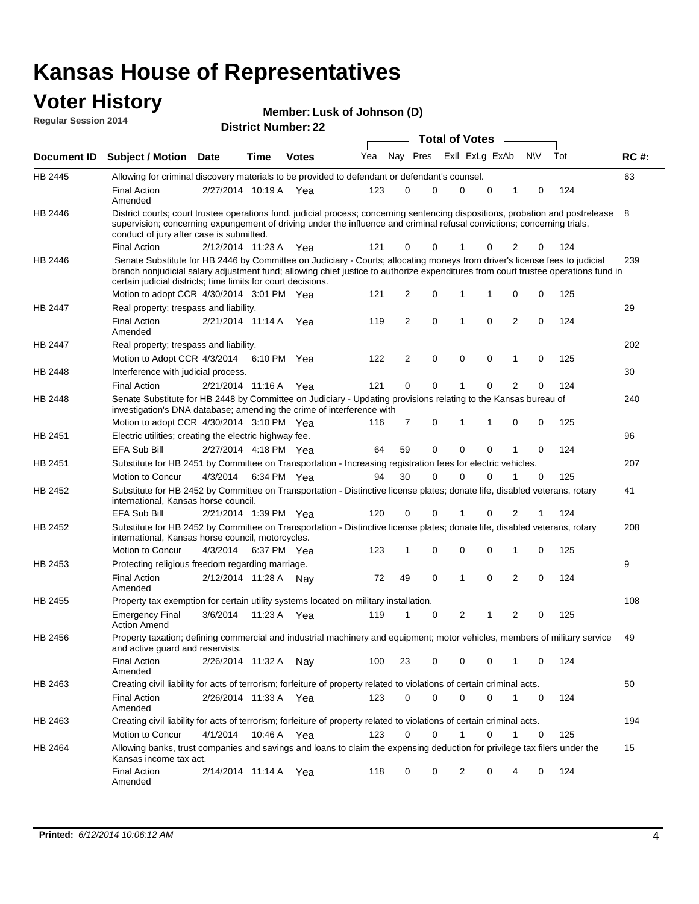#### **Voter History Regular Session 2014**

| Member: Lusk of Johnson (D) |  |  |
|-----------------------------|--|--|
|-----------------------------|--|--|

|                    |                                                                                                                                                                                                                                                                                                                                 |                       |      |              |     |                |             | <b>Total of Votes</b> |             |                |           |     |             |
|--------------------|---------------------------------------------------------------------------------------------------------------------------------------------------------------------------------------------------------------------------------------------------------------------------------------------------------------------------------|-----------------------|------|--------------|-----|----------------|-------------|-----------------------|-------------|----------------|-----------|-----|-------------|
| <b>Document ID</b> | <b>Subject / Motion Date</b>                                                                                                                                                                                                                                                                                                    |                       | Time | <b>Votes</b> | Yea |                | Nay Pres    | Exll ExLg ExAb        |             |                | <b>NV</b> | Tot | <b>RC#:</b> |
| HB 2445            | Allowing for criminal discovery materials to be provided to defendant or defendant's counsel.                                                                                                                                                                                                                                   |                       |      |              |     |                |             |                       |             |                |           |     | 63          |
|                    | <b>Final Action</b><br>Amended                                                                                                                                                                                                                                                                                                  | 2/27/2014 10:19 A     |      | Yea          | 123 | 0              | 0           | $\mathbf 0$           | $\mathbf 0$ | 1              | 0         | 124 |             |
| HB 2446            | District courts; court trustee operations fund. judicial process; concerning sentencing dispositions, probation and postrelease<br>supervision; concerning expungement of driving under the influence and criminal refusal convictions; concerning trials,<br>conduct of jury after case is submitted.                          |                       |      |              |     |                |             |                       |             |                |           |     | 8           |
|                    | <b>Final Action</b>                                                                                                                                                                                                                                                                                                             | 2/12/2014 11:23 A Yea |      |              | 121 | 0              | 0           |                       | 0           | 2              | 0         | 124 |             |
| HB 2446            | Senate Substitute for HB 2446 by Committee on Judiciary - Courts; allocating moneys from driver's license fees to judicial<br>branch nonjudicial salary adjustment fund; allowing chief justice to authorize expenditures from court trustee operations fund in<br>certain judicial districts; time limits for court decisions. |                       |      |              |     |                |             |                       |             |                |           |     | 239         |
|                    | Motion to adopt CCR 4/30/2014 3:01 PM Yea                                                                                                                                                                                                                                                                                       |                       |      |              | 121 | 2              | 0           | 1                     | 1           | 0              | 0         | 125 |             |
| <b>HB 2447</b>     | Real property; trespass and liability.                                                                                                                                                                                                                                                                                          |                       |      |              |     |                |             |                       |             |                |           |     | 29          |
|                    | <b>Final Action</b><br>Amended                                                                                                                                                                                                                                                                                                  | 2/21/2014 11:14 A     |      | Yea          | 119 | 2              | 0           | 1                     | 0           | $\overline{2}$ | 0         | 124 |             |
| HB 2447            | Real property; trespass and liability.                                                                                                                                                                                                                                                                                          |                       |      |              |     |                |             |                       |             |                |           |     | 202         |
|                    | Motion to Adopt CCR 4/3/2014                                                                                                                                                                                                                                                                                                    |                       |      | 6:10 PM Yea  | 122 | $\overline{2}$ | 0           | $\mathbf 0$           | $\mathbf 0$ | 1              | 0         | 125 |             |
| HB 2448            | Interference with judicial process.                                                                                                                                                                                                                                                                                             |                       |      |              |     |                |             |                       |             |                |           |     | 30          |
|                    | <b>Final Action</b>                                                                                                                                                                                                                                                                                                             | 2/21/2014 11:16 A Yea |      |              | 121 | 0              | $\mathbf 0$ | -1                    | $\Omega$    | $\overline{2}$ | 0         | 124 |             |
| HB 2448            | Senate Substitute for HB 2448 by Committee on Judiciary - Updating provisions relating to the Kansas bureau of<br>investigation's DNA database; amending the crime of interference with                                                                                                                                         |                       |      |              |     |                |             |                       |             |                |           |     | 240         |
|                    | Motion to adopt CCR 4/30/2014 3:10 PM Yea                                                                                                                                                                                                                                                                                       |                       |      |              | 116 | 7              | 0           | 1                     | 1           | 0              | 0         | 125 |             |
| HB 2451            | Electric utilities; creating the electric highway fee.                                                                                                                                                                                                                                                                          |                       |      |              |     |                |             |                       |             |                |           |     | 96          |
|                    | EFA Sub Bill                                                                                                                                                                                                                                                                                                                    | 2/27/2014 4:18 PM Yea |      |              | 64  | 59             | 0           | $\mathbf 0$           | 0           | 1              | 0         | 124 |             |
| HB 2451            | Substitute for HB 2451 by Committee on Transportation - Increasing registration fees for electric vehicles.                                                                                                                                                                                                                     |                       |      |              |     |                |             |                       |             |                |           |     | 207         |
|                    | Motion to Concur                                                                                                                                                                                                                                                                                                                | 4/3/2014              |      | 6:34 PM Yea  | 94  | 30             | 0           | $\Omega$              | 0           |                | 0         | 125 |             |
| HB 2452            | Substitute for HB 2452 by Committee on Transportation - Distinctive license plates; donate life, disabled veterans, rotary<br>international, Kansas horse council.                                                                                                                                                              |                       |      |              |     |                |             |                       |             |                |           |     | 41          |
|                    | <b>EFA Sub Bill</b>                                                                                                                                                                                                                                                                                                             | 2/21/2014 1:39 PM Yea |      |              | 120 | 0              | 0           |                       | 0           | 2              | 1         | 124 |             |
| HB 2452            | Substitute for HB 2452 by Committee on Transportation - Distinctive license plates; donate life, disabled veterans, rotary<br>international, Kansas horse council, motorcycles.                                                                                                                                                 |                       |      |              |     |                |             |                       |             |                |           |     | 208         |
|                    | Motion to Concur                                                                                                                                                                                                                                                                                                                | 4/3/2014              |      | 6:37 PM Yea  | 123 | 1              | 0           | 0                     | 0           | 1              | 0         | 125 |             |
| HB 2453            | Protecting religious freedom regarding marriage.                                                                                                                                                                                                                                                                                |                       |      |              |     |                |             |                       |             |                |           |     | 9           |
|                    | <b>Final Action</b><br>Amended                                                                                                                                                                                                                                                                                                  | 2/12/2014 11:28 A Nay |      |              | 72  | 49             | $\mathbf 0$ | 1                     | 0           | 2              | 0         | 124 |             |
| HB 2455            | Property tax exemption for certain utility systems located on military installation.                                                                                                                                                                                                                                            |                       |      |              |     |                |             |                       |             |                |           |     | 108         |
|                    | <b>Emergency Final</b><br><b>Action Amend</b>                                                                                                                                                                                                                                                                                   | 3/6/2014              |      | 11:23 A Yea  | 119 | 1              | 0           | 2                     | 1           | $\overline{2}$ | 0         | 125 |             |
| HB 2456            | Property taxation; defining commercial and industrial machinery and equipment; motor vehicles, members of military service<br>and active guard and reservists.                                                                                                                                                                  |                       |      |              |     |                |             |                       |             |                |           |     | 49          |
|                    | <b>Final Action</b><br>Amended                                                                                                                                                                                                                                                                                                  | 2/26/2014 11:32 A Nay |      |              | 100 | 23             | 0           | 0                     | 0           | 1              | 0         | 124 |             |
| HB 2463            | Creating civil liability for acts of terrorism; forfeiture of property related to violations of certain criminal acts.                                                                                                                                                                                                          |                       |      |              |     |                |             |                       |             |                |           |     | 50          |
|                    | <b>Final Action</b><br>Amended                                                                                                                                                                                                                                                                                                  | 2/26/2014 11:33 A Yea |      |              | 123 | 0              | 0           | $\mathbf 0$           | $\mathbf 0$ | $\mathbf{1}$   | 0         | 124 |             |
| HB 2463            | Creating civil liability for acts of terrorism; forfeiture of property related to violations of certain criminal acts.                                                                                                                                                                                                          |                       |      |              |     |                |             |                       |             |                |           |     | 194         |
|                    | Motion to Concur                                                                                                                                                                                                                                                                                                                | 4/1/2014              |      | 10:46 A Yea  | 123 | 0              | 0           | 1                     | 0           | $\mathbf{1}$   | 0         | 125 |             |
| HB 2464            | Allowing banks, trust companies and savings and loans to claim the expensing deduction for privilege tax filers under the<br>Kansas income tax act.                                                                                                                                                                             |                       |      |              |     |                |             |                       |             |                |           |     | 15          |
|                    | <b>Final Action</b><br>Amended                                                                                                                                                                                                                                                                                                  | 2/14/2014 11:14 A Yea |      |              | 118 | 0              | 0           | 2                     | 0           | 4              | 0         | 124 |             |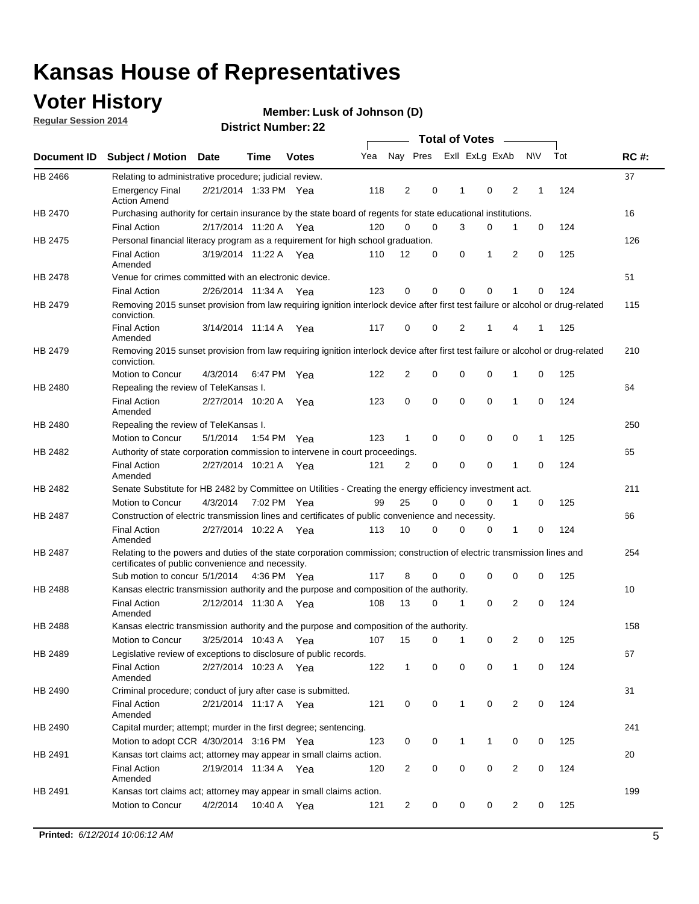### **Voter History**

**Regular Session 2014**

#### **Member: Lusk of Johnson (D)**

|                |                                                                                                                                                                             |                       |             |              |     |                |             | <b>Total of Votes</b> |             |                |             |     |             |
|----------------|-----------------------------------------------------------------------------------------------------------------------------------------------------------------------------|-----------------------|-------------|--------------|-----|----------------|-------------|-----------------------|-------------|----------------|-------------|-----|-------------|
|                | Document ID Subject / Motion Date                                                                                                                                           |                       | Time        | <b>Votes</b> | Yea |                | Nay Pres    | Exll ExLg ExAb        |             |                | <b>NV</b>   | Tot | <b>RC#:</b> |
| HB 2466        | Relating to administrative procedure; judicial review.                                                                                                                      |                       |             |              |     |                |             |                       |             |                |             |     | 37          |
|                | <b>Emergency Final</b><br><b>Action Amend</b>                                                                                                                               | 2/21/2014 1:33 PM Yea |             |              | 118 | 2              | 0           | 1                     | $\mathbf 0$ | 2              | 1           | 124 |             |
| HB 2470        | Purchasing authority for certain insurance by the state board of regents for state educational institutions.                                                                |                       |             |              |     |                |             |                       |             |                |             |     | 16          |
|                | <b>Final Action</b>                                                                                                                                                         | 2/17/2014 11:20 A Yea |             |              | 120 | 0              | 0           | 3                     | 0           | 1              | 0           | 124 |             |
| HB 2475        | Personal financial literacy program as a requirement for high school graduation.                                                                                            |                       |             |              |     |                |             |                       |             |                |             |     | 126         |
|                | <b>Final Action</b><br>Amended                                                                                                                                              | 3/19/2014 11:22 A Yea |             |              | 110 | 12             | 0           | 0                     | 1           | 2              | 0           | 125 |             |
| <b>HB 2478</b> | Venue for crimes committed with an electronic device.                                                                                                                       |                       |             |              |     |                |             |                       |             |                |             |     | 51          |
|                | <b>Final Action</b>                                                                                                                                                         | 2/26/2014 11:34 A     |             | Yea          | 123 | 0              | $\mathbf 0$ | $\mathbf 0$           | $\mathbf 0$ | 1              | $\mathbf 0$ | 124 |             |
| HB 2479        | Removing 2015 sunset provision from law requiring ignition interlock device after first test failure or alcohol or drug-related<br>conviction.                              |                       |             |              |     |                |             |                       |             |                |             |     | 115         |
|                | <b>Final Action</b><br>Amended                                                                                                                                              | 3/14/2014 11:14 A     |             | Yea          | 117 | 0              | 0           | 2                     | 1           | 4              | 1           | 125 |             |
| HB 2479        | Removing 2015 sunset provision from law requiring ignition interlock device after first test failure or alcohol or drug-related<br>conviction.                              |                       |             |              |     |                |             |                       |             |                |             |     | 210         |
|                | Motion to Concur                                                                                                                                                            | 4/3/2014              |             | 6:47 PM Yea  | 122 | 2              | 0           | 0                     | 0           | 1              | 0           | 125 |             |
| HB 2480        | Repealing the review of TeleKansas I.                                                                                                                                       |                       |             |              |     |                |             |                       |             |                |             |     | 64          |
|                | <b>Final Action</b><br>Amended                                                                                                                                              | 2/27/2014 10:20 A     |             | Yea          | 123 | 0              | 0           | 0                     | 0           | 1              | 0           | 124 |             |
| HB 2480        | Repealing the review of TeleKansas I.                                                                                                                                       |                       |             |              |     |                |             |                       |             |                |             |     | 250         |
|                | Motion to Concur                                                                                                                                                            | 5/1/2014              | 1:54 PM Yea |              | 123 | 1              | 0           | 0                     | $\mathbf 0$ | 0              | 1           | 125 |             |
| HB 2482        | Authority of state corporation commission to intervene in court proceedings.                                                                                                |                       |             |              |     |                |             |                       |             |                |             |     | 65          |
|                | <b>Final Action</b><br>Amended                                                                                                                                              | 2/27/2014 10:21 A     |             | Yea          | 121 | $\overline{2}$ | 0           | $\mathbf 0$           | $\mathbf 0$ | 1              | $\mathbf 0$ | 124 |             |
| HB 2482        | Senate Substitute for HB 2482 by Committee on Utilities - Creating the energy efficiency investment act.                                                                    |                       |             |              |     |                |             |                       |             |                |             |     | 211         |
|                | Motion to Concur                                                                                                                                                            | 4/3/2014 7:02 PM Yea  |             |              | 99  | 25             | 0           | 0                     | $\mathbf 0$ | 1              | 0           | 125 |             |
| HB 2487        | Construction of electric transmission lines and certificates of public convenience and necessity.                                                                           |                       |             |              |     |                |             |                       |             |                |             |     | 66          |
|                | <b>Final Action</b><br>Amended                                                                                                                                              | 2/27/2014 10:22 A Yea |             |              | 113 | 10             | 0           | 0                     | 0           | 1              | 0           | 124 |             |
| HB 2487        | Relating to the powers and duties of the state corporation commission; construction of electric transmission lines and<br>certificates of public convenience and necessity. |                       |             |              |     |                |             |                       |             |                |             |     | 254         |
|                | Sub motion to concur 5/1/2014                                                                                                                                               |                       |             | 4:36 PM Yea  | 117 | 8              | 0           | 0                     | $\mathbf 0$ | 0              | $\mathbf 0$ | 125 |             |
| <b>HB 2488</b> | Kansas electric transmission authority and the purpose and composition of the authority.                                                                                    |                       |             |              |     |                |             |                       |             |                |             |     | 10          |
|                | <b>Final Action</b><br>Amended                                                                                                                                              | 2/12/2014 11:30 A Yea |             |              | 108 | 13             | 0           | 1                     | 0           | 2              | $\mathbf 0$ | 124 |             |
| HB 2488        | Kansas electric transmission authority and the purpose and composition of the authority.                                                                                    |                       |             |              |     |                |             |                       |             |                |             |     | 158         |
|                | Motion to Concur                                                                                                                                                            | 3/25/2014 10:43 A     |             | Yea          | 107 | 15             | 0           | 1                     | 0           | 2              | $\mathbf 0$ | 125 |             |
| HB 2489        | Legislative review of exceptions to disclosure of public records.                                                                                                           |                       |             |              |     |                |             |                       |             |                |             |     | 67          |
|                | <b>Final Action</b><br>Amended                                                                                                                                              | 2/27/2014 10:23 A Yea |             |              | 122 | 1              | 0           | 0                     | 0           | 1              | 0           | 124 |             |
| HB 2490        | Criminal procedure; conduct of jury after case is submitted.                                                                                                                |                       |             |              |     |                |             |                       |             |                |             |     | 31          |
|                | <b>Final Action</b><br>Amended                                                                                                                                              | 2/21/2014 11:17 A Yea |             |              | 121 | 0              | 0           | 1                     | 0           | 2              | 0           | 124 |             |
| HB 2490        | Capital murder; attempt; murder in the first degree; sentencing.                                                                                                            |                       |             |              |     |                |             |                       |             |                |             |     | 241         |
|                | Motion to adopt CCR 4/30/2014 3:16 PM Yea                                                                                                                                   |                       |             |              | 123 | 0              | 0           | 1                     | 1           | 0              | 0           | 125 |             |
| HB 2491        | Kansas tort claims act; attorney may appear in small claims action.                                                                                                         |                       |             |              |     |                |             |                       |             |                |             |     | 20          |
|                | <b>Final Action</b><br>Amended                                                                                                                                              | 2/19/2014 11:34 A Yea |             |              | 120 | $\overline{2}$ | 0           | 0                     | 0           | $\overline{c}$ | 0           | 124 |             |
| HB 2491        | Kansas tort claims act; attorney may appear in small claims action.                                                                                                         |                       |             |              |     |                |             |                       |             |                |             |     | 199         |
|                | Motion to Concur                                                                                                                                                            | 4/2/2014              |             | 10:40 A Yea  | 121 | 2              | 0           | 0                     | 0           | 2              | 0           | 125 |             |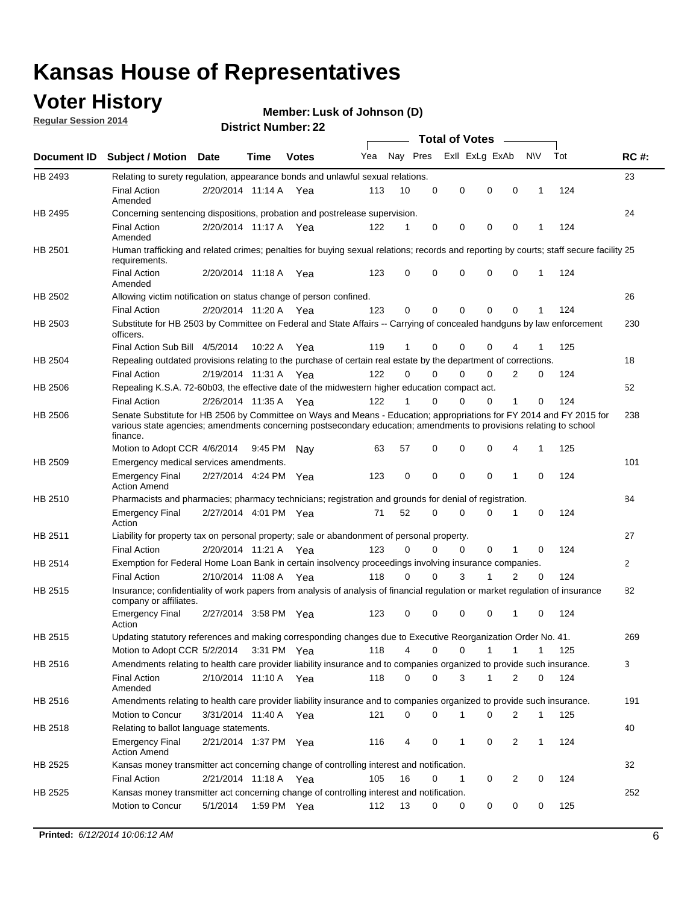### **Voter History**

**Regular Session 2014**

#### **Member: Lusk of Johnson (D)**

|             |                                                                                                                                                                                                                                                        |                       |             | <b>DISUILLINUIIINGI. ZZ</b> |     |          |             | <b>Total of Votes</b> |                |              |     |              |
|-------------|--------------------------------------------------------------------------------------------------------------------------------------------------------------------------------------------------------------------------------------------------------|-----------------------|-------------|-----------------------------|-----|----------|-------------|-----------------------|----------------|--------------|-----|--------------|
| Document ID | <b>Subject / Motion Date</b>                                                                                                                                                                                                                           |                       | Time        | <b>Votes</b>                | Yea | Nay Pres |             | Exll ExLg ExAb        |                | <b>NV</b>    | Tot | <b>RC#:</b>  |
| HB 2493     | Relating to surety regulation, appearance bonds and unlawful sexual relations.                                                                                                                                                                         |                       |             |                             |     |          |             |                       |                |              |     | 23           |
|             | <b>Final Action</b><br>Amended                                                                                                                                                                                                                         | 2/20/2014 11:14 A Yea |             |                             | 113 | 10       | 0           | $\mathbf 0$<br>0      | 0              | 1            | 124 |              |
| HB 2495     | Concerning sentencing dispositions, probation and postrelease supervision.                                                                                                                                                                             |                       |             |                             |     |          |             |                       |                |              |     | 24           |
|             | Final Action<br>Amended                                                                                                                                                                                                                                | 2/20/2014 11:17 A     |             | Yea                         | 122 | 1        | 0           | 0<br>0                | 0              |              | 124 |              |
| HB 2501     | Human trafficking and related crimes; penalties for buying sexual relations; records and reporting by courts; staff secure facility 25<br>requirements.                                                                                                |                       |             |                             |     |          |             |                       |                |              |     |              |
|             | <b>Final Action</b><br>Amended                                                                                                                                                                                                                         | 2/20/2014 11:18 A     |             | Yea                         | 123 | 0        | 0           | $\Omega$<br>0         | 0              | 1            | 124 |              |
| HB 2502     | Allowing victim notification on status change of person confined.                                                                                                                                                                                      |                       |             |                             |     |          |             |                       |                |              |     | 26           |
|             | <b>Final Action</b>                                                                                                                                                                                                                                    | 2/20/2014 11:20 A     |             | Yea                         | 123 | 0        | 0           | 0<br>$\Omega$         | 0              |              | 124 |              |
| HB 2503     | Substitute for HB 2503 by Committee on Federal and State Affairs -- Carrying of concealed handguns by law enforcement<br>officers.                                                                                                                     |                       |             |                             |     |          |             |                       |                |              |     | 230          |
|             | Final Action Sub Bill 4/5/2014                                                                                                                                                                                                                         |                       | 10:22 A     | Yea                         | 119 |          | 0           | 0<br>$\Omega$         |                |              | 125 |              |
| HB 2504     | Repealing outdated provisions relating to the purchase of certain real estate by the department of corrections.                                                                                                                                        |                       |             |                             |     |          |             |                       |                |              |     | 18           |
|             | <b>Final Action</b>                                                                                                                                                                                                                                    | 2/19/2014 11:31 A     |             | Yea                         | 122 | $\Omega$ | 0           | 0<br>0                | 2              | 0            | 124 |              |
| HB 2506     | Repealing K.S.A. 72-60b03, the effective date of the midwestern higher education compact act.                                                                                                                                                          |                       |             |                             |     |          |             |                       |                |              |     | 52           |
|             | <b>Final Action</b>                                                                                                                                                                                                                                    | 2/26/2014 11:35 A Yea |             |                             | 122 | 1        | $\mathbf 0$ | 0<br>0                | 1              | 0            | 124 |              |
| HB 2506     | Senate Substitute for HB 2506 by Committee on Ways and Means - Education; appropriations for FY 2014 and FY 2015 for<br>various state agencies; amendments concerning postsecondary education; amendments to provisions relating to school<br>finance. |                       |             |                             |     |          |             |                       |                |              |     | 238          |
|             | Motion to Adopt CCR 4/6/2014                                                                                                                                                                                                                           |                       | 9:45 PM Nay |                             | 63  | 57       | 0           | 0<br>0                | 4              | $\mathbf{1}$ | 125 |              |
| HB 2509     | Emergency medical services amendments.                                                                                                                                                                                                                 |                       |             |                             |     |          |             |                       |                |              |     | 101          |
|             | <b>Emergency Final</b><br><b>Action Amend</b>                                                                                                                                                                                                          | 2/27/2014 4:24 PM Yea |             |                             | 123 | 0        | $\mathbf 0$ | 0<br>$\Omega$         | $\mathbf 1$    | $\Omega$     | 124 |              |
| HB 2510     | Pharmacists and pharmacies; pharmacy technicians; registration and grounds for denial of registration.                                                                                                                                                 |                       |             |                             |     |          |             |                       |                |              |     | 84           |
|             | <b>Emergency Final</b><br>Action                                                                                                                                                                                                                       | 2/27/2014 4:01 PM Yea |             |                             | 71  | 52       | 0           | 0<br>$\Omega$         | 1              | 0            | 124 |              |
| HB 2511     | Liability for property tax on personal property; sale or abandonment of personal property.                                                                                                                                                             |                       |             |                             |     |          |             |                       |                |              |     | 27           |
|             | <b>Final Action</b>                                                                                                                                                                                                                                    | 2/20/2014 11:21 A Yea |             |                             | 123 | 0        | 0           | 0<br>0                | 1              | 0            | 124 |              |
| HB 2514     | Exemption for Federal Home Loan Bank in certain insolvency proceedings involving insurance companies.                                                                                                                                                  |                       |             |                             |     |          |             |                       |                |              |     | $\mathbf{2}$ |
|             | <b>Final Action</b>                                                                                                                                                                                                                                    | 2/10/2014 11:08 A     |             | Yea                         | 118 | 0        | $\Omega$    | 3<br>1                | $\overline{2}$ | $\mathbf 0$  | 124 |              |
| HB 2515     | Insurance; confidentiality of work papers from analysis of analysis of financial regulation or market regulation of insurance<br>company or affiliates.                                                                                                |                       |             |                             |     |          |             |                       |                |              |     | 82           |
|             | <b>Emergency Final</b><br>Action                                                                                                                                                                                                                       | 2/27/2014 3:58 PM Yea |             |                             | 123 | 0        | 0           | 0<br>$\Omega$         | 1              | 0            | 124 |              |
| HB 2515     | Updating statutory references and making corresponding changes due to Executive Reorganization Order No. 41.                                                                                                                                           |                       |             |                             |     |          |             |                       |                |              |     | 269          |
|             | Motion to Adopt CCR 5/2/2014 3:31 PM Yea                                                                                                                                                                                                               |                       |             |                             | 118 | 4        | 0           | 0<br>1                |                |              | 125 |              |
| HB 2516     | Amendments relating to health care provider liability insurance and to companies organized to provide such insurance.                                                                                                                                  |                       |             |                             |     |          |             |                       |                |              |     | 3            |
|             | Final Action<br>Amended                                                                                                                                                                                                                                | 2/10/2014 11:10 A Yea |             |                             | 118 | 0        | 0           | 3<br>1                | 2              | 0            | 124 |              |
| HB 2516     | Amendments relating to health care provider liability insurance and to companies organized to provide such insurance.                                                                                                                                  |                       |             |                             |     |          |             |                       |                |              |     | 191          |
|             | Motion to Concur                                                                                                                                                                                                                                       | 3/31/2014 11:40 A     |             | Yea                         | 121 | 0        | 0           | 0<br>1                | 2              | 1            | 125 |              |
| HB 2518     | Relating to ballot language statements.                                                                                                                                                                                                                |                       |             |                             |     |          |             |                       |                |              |     | 40           |
|             | <b>Emergency Final</b><br><b>Action Amend</b>                                                                                                                                                                                                          | 2/21/2014 1:37 PM Yea |             |                             | 116 | 4        | 0           | 0<br>1                | 2              | 1            | 124 |              |
| HB 2525     | Kansas money transmitter act concerning change of controlling interest and notification.                                                                                                                                                               |                       |             |                             |     |          |             |                       |                |              |     | 32           |
|             | Final Action                                                                                                                                                                                                                                           | 2/21/2014 11:18 A Yea |             |                             | 105 | 16       | 0           | 1<br>0                | 2              | 0            | 124 |              |
| HB 2525     | Kansas money transmitter act concerning change of controlling interest and notification.                                                                                                                                                               |                       |             |                             |     |          |             |                       |                |              |     | 252          |
|             | Motion to Concur                                                                                                                                                                                                                                       | 5/1/2014              | 1:59 PM Yea |                             | 112 | 13       | 0           | 0<br>0                | 0              | 0            | 125 |              |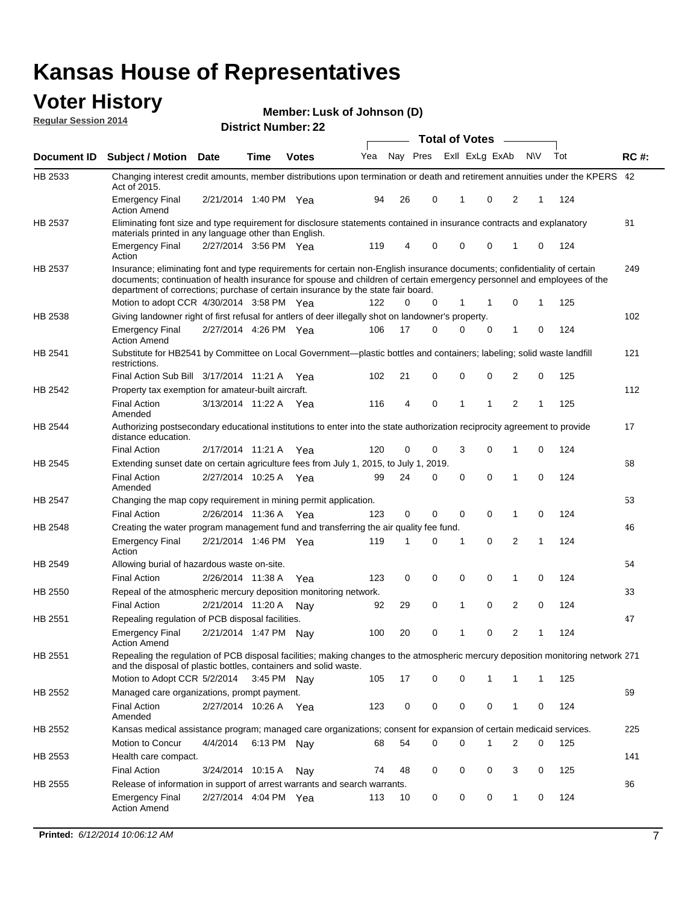#### **Voter History Regular Session 2014**

**Member: Lusk of Johnson (D)** 

|                |                                                                                                                                                                                                                                                                                                                                           |                       |             | <b>DISUILLINUIIIDEL.</b> ZZ |     |    |          | <b>Total of Votes</b> |             | $\sim$         |              |   |     |             |
|----------------|-------------------------------------------------------------------------------------------------------------------------------------------------------------------------------------------------------------------------------------------------------------------------------------------------------------------------------------------|-----------------------|-------------|-----------------------------|-----|----|----------|-----------------------|-------------|----------------|--------------|---|-----|-------------|
| Document ID    | <b>Subject / Motion Date</b>                                                                                                                                                                                                                                                                                                              |                       | Time        | <b>Votes</b>                | Yea |    | Nay Pres |                       |             | Exll ExLg ExAb | <b>NV</b>    |   | Tot | <b>RC#:</b> |
| HB 2533        | Changing interest credit amounts, member distributions upon termination or death and retirement annuities under the KPERS 42<br>Act of 2015.                                                                                                                                                                                              |                       |             |                             |     |    |          |                       |             |                |              |   |     |             |
|                | <b>Emergency Final</b><br><b>Action Amend</b>                                                                                                                                                                                                                                                                                             | 2/21/2014 1:40 PM Yea |             |                             | 94  | 26 | 0        |                       | 1           | 0              | 2            | 1 | 124 |             |
| HB 2537        | Eliminating font size and type requirement for disclosure statements contained in insurance contracts and explanatory<br>materials printed in any language other than English.                                                                                                                                                            |                       |             |                             |     |    |          |                       |             |                |              |   |     | 81          |
|                | <b>Emergency Final</b><br>Action                                                                                                                                                                                                                                                                                                          | 2/27/2014 3:56 PM Yea |             |                             | 119 | 4  | 0        |                       | $\mathbf 0$ | 0              | 1            | 0 | 124 |             |
| <b>HB 2537</b> | Insurance; eliminating font and type requirements for certain non-English insurance documents; confidentiality of certain<br>documents; continuation of health insurance for spouse and children of certain emergency personnel and employees of the<br>department of corrections; purchase of certain insurance by the state fair board. |                       |             |                             |     |    |          |                       |             |                |              |   |     | 249         |
|                | Motion to adopt CCR 4/30/2014 3:58 PM Yea                                                                                                                                                                                                                                                                                                 |                       |             |                             | 122 | 0  | 0        |                       | 1           | 1              | 0            | 1 | 125 |             |
| HB 2538        | Giving landowner right of first refusal for antlers of deer illegally shot on landowner's property.                                                                                                                                                                                                                                       |                       |             |                             |     |    |          |                       |             |                |              |   |     | 102         |
|                | <b>Emergency Final</b><br>Action Amend                                                                                                                                                                                                                                                                                                    | 2/27/2014 4:26 PM Yea |             |                             | 106 | 17 | 0        |                       | 0           | 0              | 1            | 0 | 124 |             |
| HB 2541        | Substitute for HB2541 by Committee on Local Government—plastic bottles and containers; labeling; solid waste landfill<br>restrictions.                                                                                                                                                                                                    |                       |             |                             |     |    |          |                       |             |                |              |   |     | 121         |
|                | Final Action Sub Bill 3/17/2014 11:21 A Yea                                                                                                                                                                                                                                                                                               |                       |             |                             | 102 | 21 | 0        |                       | $\mathbf 0$ | 0              | 2            | 0 | 125 |             |
| HB 2542        | Property tax exemption for amateur-built aircraft.<br><b>Final Action</b>                                                                                                                                                                                                                                                                 | 3/13/2014 11:22 A Yea |             |                             | 116 | 4  | 0        |                       | 1           | 1              | 2            | 1 | 125 | 112         |
| <b>HB 2544</b> | Amended<br>Authorizing postsecondary educational institutions to enter into the state authorization reciprocity agreement to provide<br>distance education.                                                                                                                                                                               |                       |             |                             |     |    |          |                       |             |                |              |   |     | 17          |
|                | Final Action                                                                                                                                                                                                                                                                                                                              | 2/17/2014 11:21 A Yea |             |                             | 120 | 0  | 0        |                       | 3           | 0              | 1            | 0 | 124 |             |
| HB 2545        | Extending sunset date on certain agriculture fees from July 1, 2015, to July 1, 2019.                                                                                                                                                                                                                                                     |                       |             |                             |     |    |          |                       |             |                |              |   |     | 68          |
|                | <b>Final Action</b><br>Amended                                                                                                                                                                                                                                                                                                            | 2/27/2014 10:25 A Yea |             |                             | 99  | 24 | 0        |                       | $\mathbf 0$ | $\Omega$       | 1            | 0 | 124 |             |
| HB 2547        | Changing the map copy requirement in mining permit application.                                                                                                                                                                                                                                                                           |                       |             |                             |     |    |          |                       |             |                |              |   |     | 53          |
|                | <b>Final Action</b>                                                                                                                                                                                                                                                                                                                       | 2/26/2014 11:36 A     |             | Yea                         | 123 | 0  | 0        |                       | 0           | 0              | 1            | 0 | 124 |             |
| <b>HB 2548</b> | Creating the water program management fund and transferring the air quality fee fund.                                                                                                                                                                                                                                                     |                       |             |                             |     |    |          |                       |             |                |              |   |     | 46          |
|                | Emergency Final<br>Action                                                                                                                                                                                                                                                                                                                 | 2/21/2014 1:46 PM Yea |             |                             | 119 | 1  | 0        |                       | 1           | 0              | 2            | 1 | 124 |             |
| HB 2549        | Allowing burial of hazardous waste on-site.                                                                                                                                                                                                                                                                                               |                       |             |                             |     |    |          |                       |             |                |              |   |     | 54          |
|                | <b>Final Action</b>                                                                                                                                                                                                                                                                                                                       | 2/26/2014 11:38 A     |             | Yea                         | 123 | 0  | 0        |                       | $\mathbf 0$ | 0              | 1            | 0 | 124 |             |
| <b>HB 2550</b> | Repeal of the atmospheric mercury deposition monitoring network.                                                                                                                                                                                                                                                                          |                       |             |                             |     |    |          |                       |             |                |              |   |     | 33          |
|                | <b>Final Action</b>                                                                                                                                                                                                                                                                                                                       | 2/21/2014 11:20 A     |             | Nav                         | 92  | 29 | 0        |                       | 1           | 0              | 2            | 0 | 124 |             |
| HB 2551        | Repealing regulation of PCB disposal facilities.                                                                                                                                                                                                                                                                                          |                       |             |                             |     |    |          |                       |             |                |              |   |     | 47          |
|                | Emergency Final<br>Action Amend                                                                                                                                                                                                                                                                                                           | 2/21/2014 1:47 PM Nay |             |                             | 100 | 20 | 0        |                       | 1           | 0              | 2            | 1 | 124 |             |
| HB 2551        | Repealing the regulation of PCB disposal facilities; making changes to the atmospheric mercury deposition monitoring network 271<br>and the disposal of plastic bottles, containers and solid waste.                                                                                                                                      |                       |             |                             |     |    |          |                       |             |                |              |   |     |             |
|                | Motion to Adopt CCR 5/2/2014 3:45 PM Nav                                                                                                                                                                                                                                                                                                  |                       |             |                             | 105 | 17 | 0        |                       | $\mathbf 0$ |                | 1            | 1 | 125 |             |
| HB 2552        | Managed care organizations, prompt payment.                                                                                                                                                                                                                                                                                               |                       |             |                             |     |    |          |                       |             |                |              |   |     | 69          |
|                | Final Action<br>Amended                                                                                                                                                                                                                                                                                                                   | 2/27/2014 10:26 A Yea |             |                             | 123 | 0  | 0        |                       | 0           | 0              | 1            | 0 | 124 |             |
| HB 2552        | Kansas medical assistance program; managed care organizations; consent for expansion of certain medicaid services.                                                                                                                                                                                                                        |                       |             |                             |     |    |          |                       |             |                |              |   |     | 225         |
|                | Motion to Concur                                                                                                                                                                                                                                                                                                                          | 4/4/2014              | 6:13 PM Nay |                             | 68  | 54 | 0        |                       | $\mathbf 0$ | 1              | 2            | 0 | 125 |             |
| HB 2553        | Health care compact.                                                                                                                                                                                                                                                                                                                      |                       |             |                             |     |    |          |                       |             |                |              |   |     | 141         |
|                | <b>Final Action</b>                                                                                                                                                                                                                                                                                                                       | 3/24/2014 10:15 A     |             | Nay                         | 74  | 48 | 0        |                       | 0           | 0              | 3            | 0 | 125 |             |
| HB 2555        | Release of information in support of arrest warrants and search warrants.                                                                                                                                                                                                                                                                 |                       |             |                             |     |    |          |                       |             |                |              |   |     | 86          |
|                | Emergency Final<br><b>Action Amend</b>                                                                                                                                                                                                                                                                                                    | 2/27/2014 4:04 PM Yea |             |                             | 113 | 10 | 0        |                       | 0           | 0              | $\mathbf{1}$ | 0 | 124 |             |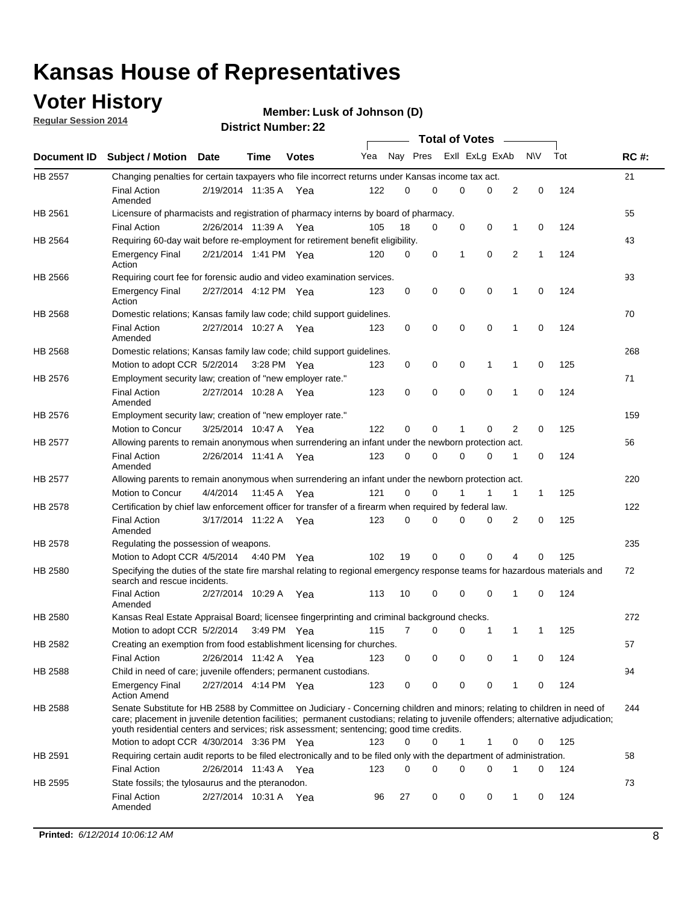### **Voter History**

**Regular Session 2014**

#### **Member: Lusk of Johnson (D)**

|                |                                                                                                                                                                                                                                                                                                                                                           |                       |             |              |     |          |   | <b>Total of Votes</b> |             |              |             |     |             |
|----------------|-----------------------------------------------------------------------------------------------------------------------------------------------------------------------------------------------------------------------------------------------------------------------------------------------------------------------------------------------------------|-----------------------|-------------|--------------|-----|----------|---|-----------------------|-------------|--------------|-------------|-----|-------------|
|                | Document ID Subject / Motion Date                                                                                                                                                                                                                                                                                                                         |                       | Time        | <b>Votes</b> | Yea | Nay Pres |   | Exll ExLg ExAb        |             |              | <b>NV</b>   | Tot | <b>RC#:</b> |
| <b>HB 2557</b> | Changing penalties for certain taxpayers who file incorrect returns under Kansas income tax act.                                                                                                                                                                                                                                                          |                       |             |              |     |          |   |                       |             |              |             |     | 21          |
|                | <b>Final Action</b><br>Amended                                                                                                                                                                                                                                                                                                                            | 2/19/2014 11:35 A     |             | Yea          | 122 | 0        | 0 | 0                     | 0           | 2            | $\mathbf 0$ | 124 |             |
| HB 2561        | Licensure of pharmacists and registration of pharmacy interns by board of pharmacy.                                                                                                                                                                                                                                                                       |                       |             |              |     |          |   |                       |             |              |             |     | 55          |
|                | <b>Final Action</b>                                                                                                                                                                                                                                                                                                                                       | 2/26/2014 11:39 A Yea |             |              | 105 | 18       | 0 | 0                     | 0           | 1            | 0           | 124 |             |
| HB 2564        | Requiring 60-day wait before re-employment for retirement benefit eligibility.                                                                                                                                                                                                                                                                            |                       |             |              |     |          |   |                       |             |              |             |     | 43          |
|                | <b>Emergency Final</b><br>Action                                                                                                                                                                                                                                                                                                                          | 2/21/2014 1:41 PM Yea |             |              | 120 | 0        | 0 | 1                     | 0           | 2            | 1           | 124 |             |
| HB 2566        | Requiring court fee for forensic audio and video examination services.                                                                                                                                                                                                                                                                                    |                       |             |              |     |          |   |                       |             |              |             |     | 93          |
|                | <b>Emergency Final</b><br>Action                                                                                                                                                                                                                                                                                                                          | 2/27/2014 4:12 PM Yea |             |              | 123 | 0        | 0 | 0                     | $\mathbf 0$ | $\mathbf{1}$ | 0           | 124 |             |
| HB 2568        | Domestic relations; Kansas family law code; child support guidelines.                                                                                                                                                                                                                                                                                     |                       |             |              |     |          |   |                       |             |              |             |     | 70          |
|                | <b>Final Action</b><br>Amended                                                                                                                                                                                                                                                                                                                            | 2/27/2014 10:27 A     |             | Yea          | 123 | 0        | 0 | 0                     | $\mathbf 0$ | 1            | 0           | 124 |             |
| HB 2568        | Domestic relations; Kansas family law code; child support guidelines.                                                                                                                                                                                                                                                                                     |                       |             |              |     |          |   |                       |             |              |             |     | 268         |
|                | Motion to adopt CCR 5/2/2014                                                                                                                                                                                                                                                                                                                              |                       | 3:28 PM Yea |              | 123 | 0        | 0 | 0                     | 1           | 1            | $\mathbf 0$ | 125 |             |
| HB 2576        | Employment security law; creation of "new employer rate."                                                                                                                                                                                                                                                                                                 |                       |             |              |     |          |   |                       |             |              |             |     | 71          |
|                | <b>Final Action</b><br>Amended                                                                                                                                                                                                                                                                                                                            | 2/27/2014 10:28 A Yea |             |              | 123 | 0        | 0 | 0                     | 0           | 1            | 0           | 124 |             |
| HB 2576        | Employment security law; creation of "new employer rate."                                                                                                                                                                                                                                                                                                 |                       |             |              |     |          |   |                       |             |              |             |     | 159         |
|                | Motion to Concur                                                                                                                                                                                                                                                                                                                                          | 3/25/2014 10:47 A     |             | Yea          | 122 | 0        | 0 | 1                     | 0           | 2            | 0           | 125 |             |
| HB 2577        | Allowing parents to remain anonymous when surrendering an infant under the newborn protection act.                                                                                                                                                                                                                                                        |                       |             |              |     |          |   |                       |             |              |             |     | 56          |
|                | <b>Final Action</b><br>Amended                                                                                                                                                                                                                                                                                                                            | 2/26/2014 11:41 A Yea |             |              | 123 | $\Omega$ | 0 | 0                     | $\Omega$    | 1            | 0           | 124 |             |
| HB 2577        | Allowing parents to remain anonymous when surrendering an infant under the newborn protection act.                                                                                                                                                                                                                                                        |                       |             |              |     |          |   |                       |             |              |             |     | 220         |
|                | Motion to Concur                                                                                                                                                                                                                                                                                                                                          | 4/4/2014              | 11:45 A     | Yea          | 121 | $\Omega$ | 0 | 1                     | 1           | 1            | 1           | 125 |             |
| HB 2578        | Certification by chief law enforcement officer for transfer of a firearm when required by federal law.                                                                                                                                                                                                                                                    |                       |             |              |     |          |   |                       |             |              |             |     | 122         |
|                | <b>Final Action</b><br>Amended                                                                                                                                                                                                                                                                                                                            | 3/17/2014 11:22 A     |             | Yea          | 123 | 0        | 0 | 0                     | 0           | 2            | 0           | 125 |             |
| HB 2578        | Regulating the possession of weapons.                                                                                                                                                                                                                                                                                                                     |                       |             |              |     |          |   |                       |             |              |             |     | 235         |
|                | Motion to Adopt CCR 4/5/2014 4:40 PM Yea                                                                                                                                                                                                                                                                                                                  |                       |             |              | 102 | 19       | 0 | 0                     | 0           | 4            | 0           | 125 |             |
| HB 2580        | Specifying the duties of the state fire marshal relating to regional emergency response teams for hazardous materials and<br>search and rescue incidents.                                                                                                                                                                                                 |                       |             |              |     |          |   |                       |             |              |             |     | 72          |
|                | <b>Final Action</b><br>Amended                                                                                                                                                                                                                                                                                                                            | 2/27/2014 10:29 A     |             | Yea          | 113 | 10       | 0 | 0                     | $\mathbf 0$ | 1            | 0           | 124 |             |
| HB 2580        | Kansas Real Estate Appraisal Board; licensee fingerprinting and criminal background checks.                                                                                                                                                                                                                                                               |                       |             |              |     |          |   |                       |             |              |             |     | 272         |
|                | Motion to adopt CCR 5/2/2014                                                                                                                                                                                                                                                                                                                              |                       |             | 3:49 PM Yea  | 115 | 7        | 0 | 0                     | 1           | 1            | 1           | 125 |             |
| HB 2582        | Creating an exemption from food establishment licensing for churches.                                                                                                                                                                                                                                                                                     |                       |             |              |     |          |   |                       |             |              |             |     | 57          |
|                | <b>Final Action</b>                                                                                                                                                                                                                                                                                                                                       | 2/26/2014 11:42 A Yea |             |              | 123 | 0        | 0 | 0                     | 0           |              | 0           | 124 |             |
| HB 2588        | Child in need of care; juvenile offenders; permanent custodians.                                                                                                                                                                                                                                                                                          |                       |             |              |     |          |   |                       |             |              |             |     | 94          |
|                | <b>Emergency Final</b><br><b>Action Amend</b>                                                                                                                                                                                                                                                                                                             | 2/27/2014 4:14 PM Yea |             |              | 123 | 0        | 0 | 0                     | 0           | 1            | 0           | 124 |             |
| HB 2588        | Senate Substitute for HB 2588 by Committee on Judiciary - Concerning children and minors; relating to children in need of<br>care; placement in juvenile detention facilities; permanent custodians; relating to juvenile offenders; alternative adjudication;<br>youth residential centers and services; risk assessment; sentencing; good time credits. |                       |             |              |     |          |   |                       |             |              |             |     | 244         |
|                | Motion to adopt CCR 4/30/2014 3:36 PM Yea                                                                                                                                                                                                                                                                                                                 |                       |             |              | 123 | 0        | 0 | 1                     | 1           | 0            | 0           | 125 |             |
| HB 2591        | Requiring certain audit reports to be filed electronically and to be filed only with the department of administration.                                                                                                                                                                                                                                    |                       |             |              |     |          |   |                       |             |              |             |     | 58          |
|                | <b>Final Action</b>                                                                                                                                                                                                                                                                                                                                       | 2/26/2014 11:43 A Yea |             |              | 123 | 0        | 0 | 0                     | 0           | 1            | 0           | 124 |             |
| HB 2595        | State fossils; the tylosaurus and the pteranodon.                                                                                                                                                                                                                                                                                                         |                       |             |              |     |          |   |                       |             |              |             |     | 73          |
|                | <b>Final Action</b><br>Amended                                                                                                                                                                                                                                                                                                                            | 2/27/2014 10:31 A Yea |             |              | 96  | 27       | 0 | 0                     | 0           | 1            | 0           | 124 |             |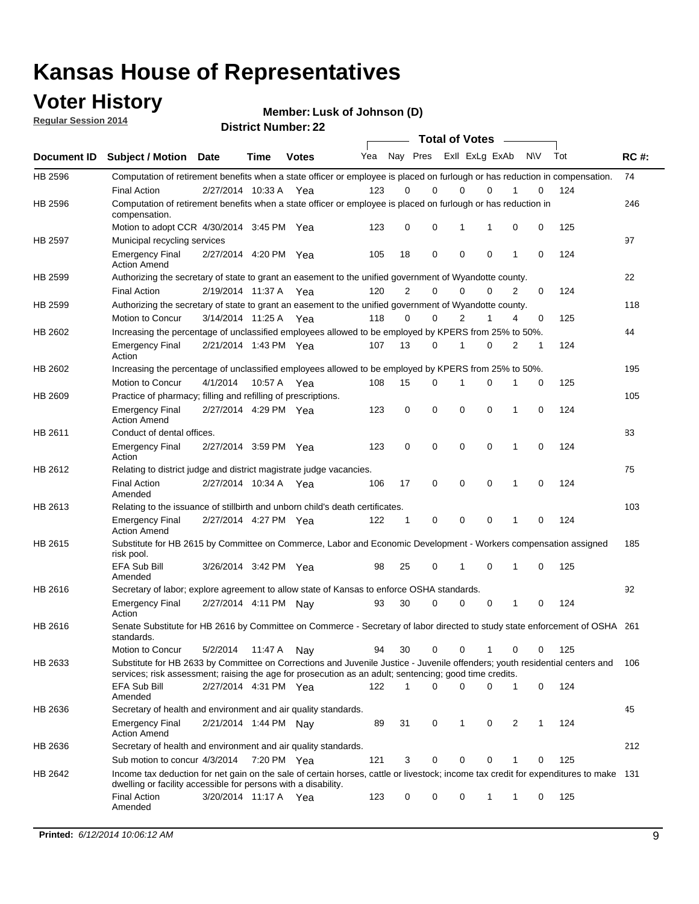### **Voter History**

**Regular Session 2014**

**Member: Lusk of Johnson (D)** 

| <b>District Number: 22</b> |  |
|----------------------------|--|
|                            |  |

|         |                                                                                                                                                                                                                                       |                       |         |              |     |                | <b>Total of Votes</b>   |             |             |              |           |     |             |
|---------|---------------------------------------------------------------------------------------------------------------------------------------------------------------------------------------------------------------------------------------|-----------------------|---------|--------------|-----|----------------|-------------------------|-------------|-------------|--------------|-----------|-----|-------------|
|         | Document ID Subject / Motion Date                                                                                                                                                                                                     |                       | Time    | <b>Votes</b> | Yea |                | Nay Pres Exll ExLg ExAb |             |             |              | <b>NV</b> | Tot | <b>RC#:</b> |
| HB 2596 | Computation of retirement benefits when a state officer or employee is placed on furlough or has reduction in compensation.                                                                                                           |                       |         |              |     |                |                         |             |             |              |           |     | 74          |
|         | <b>Final Action</b>                                                                                                                                                                                                                   | 2/27/2014 10:33 A     |         | Yea          | 123 | 0              | 0                       | $\mathbf 0$ | $\Omega$    |              | 0         | 124 |             |
| HB 2596 | Computation of retirement benefits when a state officer or employee is placed on furlough or has reduction in<br>compensation.                                                                                                        |                       |         |              |     |                |                         |             |             |              |           |     | 246         |
|         | Motion to adopt CCR 4/30/2014 3:45 PM Yea                                                                                                                                                                                             |                       |         |              | 123 | 0              | 0                       | 1           | 1           | 0            | 0         | 125 |             |
| HB 2597 | Municipal recycling services                                                                                                                                                                                                          |                       |         |              |     |                |                         |             |             |              |           |     | 97          |
|         | <b>Emergency Final</b><br><b>Action Amend</b>                                                                                                                                                                                         | 2/27/2014 4:20 PM Yea |         |              | 105 | 18             | 0                       | $\mathbf 0$ | 0           | 1            | 0         | 124 |             |
| HB 2599 | Authorizing the secretary of state to grant an easement to the unified government of Wyandotte county.                                                                                                                                |                       |         |              |     |                |                         |             |             |              |           |     | 22          |
|         | <b>Final Action</b>                                                                                                                                                                                                                   | 2/19/2014 11:37 A     |         | Yea          | 120 | $\overline{2}$ | 0                       | 0           | $\Omega$    | 2            | $\Omega$  | 124 |             |
| HB 2599 | Authorizing the secretary of state to grant an easement to the unified government of Wyandotte county.                                                                                                                                |                       |         |              |     |                |                         |             |             |              |           |     | 118         |
|         | Motion to Concur                                                                                                                                                                                                                      | 3/14/2014 11:25 A Yea |         |              | 118 | 0              | 0                       | 2           | 1           | 4            | 0         | 125 |             |
| HB 2602 | Increasing the percentage of unclassified employees allowed to be employed by KPERS from 25% to 50%.                                                                                                                                  |                       |         |              |     |                |                         |             |             |              |           |     | 44          |
|         | <b>Emergency Final</b><br>Action                                                                                                                                                                                                      | 2/21/2014 1:43 PM Yea |         |              | 107 | 13             | 0                       | 1           | 0           | 2            | 1         | 124 |             |
| HB 2602 | Increasing the percentage of unclassified employees allowed to be employed by KPERS from 25% to 50%.                                                                                                                                  |                       |         |              |     |                |                         |             |             |              |           |     | 195         |
|         | Motion to Concur                                                                                                                                                                                                                      | 4/1/2014              | 10:57 A | Yea          | 108 | 15             | 0                       | 1           | $\mathbf 0$ | 1            | 0         | 125 |             |
| HB 2609 | Practice of pharmacy; filling and refilling of prescriptions.                                                                                                                                                                         |                       |         |              |     |                |                         |             |             |              |           |     | 105         |
|         | <b>Emergency Final</b><br><b>Action Amend</b>                                                                                                                                                                                         | 2/27/2014 4:29 PM Yea |         |              | 123 | 0              | $\mathbf 0$             | $\mathbf 0$ | $\mathbf 0$ | 1            | 0         | 124 |             |
| HB 2611 | Conduct of dental offices.                                                                                                                                                                                                            |                       |         |              |     |                |                         |             |             |              |           |     | 83          |
|         | <b>Emergency Final</b><br>Action                                                                                                                                                                                                      | 2/27/2014 3:59 PM Yea |         |              | 123 | 0              | $\mathbf 0$             | $\mathbf 0$ | 0           | 1            | 0         | 124 |             |
| HB 2612 | Relating to district judge and district magistrate judge vacancies.                                                                                                                                                                   |                       |         |              |     |                |                         |             |             |              |           |     | 75          |
|         | <b>Final Action</b><br>Amended                                                                                                                                                                                                        | 2/27/2014 10:34 A     |         | Yea          | 106 | 17             | $\mathbf 0$             | $\mathbf 0$ | $\mathbf 0$ | 1            | 0         | 124 |             |
| HB 2613 | Relating to the issuance of stillbirth and unborn child's death certificates.                                                                                                                                                         |                       |         |              |     |                |                         |             |             |              |           |     | 103         |
|         | <b>Emergency Final</b><br><b>Action Amend</b>                                                                                                                                                                                         | 2/27/2014 4:27 PM Yea |         |              | 122 | $\mathbf{1}$   | $\mathbf 0$             | $\mathbf 0$ | $\Omega$    | $\mathbf{1}$ | $\Omega$  | 124 |             |
| HB 2615 | Substitute for HB 2615 by Committee on Commerce, Labor and Economic Development - Workers compensation assigned<br>risk pool.                                                                                                         |                       |         |              |     |                |                         |             |             |              |           |     | 185         |
|         | EFA Sub Bill<br>Amended                                                                                                                                                                                                               | 3/26/2014 3:42 PM Yea |         |              | 98  | 25             | 0                       | 1           | $\mathbf 0$ | 1            | 0         | 125 |             |
| HB 2616 | Secretary of labor; explore agreement to allow state of Kansas to enforce OSHA standards.                                                                                                                                             |                       |         |              |     |                |                         |             |             |              |           |     | 92          |
|         | <b>Emergency Final</b><br>Action                                                                                                                                                                                                      | 2/27/2014 4:11 PM Nay |         |              | 93  | 30             | $\Omega$                | $\mathbf 0$ | 0           | 1            | 0         | 124 |             |
| HB 2616 | Senate Substitute for HB 2616 by Committee on Commerce - Secretary of labor directed to study state enforcement of OSHA 261<br>standards.                                                                                             |                       |         |              |     |                |                         |             |             |              |           |     |             |
|         | Motion to Concur                                                                                                                                                                                                                      | 5/2/2014 11:47 A Nay  |         |              | 94  | 30             | 0                       | 0           | 1           | 0            | 0         | 125 |             |
| HB 2633 | Substitute for HB 2633 by Committee on Corrections and Juvenile Justice - Juvenile offenders; youth residential centers and<br>services; risk assessment; raising the age for prosecution as an adult; sentencing; good time credits. |                       |         |              |     |                |                         |             |             |              |           |     | 106         |
|         | EFA Sub Bill<br>Amended                                                                                                                                                                                                               | 2/27/2014 4:31 PM Yea |         |              | 122 | 1              | $\Omega$                | $\Omega$    | 0           | 1            | 0         | 124 |             |
| HB 2636 | Secretary of health and environment and air quality standards.                                                                                                                                                                        |                       |         |              |     |                |                         |             |             |              |           |     | 45          |
|         | <b>Emergency Final</b><br><b>Action Amend</b>                                                                                                                                                                                         | 2/21/2014 1:44 PM Nav |         |              | 89  | 31             | 0                       | 1           | 0           | 2            | 1         | 124 |             |
| HB 2636 | Secretary of health and environment and air quality standards.                                                                                                                                                                        |                       |         |              |     |                |                         |             |             |              |           |     | 212         |
|         | Sub motion to concur 4/3/2014 7:20 PM Yea                                                                                                                                                                                             |                       |         |              | 121 | 3              | 0                       | 0           | 0           |              | 0         | 125 |             |
| HB 2642 | Income tax deduction for net gain on the sale of certain horses, cattle or livestock; income tax credit for expenditures to make 131                                                                                                  |                       |         |              |     |                |                         |             |             |              |           |     |             |
|         | dwelling or facility accessible for persons with a disability.<br><b>Final Action</b>                                                                                                                                                 | 3/20/2014 11:17 A Yea |         |              | 123 | 0              | 0                       | 0           | 1           | 1            | 0         | 125 |             |
|         | Amended                                                                                                                                                                                                                               |                       |         |              |     |                |                         |             |             |              |           |     |             |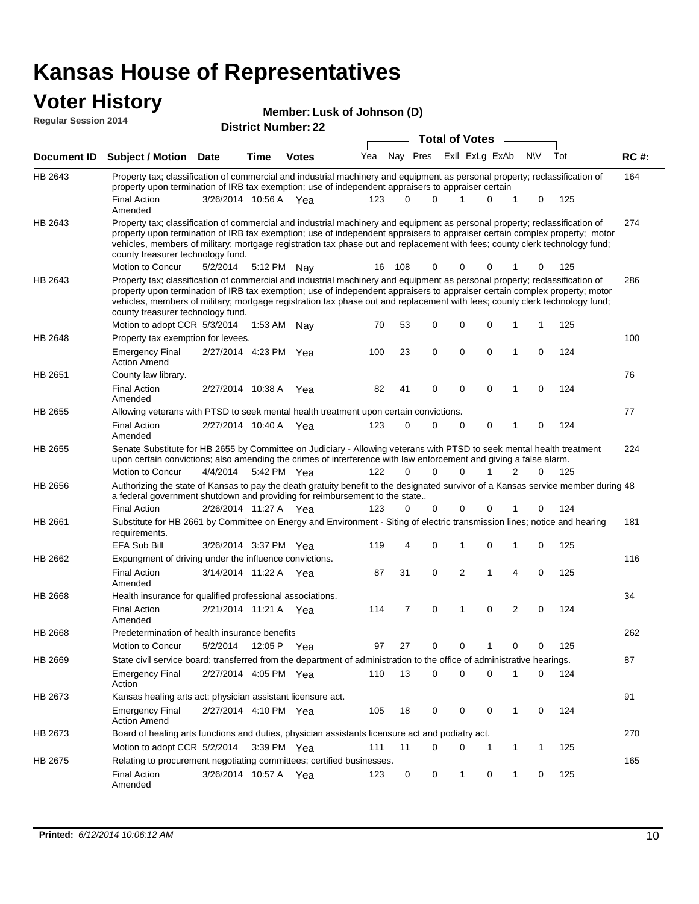#### **Voter History Regular Session 2014**

| Member: Lusk of Johnson (D) |
|-----------------------------|
|                             |

| דושב ווטופסטט ומוסף וח |                                                                                                                                                                                                                                                                                                                                                                                                                                                   | <b>District Number: 22</b><br><b>Total of Votes</b> |             |              |     |             |          |   |             |                |             |     |             |
|------------------------|---------------------------------------------------------------------------------------------------------------------------------------------------------------------------------------------------------------------------------------------------------------------------------------------------------------------------------------------------------------------------------------------------------------------------------------------------|-----------------------------------------------------|-------------|--------------|-----|-------------|----------|---|-------------|----------------|-------------|-----|-------------|
|                        |                                                                                                                                                                                                                                                                                                                                                                                                                                                   |                                                     |             |              |     |             |          |   |             | $\sim$         |             |     |             |
| <b>Document ID</b>     | <b>Subject / Motion Date</b>                                                                                                                                                                                                                                                                                                                                                                                                                      |                                                     | Time        | <b>Votes</b> | Yea |             | Nay Pres |   |             | ExII ExLg ExAb | <b>NV</b>   | Tot | <b>RC#:</b> |
| HB 2643                | Property tax; classification of commercial and industrial machinery and equipment as personal property; reclassification of<br>property upon termination of IRB tax exemption; use of independent appraisers to appraiser certain                                                                                                                                                                                                                 |                                                     |             |              |     |             |          |   |             |                |             |     | 164         |
|                        | Final Action<br>Amended                                                                                                                                                                                                                                                                                                                                                                                                                           | 3/26/2014 10:56 A Yea                               |             |              | 123 | $\Omega$    | $\Omega$ |   | 1           | 0<br>1         | 0           | 125 |             |
| HB 2643                | Property tax; classification of commercial and industrial machinery and equipment as personal property; reclassification of<br>property upon termination of IRB tax exemption; use of independent appraisers to appraiser certain complex property; motor<br>vehicles, members of military; mortgage registration tax phase out and replacement with fees; county clerk technology fund;<br>county treasurer technology fund.<br>Motion to Concur |                                                     |             |              | 16  | 108         | 0        |   | 0           | 0              | $\Omega$    | 125 | 274         |
|                        |                                                                                                                                                                                                                                                                                                                                                                                                                                                   | 5/2/2014                                            |             | 5:12 PM Nav  |     |             |          |   |             |                |             |     |             |
| HB 2643                | Property tax; classification of commercial and industrial machinery and equipment as personal property; reclassification of<br>property upon termination of IRB tax exemption; use of independent appraisers to appraiser certain complex property; motor<br>vehicles, members of military; mortgage registration tax phase out and replacement with fees; county clerk technology fund;<br>county treasurer technology fund.                     |                                                     |             |              |     |             |          |   |             |                |             |     | 286         |
|                        | Motion to adopt CCR 5/3/2014                                                                                                                                                                                                                                                                                                                                                                                                                      |                                                     |             | 1:53 AM Nay  | 70  | 53          | 0        |   | 0           | 0<br>1         | -1          | 125 |             |
| HB 2648                | Property tax exemption for levees.                                                                                                                                                                                                                                                                                                                                                                                                                |                                                     |             |              |     |             |          |   |             |                |             |     | 100         |
|                        | <b>Emergency Final</b><br><b>Action Amend</b>                                                                                                                                                                                                                                                                                                                                                                                                     | 2/27/2014 4:23 PM Yea                               |             |              | 100 | 23          | 0        |   | $\mathbf 0$ | 0<br>1         | 0           | 124 |             |
| HB 2651                | County law library.                                                                                                                                                                                                                                                                                                                                                                                                                               |                                                     |             |              |     |             |          |   |             |                |             |     | 76          |
|                        | <b>Final Action</b><br>Amended                                                                                                                                                                                                                                                                                                                                                                                                                    | 2/27/2014 10:38 A                                   |             | Yea          | 82  | 41          | 0        |   | $\mathbf 0$ | $\Omega$<br>1  | $\Omega$    | 124 |             |
| HB 2655                | Allowing veterans with PTSD to seek mental health treatment upon certain convictions.                                                                                                                                                                                                                                                                                                                                                             |                                                     |             |              |     |             |          |   |             |                |             |     | 77          |
|                        | <b>Final Action</b><br>Amended                                                                                                                                                                                                                                                                                                                                                                                                                    | 2/27/2014 10:40 A                                   |             | Yea          | 123 | $\mathbf 0$ | 0        |   | 0           | 0<br>1         | 0           | 124 |             |
| HB 2655                | Senate Substitute for HB 2655 by Committee on Judiciary - Allowing veterans with PTSD to seek mental health treatment<br>upon certain convictions; also amending the crimes of interference with law enforcement and giving a false alarm.                                                                                                                                                                                                        |                                                     |             |              |     |             |          |   |             |                |             |     | 224         |
|                        | Motion to Concur                                                                                                                                                                                                                                                                                                                                                                                                                                  | 4/4/2014                                            |             | 5:42 PM Yea  | 122 | $\Omega$    | $\Omega$ |   | 0           | 2<br>1         | $\Omega$    | 125 |             |
| HB 2656                | Authorizing the state of Kansas to pay the death gratuity benefit to the designated survivor of a Kansas service member during 48<br>a federal government shutdown and providing for reimbursement to the state                                                                                                                                                                                                                                   |                                                     |             |              |     |             |          |   |             |                |             |     |             |
|                        | <b>Final Action</b>                                                                                                                                                                                                                                                                                                                                                                                                                               | 2/26/2014 11:27 A Yea                               |             |              | 123 | 0           | 0        |   | 0           | 0              | 0           | 124 |             |
| HB 2661                | Substitute for HB 2661 by Committee on Energy and Environment - Siting of electric transmission lines; notice and hearing<br>requirements.                                                                                                                                                                                                                                                                                                        |                                                     |             |              |     |             |          |   |             |                |             |     | 181         |
|                        | EFA Sub Bill                                                                                                                                                                                                                                                                                                                                                                                                                                      | 3/26/2014 3:37 PM Yea                               |             |              | 119 | 4           | 0        |   | 1           | 0<br>1         | 0           | 125 |             |
| HB 2662                | Expungment of driving under the influence convictions.                                                                                                                                                                                                                                                                                                                                                                                            |                                                     |             |              |     |             |          |   |             |                |             |     | 116         |
|                        | <b>Final Action</b><br>Amended                                                                                                                                                                                                                                                                                                                                                                                                                    | 3/14/2014 11:22 A Yea                               |             |              | 87  | 31          | 0        |   | 2           | 1<br>4         | 0           | 125 |             |
| HB 2668                | Health insurance for qualified professional associations.                                                                                                                                                                                                                                                                                                                                                                                         |                                                     |             |              |     |             |          |   |             |                |             |     | 34          |
|                        | <b>Final Action</b><br>Amended                                                                                                                                                                                                                                                                                                                                                                                                                    | 2/21/2014 11:21 A Yea                               |             |              | 114 | 7           | 0        | 1 |             | 2<br>0         | 0           | 124 |             |
| <b>HB 2668</b>         | Predetermination of health insurance benefits                                                                                                                                                                                                                                                                                                                                                                                                     |                                                     |             |              |     |             |          |   |             |                |             |     | 262         |
|                        | Motion to Concur                                                                                                                                                                                                                                                                                                                                                                                                                                  | 5/2/2014                                            | 12:05 P Yea |              | 97  | 27          | 0        |   | 0           | 0              | 0           | 125 |             |
| HB 2669                | State civil service board; transferred from the department of administration to the office of administrative hearings.                                                                                                                                                                                                                                                                                                                            |                                                     |             |              |     |             |          |   |             |                |             |     | 87          |
|                        | <b>Emergency Final</b><br>Action                                                                                                                                                                                                                                                                                                                                                                                                                  | 2/27/2014 4:05 PM Yea                               |             |              | 110 | 13          | 0        |   | 0           | 0<br>1         | 0           | 124 |             |
| HB 2673                | Kansas healing arts act; physician assistant licensure act.                                                                                                                                                                                                                                                                                                                                                                                       |                                                     |             |              |     |             |          |   |             |                |             |     | 91          |
|                        | <b>Emergency Final</b><br><b>Action Amend</b>                                                                                                                                                                                                                                                                                                                                                                                                     | 2/27/2014 4:10 PM Yea                               |             |              | 105 | 18          | 0        |   | 0           | 0<br>1         | 0           | 124 |             |
| HB 2673                | Board of healing arts functions and duties, physician assistants licensure act and podiatry act.                                                                                                                                                                                                                                                                                                                                                  |                                                     |             |              |     |             |          |   |             |                |             |     | 270         |
|                        | Motion to adopt CCR 5/2/2014                                                                                                                                                                                                                                                                                                                                                                                                                      |                                                     |             | 3:39 PM Yea  | 111 | 11          | 0        |   | 0           | 1<br>1         | $\mathbf 1$ | 125 |             |
| HB 2675                | Relating to procurement negotiating committees; certified businesses.                                                                                                                                                                                                                                                                                                                                                                             |                                                     |             |              |     |             |          |   |             |                |             |     | 165         |
|                        | <b>Final Action</b><br>Amended                                                                                                                                                                                                                                                                                                                                                                                                                    | 3/26/2014 10:57 A Yea                               |             |              | 123 | 0           | 0        |   | 1           | 0<br>1         | 0           | 125 |             |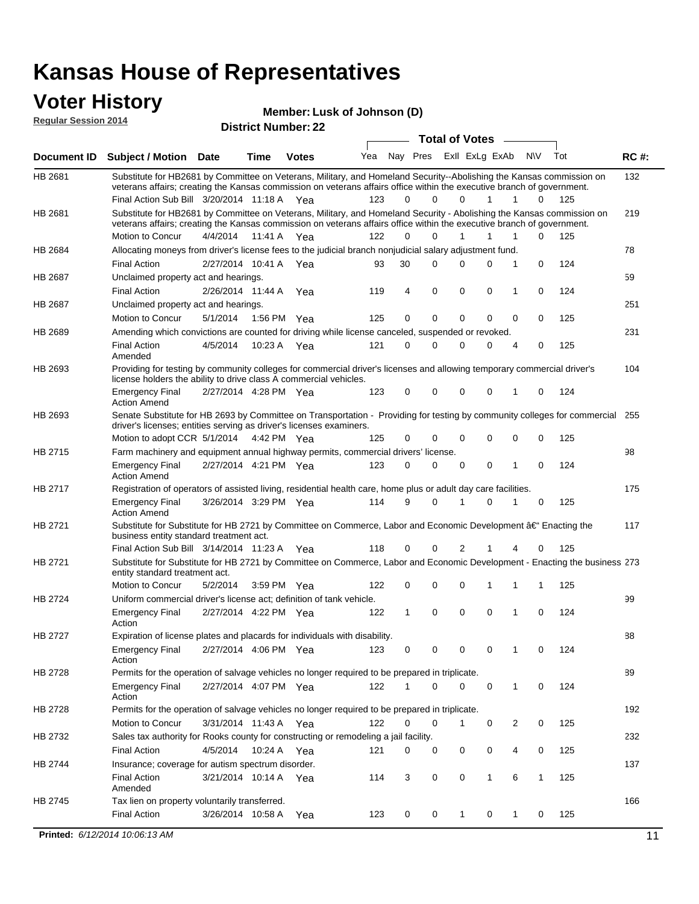#### **Voter History Regular Session 2014**

**Lusk of Johnson (D)**

| <b>Total of Votes</b><br>Nay Pres Exll ExLg ExAb<br>Yea<br>N\V<br>Tot<br><b>RC#:</b><br><b>Document ID</b><br><b>Subject / Motion Date</b><br><b>Time</b><br><b>Votes</b><br>132<br>HB 2681<br>Substitute for HB2681 by Committee on Veterans, Military, and Homeland Security--Abolishing the Kansas commission on<br>veterans affairs; creating the Kansas commission on veterans affairs office within the executive branch of government.<br>Final Action Sub Bill 3/20/2014 11:18 A Yea<br>123<br>0<br>$\Omega$<br>$\Omega$<br>125<br>1<br>1<br>0<br>Substitute for HB2681 by Committee on Veterans, Military, and Homeland Security - Abolishing the Kansas commission on<br>HB 2681<br>219<br>veterans affairs; creating the Kansas commission on veterans affairs office within the executive branch of government.<br>Motion to Concur<br>4/4/2014<br>11:41 A<br>122<br>0<br>$\Omega$<br>1<br>1<br>$\Omega$<br>125<br>1<br>Yea<br>78<br>Allocating moneys from driver's license fees to the judicial branch nonjudicial salary adjustment fund.<br>HB 2684<br>30<br>$\mathbf 0$<br>124<br><b>Final Action</b><br>2/27/2014 10:41 A Yea<br>$\Omega$<br>0<br>0<br>1<br>93<br>59<br><b>HB 2687</b><br>Unclaimed property act and hearings.<br>$\mathbf 0$<br>$\mathbf 0$<br>0<br>124<br><b>Final Action</b><br>2/26/2014 11:44 A<br>119<br>4<br>0<br>1<br>Yea<br>Unclaimed property act and hearings.<br>251<br>HB 2687<br>0<br>Motion to Concur<br>5/1/2014<br>1:56 PM Yea<br>125<br>0<br>0<br>0<br>0<br>0<br>125<br>Amending which convictions are counted for driving while license canceled, suspended or revoked.<br>231<br>HB 2689<br><b>Final Action</b><br>4/5/2014<br>10:23 A<br>121<br>0<br>$\Omega$<br>0<br>0<br>4<br>0<br>125<br>Yea<br>Amended<br>Providing for testing by community colleges for commercial driver's licenses and allowing temporary commercial driver's<br>HB 2693<br>104<br>license holders the ability to drive class A commercial vehicles.<br>2/27/2014 4:28 PM Yea<br>123<br>0<br>0<br>0<br>0<br>$\mathbf 0$<br>124<br><b>Emergency Final</b><br>1<br><b>Action Amend</b><br>Senate Substitute for HB 2693 by Committee on Transportation - Providing for testing by community colleges for commercial<br>HB 2693<br>255<br>driver's licenses; entities serving as driver's licenses examiners.<br>Motion to adopt CCR 5/1/2014<br>0<br>$\mathbf 0$<br>125<br>4:42 PM Yea<br>125<br>0<br>$\Omega$<br>0<br>0<br>HB 2715<br>98<br>Farm machinery and equipment annual highway permits, commercial drivers' license.<br>2/27/2014 4:21 PM Yea<br>123<br>0<br>0<br>0<br>0<br>$\mathbf 0$<br>124<br><b>Emergency Final</b><br>1<br><b>Action Amend</b><br>HB 2717<br>Registration of operators of assisted living, residential health care, home plus or adult day care facilities.<br>175<br>3/26/2014 3:29 PM Yea<br>114<br>9<br>$\Omega$<br>0<br>125<br><b>Emergency Final</b><br>1<br>1<br>0<br><b>Action Amend</b><br>HB 2721<br>Substitute for Substitute for HB 2721 by Committee on Commerce, Labor and Economic Development †Enacting the<br>117<br>business entity standard treatment act.<br>118<br>125<br>Final Action Sub Bill 3/14/2014 11:23 A Yea<br>0<br>$\Omega$<br>2<br>0<br>HB 2721<br>Substitute for Substitute for HB 2721 by Committee on Commerce, Labor and Economic Development - Enacting the business 273<br>entity standard treatment act.<br>Motion to Concur<br>122<br>0<br>0<br>125<br>5/2/2014<br>3:59 PM Yea<br>0<br>1<br>1<br>1<br>HB 2724<br>99<br>Uniform commercial driver's license act; definition of tank vehicle.<br>2/27/2014 4:22 PM Yea<br>0<br>0<br>0<br>$\mathbf 0$<br>124<br><b>Emergency Final</b><br>122<br>1<br>1<br>Action<br>HB 2727<br>Expiration of license plates and placards for individuals with disability.<br>88<br><b>Emergency Final</b><br>2/27/2014 4:06 PM Yea<br>123<br>0<br>124<br>0<br>0<br>0<br>1<br>0<br>Action<br>Permits for the operation of salvage vehicles no longer required to be prepared in triplicate.<br>89<br>HB 2728<br>2/27/2014 4:07 PM Yea<br>122<br>0<br>0<br>124<br><b>Emergency Final</b><br>0<br>0<br>1<br>1<br>Action<br>192<br>HB 2728<br>Permits for the operation of salvage vehicles no longer required to be prepared in triplicate.<br><b>Motion to Concur</b><br>3/31/2014 11:43 A Yea<br>122<br>0<br>2<br>0<br>125<br>0<br>0<br>1<br>Sales tax authority for Rooks county for constructing or remodeling a jail facility.<br>232<br>HB 2732<br><b>Final Action</b><br>4/5/2014<br>10:24 A Yea<br>0<br>0<br>125<br>121<br>0<br>0<br>0<br>4<br>Insurance; coverage for autism spectrum disorder.<br>137<br>HB 2744<br>6<br>125<br><b>Final Action</b><br>3/21/2014 10:14 A Yea<br>114<br>3<br>0<br>0<br>$\mathbf{1}$<br>$\mathbf{1}$<br>Amended<br>Tax lien on property voluntarily transferred.<br>166<br>HB 2745<br><b>Final Action</b><br>3/26/2014 10:58 A<br>0<br>125<br>123<br>0<br>1<br>0<br>1<br>0<br>Yea<br>Printed: 6/12/2014 10:06:13 AM<br>11 | nuyurur Uuddivii 4017 |  | <b>District Number: 22</b> |  |  |  |  |  |
|---------------------------------------------------------------------------------------------------------------------------------------------------------------------------------------------------------------------------------------------------------------------------------------------------------------------------------------------------------------------------------------------------------------------------------------------------------------------------------------------------------------------------------------------------------------------------------------------------------------------------------------------------------------------------------------------------------------------------------------------------------------------------------------------------------------------------------------------------------------------------------------------------------------------------------------------------------------------------------------------------------------------------------------------------------------------------------------------------------------------------------------------------------------------------------------------------------------------------------------------------------------------------------------------------------------------------------------------------------------------------------------------------------------------------------------------------------------------------------------------------------------------------------------------------------------------------------------------------------------------------------------------------------------------------------------------------------------------------------------------------------------------------------------------------------------------------------------------------------------------------------------------------------------------------------------------------------------------------------------------------------------------------------------------------------------------------------------------------------------------------------------------------------------------------------------------------------------------------------------------------------------------------------------------------------------------------------------------------------------------------------------------------------------------------------------------------------------------------------------------------------------------------------------------------------------------------------------------------------------------------------------------------------------------------------------------------------------------------------------------------------------------------------------------------------------------------------------------------------------------------------------------------------------------------------------------------------------------------------------------------------------------------------------------------------------------------------------------------------------------------------------------------------------------------------------------------------------------------------------------------------------------------------------------------------------------------------------------------------------------------------------------------------------------------------------------------------------------------------------------------------------------------------------------------------------------------------------------------------------------------------------------------------------------------------------------------------------------------------------------------------------------------------------------------------------------------------------------------------------------------------------------------------------------------------------------------------------------------------------------------------------------------------------------------------------------------------------------------------------------------------------------------------------------------------------------------------------------------------------------------------------------------------------------------------------------------------------------------------------------------------------------------------------------------------------------------------------------------------------------------------------------------------------------------------------------------------------------------------------------------------------------------------------------------------------------------------------------------------------------------------------------------------------------------------------------------------------------------------------------------------------------------------------------------------------------------------------------------------------------------|-----------------------|--|----------------------------|--|--|--|--|--|
|                                                                                                                                                                                                                                                                                                                                                                                                                                                                                                                                                                                                                                                                                                                                                                                                                                                                                                                                                                                                                                                                                                                                                                                                                                                                                                                                                                                                                                                                                                                                                                                                                                                                                                                                                                                                                                                                                                                                                                                                                                                                                                                                                                                                                                                                                                                                                                                                                                                                                                                                                                                                                                                                                                                                                                                                                                                                                                                                                                                                                                                                                                                                                                                                                                                                                                                                                                                                                                                                                                                                                                                                                                                                                                                                                                                                                                                                                                                                                                                                                                                                                                                                                                                                                                                                                                                                                                                                                                                                                                                                                                                                                                                                                                                                                                                                                                                                                                                                                                                                   |                       |  |                            |  |  |  |  |  |
|                                                                                                                                                                                                                                                                                                                                                                                                                                                                                                                                                                                                                                                                                                                                                                                                                                                                                                                                                                                                                                                                                                                                                                                                                                                                                                                                                                                                                                                                                                                                                                                                                                                                                                                                                                                                                                                                                                                                                                                                                                                                                                                                                                                                                                                                                                                                                                                                                                                                                                                                                                                                                                                                                                                                                                                                                                                                                                                                                                                                                                                                                                                                                                                                                                                                                                                                                                                                                                                                                                                                                                                                                                                                                                                                                                                                                                                                                                                                                                                                                                                                                                                                                                                                                                                                                                                                                                                                                                                                                                                                                                                                                                                                                                                                                                                                                                                                                                                                                                                                   |                       |  |                            |  |  |  |  |  |
|                                                                                                                                                                                                                                                                                                                                                                                                                                                                                                                                                                                                                                                                                                                                                                                                                                                                                                                                                                                                                                                                                                                                                                                                                                                                                                                                                                                                                                                                                                                                                                                                                                                                                                                                                                                                                                                                                                                                                                                                                                                                                                                                                                                                                                                                                                                                                                                                                                                                                                                                                                                                                                                                                                                                                                                                                                                                                                                                                                                                                                                                                                                                                                                                                                                                                                                                                                                                                                                                                                                                                                                                                                                                                                                                                                                                                                                                                                                                                                                                                                                                                                                                                                                                                                                                                                                                                                                                                                                                                                                                                                                                                                                                                                                                                                                                                                                                                                                                                                                                   |                       |  |                            |  |  |  |  |  |
|                                                                                                                                                                                                                                                                                                                                                                                                                                                                                                                                                                                                                                                                                                                                                                                                                                                                                                                                                                                                                                                                                                                                                                                                                                                                                                                                                                                                                                                                                                                                                                                                                                                                                                                                                                                                                                                                                                                                                                                                                                                                                                                                                                                                                                                                                                                                                                                                                                                                                                                                                                                                                                                                                                                                                                                                                                                                                                                                                                                                                                                                                                                                                                                                                                                                                                                                                                                                                                                                                                                                                                                                                                                                                                                                                                                                                                                                                                                                                                                                                                                                                                                                                                                                                                                                                                                                                                                                                                                                                                                                                                                                                                                                                                                                                                                                                                                                                                                                                                                                   |                       |  |                            |  |  |  |  |  |
|                                                                                                                                                                                                                                                                                                                                                                                                                                                                                                                                                                                                                                                                                                                                                                                                                                                                                                                                                                                                                                                                                                                                                                                                                                                                                                                                                                                                                                                                                                                                                                                                                                                                                                                                                                                                                                                                                                                                                                                                                                                                                                                                                                                                                                                                                                                                                                                                                                                                                                                                                                                                                                                                                                                                                                                                                                                                                                                                                                                                                                                                                                                                                                                                                                                                                                                                                                                                                                                                                                                                                                                                                                                                                                                                                                                                                                                                                                                                                                                                                                                                                                                                                                                                                                                                                                                                                                                                                                                                                                                                                                                                                                                                                                                                                                                                                                                                                                                                                                                                   |                       |  |                            |  |  |  |  |  |
|                                                                                                                                                                                                                                                                                                                                                                                                                                                                                                                                                                                                                                                                                                                                                                                                                                                                                                                                                                                                                                                                                                                                                                                                                                                                                                                                                                                                                                                                                                                                                                                                                                                                                                                                                                                                                                                                                                                                                                                                                                                                                                                                                                                                                                                                                                                                                                                                                                                                                                                                                                                                                                                                                                                                                                                                                                                                                                                                                                                                                                                                                                                                                                                                                                                                                                                                                                                                                                                                                                                                                                                                                                                                                                                                                                                                                                                                                                                                                                                                                                                                                                                                                                                                                                                                                                                                                                                                                                                                                                                                                                                                                                                                                                                                                                                                                                                                                                                                                                                                   |                       |  |                            |  |  |  |  |  |
|                                                                                                                                                                                                                                                                                                                                                                                                                                                                                                                                                                                                                                                                                                                                                                                                                                                                                                                                                                                                                                                                                                                                                                                                                                                                                                                                                                                                                                                                                                                                                                                                                                                                                                                                                                                                                                                                                                                                                                                                                                                                                                                                                                                                                                                                                                                                                                                                                                                                                                                                                                                                                                                                                                                                                                                                                                                                                                                                                                                                                                                                                                                                                                                                                                                                                                                                                                                                                                                                                                                                                                                                                                                                                                                                                                                                                                                                                                                                                                                                                                                                                                                                                                                                                                                                                                                                                                                                                                                                                                                                                                                                                                                                                                                                                                                                                                                                                                                                                                                                   |                       |  |                            |  |  |  |  |  |
|                                                                                                                                                                                                                                                                                                                                                                                                                                                                                                                                                                                                                                                                                                                                                                                                                                                                                                                                                                                                                                                                                                                                                                                                                                                                                                                                                                                                                                                                                                                                                                                                                                                                                                                                                                                                                                                                                                                                                                                                                                                                                                                                                                                                                                                                                                                                                                                                                                                                                                                                                                                                                                                                                                                                                                                                                                                                                                                                                                                                                                                                                                                                                                                                                                                                                                                                                                                                                                                                                                                                                                                                                                                                                                                                                                                                                                                                                                                                                                                                                                                                                                                                                                                                                                                                                                                                                                                                                                                                                                                                                                                                                                                                                                                                                                                                                                                                                                                                                                                                   |                       |  |                            |  |  |  |  |  |
|                                                                                                                                                                                                                                                                                                                                                                                                                                                                                                                                                                                                                                                                                                                                                                                                                                                                                                                                                                                                                                                                                                                                                                                                                                                                                                                                                                                                                                                                                                                                                                                                                                                                                                                                                                                                                                                                                                                                                                                                                                                                                                                                                                                                                                                                                                                                                                                                                                                                                                                                                                                                                                                                                                                                                                                                                                                                                                                                                                                                                                                                                                                                                                                                                                                                                                                                                                                                                                                                                                                                                                                                                                                                                                                                                                                                                                                                                                                                                                                                                                                                                                                                                                                                                                                                                                                                                                                                                                                                                                                                                                                                                                                                                                                                                                                                                                                                                                                                                                                                   |                       |  |                            |  |  |  |  |  |
|                                                                                                                                                                                                                                                                                                                                                                                                                                                                                                                                                                                                                                                                                                                                                                                                                                                                                                                                                                                                                                                                                                                                                                                                                                                                                                                                                                                                                                                                                                                                                                                                                                                                                                                                                                                                                                                                                                                                                                                                                                                                                                                                                                                                                                                                                                                                                                                                                                                                                                                                                                                                                                                                                                                                                                                                                                                                                                                                                                                                                                                                                                                                                                                                                                                                                                                                                                                                                                                                                                                                                                                                                                                                                                                                                                                                                                                                                                                                                                                                                                                                                                                                                                                                                                                                                                                                                                                                                                                                                                                                                                                                                                                                                                                                                                                                                                                                                                                                                                                                   |                       |  |                            |  |  |  |  |  |
|                                                                                                                                                                                                                                                                                                                                                                                                                                                                                                                                                                                                                                                                                                                                                                                                                                                                                                                                                                                                                                                                                                                                                                                                                                                                                                                                                                                                                                                                                                                                                                                                                                                                                                                                                                                                                                                                                                                                                                                                                                                                                                                                                                                                                                                                                                                                                                                                                                                                                                                                                                                                                                                                                                                                                                                                                                                                                                                                                                                                                                                                                                                                                                                                                                                                                                                                                                                                                                                                                                                                                                                                                                                                                                                                                                                                                                                                                                                                                                                                                                                                                                                                                                                                                                                                                                                                                                                                                                                                                                                                                                                                                                                                                                                                                                                                                                                                                                                                                                                                   |                       |  |                            |  |  |  |  |  |
|                                                                                                                                                                                                                                                                                                                                                                                                                                                                                                                                                                                                                                                                                                                                                                                                                                                                                                                                                                                                                                                                                                                                                                                                                                                                                                                                                                                                                                                                                                                                                                                                                                                                                                                                                                                                                                                                                                                                                                                                                                                                                                                                                                                                                                                                                                                                                                                                                                                                                                                                                                                                                                                                                                                                                                                                                                                                                                                                                                                                                                                                                                                                                                                                                                                                                                                                                                                                                                                                                                                                                                                                                                                                                                                                                                                                                                                                                                                                                                                                                                                                                                                                                                                                                                                                                                                                                                                                                                                                                                                                                                                                                                                                                                                                                                                                                                                                                                                                                                                                   |                       |  |                            |  |  |  |  |  |
|                                                                                                                                                                                                                                                                                                                                                                                                                                                                                                                                                                                                                                                                                                                                                                                                                                                                                                                                                                                                                                                                                                                                                                                                                                                                                                                                                                                                                                                                                                                                                                                                                                                                                                                                                                                                                                                                                                                                                                                                                                                                                                                                                                                                                                                                                                                                                                                                                                                                                                                                                                                                                                                                                                                                                                                                                                                                                                                                                                                                                                                                                                                                                                                                                                                                                                                                                                                                                                                                                                                                                                                                                                                                                                                                                                                                                                                                                                                                                                                                                                                                                                                                                                                                                                                                                                                                                                                                                                                                                                                                                                                                                                                                                                                                                                                                                                                                                                                                                                                                   |                       |  |                            |  |  |  |  |  |
|                                                                                                                                                                                                                                                                                                                                                                                                                                                                                                                                                                                                                                                                                                                                                                                                                                                                                                                                                                                                                                                                                                                                                                                                                                                                                                                                                                                                                                                                                                                                                                                                                                                                                                                                                                                                                                                                                                                                                                                                                                                                                                                                                                                                                                                                                                                                                                                                                                                                                                                                                                                                                                                                                                                                                                                                                                                                                                                                                                                                                                                                                                                                                                                                                                                                                                                                                                                                                                                                                                                                                                                                                                                                                                                                                                                                                                                                                                                                                                                                                                                                                                                                                                                                                                                                                                                                                                                                                                                                                                                                                                                                                                                                                                                                                                                                                                                                                                                                                                                                   |                       |  |                            |  |  |  |  |  |
|                                                                                                                                                                                                                                                                                                                                                                                                                                                                                                                                                                                                                                                                                                                                                                                                                                                                                                                                                                                                                                                                                                                                                                                                                                                                                                                                                                                                                                                                                                                                                                                                                                                                                                                                                                                                                                                                                                                                                                                                                                                                                                                                                                                                                                                                                                                                                                                                                                                                                                                                                                                                                                                                                                                                                                                                                                                                                                                                                                                                                                                                                                                                                                                                                                                                                                                                                                                                                                                                                                                                                                                                                                                                                                                                                                                                                                                                                                                                                                                                                                                                                                                                                                                                                                                                                                                                                                                                                                                                                                                                                                                                                                                                                                                                                                                                                                                                                                                                                                                                   |                       |  |                            |  |  |  |  |  |
|                                                                                                                                                                                                                                                                                                                                                                                                                                                                                                                                                                                                                                                                                                                                                                                                                                                                                                                                                                                                                                                                                                                                                                                                                                                                                                                                                                                                                                                                                                                                                                                                                                                                                                                                                                                                                                                                                                                                                                                                                                                                                                                                                                                                                                                                                                                                                                                                                                                                                                                                                                                                                                                                                                                                                                                                                                                                                                                                                                                                                                                                                                                                                                                                                                                                                                                                                                                                                                                                                                                                                                                                                                                                                                                                                                                                                                                                                                                                                                                                                                                                                                                                                                                                                                                                                                                                                                                                                                                                                                                                                                                                                                                                                                                                                                                                                                                                                                                                                                                                   |                       |  |                            |  |  |  |  |  |
|                                                                                                                                                                                                                                                                                                                                                                                                                                                                                                                                                                                                                                                                                                                                                                                                                                                                                                                                                                                                                                                                                                                                                                                                                                                                                                                                                                                                                                                                                                                                                                                                                                                                                                                                                                                                                                                                                                                                                                                                                                                                                                                                                                                                                                                                                                                                                                                                                                                                                                                                                                                                                                                                                                                                                                                                                                                                                                                                                                                                                                                                                                                                                                                                                                                                                                                                                                                                                                                                                                                                                                                                                                                                                                                                                                                                                                                                                                                                                                                                                                                                                                                                                                                                                                                                                                                                                                                                                                                                                                                                                                                                                                                                                                                                                                                                                                                                                                                                                                                                   |                       |  |                            |  |  |  |  |  |
|                                                                                                                                                                                                                                                                                                                                                                                                                                                                                                                                                                                                                                                                                                                                                                                                                                                                                                                                                                                                                                                                                                                                                                                                                                                                                                                                                                                                                                                                                                                                                                                                                                                                                                                                                                                                                                                                                                                                                                                                                                                                                                                                                                                                                                                                                                                                                                                                                                                                                                                                                                                                                                                                                                                                                                                                                                                                                                                                                                                                                                                                                                                                                                                                                                                                                                                                                                                                                                                                                                                                                                                                                                                                                                                                                                                                                                                                                                                                                                                                                                                                                                                                                                                                                                                                                                                                                                                                                                                                                                                                                                                                                                                                                                                                                                                                                                                                                                                                                                                                   |                       |  |                            |  |  |  |  |  |
|                                                                                                                                                                                                                                                                                                                                                                                                                                                                                                                                                                                                                                                                                                                                                                                                                                                                                                                                                                                                                                                                                                                                                                                                                                                                                                                                                                                                                                                                                                                                                                                                                                                                                                                                                                                                                                                                                                                                                                                                                                                                                                                                                                                                                                                                                                                                                                                                                                                                                                                                                                                                                                                                                                                                                                                                                                                                                                                                                                                                                                                                                                                                                                                                                                                                                                                                                                                                                                                                                                                                                                                                                                                                                                                                                                                                                                                                                                                                                                                                                                                                                                                                                                                                                                                                                                                                                                                                                                                                                                                                                                                                                                                                                                                                                                                                                                                                                                                                                                                                   |                       |  |                            |  |  |  |  |  |
|                                                                                                                                                                                                                                                                                                                                                                                                                                                                                                                                                                                                                                                                                                                                                                                                                                                                                                                                                                                                                                                                                                                                                                                                                                                                                                                                                                                                                                                                                                                                                                                                                                                                                                                                                                                                                                                                                                                                                                                                                                                                                                                                                                                                                                                                                                                                                                                                                                                                                                                                                                                                                                                                                                                                                                                                                                                                                                                                                                                                                                                                                                                                                                                                                                                                                                                                                                                                                                                                                                                                                                                                                                                                                                                                                                                                                                                                                                                                                                                                                                                                                                                                                                                                                                                                                                                                                                                                                                                                                                                                                                                                                                                                                                                                                                                                                                                                                                                                                                                                   |                       |  |                            |  |  |  |  |  |
|                                                                                                                                                                                                                                                                                                                                                                                                                                                                                                                                                                                                                                                                                                                                                                                                                                                                                                                                                                                                                                                                                                                                                                                                                                                                                                                                                                                                                                                                                                                                                                                                                                                                                                                                                                                                                                                                                                                                                                                                                                                                                                                                                                                                                                                                                                                                                                                                                                                                                                                                                                                                                                                                                                                                                                                                                                                                                                                                                                                                                                                                                                                                                                                                                                                                                                                                                                                                                                                                                                                                                                                                                                                                                                                                                                                                                                                                                                                                                                                                                                                                                                                                                                                                                                                                                                                                                                                                                                                                                                                                                                                                                                                                                                                                                                                                                                                                                                                                                                                                   |                       |  |                            |  |  |  |  |  |
|                                                                                                                                                                                                                                                                                                                                                                                                                                                                                                                                                                                                                                                                                                                                                                                                                                                                                                                                                                                                                                                                                                                                                                                                                                                                                                                                                                                                                                                                                                                                                                                                                                                                                                                                                                                                                                                                                                                                                                                                                                                                                                                                                                                                                                                                                                                                                                                                                                                                                                                                                                                                                                                                                                                                                                                                                                                                                                                                                                                                                                                                                                                                                                                                                                                                                                                                                                                                                                                                                                                                                                                                                                                                                                                                                                                                                                                                                                                                                                                                                                                                                                                                                                                                                                                                                                                                                                                                                                                                                                                                                                                                                                                                                                                                                                                                                                                                                                                                                                                                   |                       |  |                            |  |  |  |  |  |
|                                                                                                                                                                                                                                                                                                                                                                                                                                                                                                                                                                                                                                                                                                                                                                                                                                                                                                                                                                                                                                                                                                                                                                                                                                                                                                                                                                                                                                                                                                                                                                                                                                                                                                                                                                                                                                                                                                                                                                                                                                                                                                                                                                                                                                                                                                                                                                                                                                                                                                                                                                                                                                                                                                                                                                                                                                                                                                                                                                                                                                                                                                                                                                                                                                                                                                                                                                                                                                                                                                                                                                                                                                                                                                                                                                                                                                                                                                                                                                                                                                                                                                                                                                                                                                                                                                                                                                                                                                                                                                                                                                                                                                                                                                                                                                                                                                                                                                                                                                                                   |                       |  |                            |  |  |  |  |  |
|                                                                                                                                                                                                                                                                                                                                                                                                                                                                                                                                                                                                                                                                                                                                                                                                                                                                                                                                                                                                                                                                                                                                                                                                                                                                                                                                                                                                                                                                                                                                                                                                                                                                                                                                                                                                                                                                                                                                                                                                                                                                                                                                                                                                                                                                                                                                                                                                                                                                                                                                                                                                                                                                                                                                                                                                                                                                                                                                                                                                                                                                                                                                                                                                                                                                                                                                                                                                                                                                                                                                                                                                                                                                                                                                                                                                                                                                                                                                                                                                                                                                                                                                                                                                                                                                                                                                                                                                                                                                                                                                                                                                                                                                                                                                                                                                                                                                                                                                                                                                   |                       |  |                            |  |  |  |  |  |
|                                                                                                                                                                                                                                                                                                                                                                                                                                                                                                                                                                                                                                                                                                                                                                                                                                                                                                                                                                                                                                                                                                                                                                                                                                                                                                                                                                                                                                                                                                                                                                                                                                                                                                                                                                                                                                                                                                                                                                                                                                                                                                                                                                                                                                                                                                                                                                                                                                                                                                                                                                                                                                                                                                                                                                                                                                                                                                                                                                                                                                                                                                                                                                                                                                                                                                                                                                                                                                                                                                                                                                                                                                                                                                                                                                                                                                                                                                                                                                                                                                                                                                                                                                                                                                                                                                                                                                                                                                                                                                                                                                                                                                                                                                                                                                                                                                                                                                                                                                                                   |                       |  |                            |  |  |  |  |  |
|                                                                                                                                                                                                                                                                                                                                                                                                                                                                                                                                                                                                                                                                                                                                                                                                                                                                                                                                                                                                                                                                                                                                                                                                                                                                                                                                                                                                                                                                                                                                                                                                                                                                                                                                                                                                                                                                                                                                                                                                                                                                                                                                                                                                                                                                                                                                                                                                                                                                                                                                                                                                                                                                                                                                                                                                                                                                                                                                                                                                                                                                                                                                                                                                                                                                                                                                                                                                                                                                                                                                                                                                                                                                                                                                                                                                                                                                                                                                                                                                                                                                                                                                                                                                                                                                                                                                                                                                                                                                                                                                                                                                                                                                                                                                                                                                                                                                                                                                                                                                   |                       |  |                            |  |  |  |  |  |
|                                                                                                                                                                                                                                                                                                                                                                                                                                                                                                                                                                                                                                                                                                                                                                                                                                                                                                                                                                                                                                                                                                                                                                                                                                                                                                                                                                                                                                                                                                                                                                                                                                                                                                                                                                                                                                                                                                                                                                                                                                                                                                                                                                                                                                                                                                                                                                                                                                                                                                                                                                                                                                                                                                                                                                                                                                                                                                                                                                                                                                                                                                                                                                                                                                                                                                                                                                                                                                                                                                                                                                                                                                                                                                                                                                                                                                                                                                                                                                                                                                                                                                                                                                                                                                                                                                                                                                                                                                                                                                                                                                                                                                                                                                                                                                                                                                                                                                                                                                                                   |                       |  |                            |  |  |  |  |  |
|                                                                                                                                                                                                                                                                                                                                                                                                                                                                                                                                                                                                                                                                                                                                                                                                                                                                                                                                                                                                                                                                                                                                                                                                                                                                                                                                                                                                                                                                                                                                                                                                                                                                                                                                                                                                                                                                                                                                                                                                                                                                                                                                                                                                                                                                                                                                                                                                                                                                                                                                                                                                                                                                                                                                                                                                                                                                                                                                                                                                                                                                                                                                                                                                                                                                                                                                                                                                                                                                                                                                                                                                                                                                                                                                                                                                                                                                                                                                                                                                                                                                                                                                                                                                                                                                                                                                                                                                                                                                                                                                                                                                                                                                                                                                                                                                                                                                                                                                                                                                   |                       |  |                            |  |  |  |  |  |
|                                                                                                                                                                                                                                                                                                                                                                                                                                                                                                                                                                                                                                                                                                                                                                                                                                                                                                                                                                                                                                                                                                                                                                                                                                                                                                                                                                                                                                                                                                                                                                                                                                                                                                                                                                                                                                                                                                                                                                                                                                                                                                                                                                                                                                                                                                                                                                                                                                                                                                                                                                                                                                                                                                                                                                                                                                                                                                                                                                                                                                                                                                                                                                                                                                                                                                                                                                                                                                                                                                                                                                                                                                                                                                                                                                                                                                                                                                                                                                                                                                                                                                                                                                                                                                                                                                                                                                                                                                                                                                                                                                                                                                                                                                                                                                                                                                                                                                                                                                                                   |                       |  |                            |  |  |  |  |  |
|                                                                                                                                                                                                                                                                                                                                                                                                                                                                                                                                                                                                                                                                                                                                                                                                                                                                                                                                                                                                                                                                                                                                                                                                                                                                                                                                                                                                                                                                                                                                                                                                                                                                                                                                                                                                                                                                                                                                                                                                                                                                                                                                                                                                                                                                                                                                                                                                                                                                                                                                                                                                                                                                                                                                                                                                                                                                                                                                                                                                                                                                                                                                                                                                                                                                                                                                                                                                                                                                                                                                                                                                                                                                                                                                                                                                                                                                                                                                                                                                                                                                                                                                                                                                                                                                                                                                                                                                                                                                                                                                                                                                                                                                                                                                                                                                                                                                                                                                                                                                   |                       |  |                            |  |  |  |  |  |
|                                                                                                                                                                                                                                                                                                                                                                                                                                                                                                                                                                                                                                                                                                                                                                                                                                                                                                                                                                                                                                                                                                                                                                                                                                                                                                                                                                                                                                                                                                                                                                                                                                                                                                                                                                                                                                                                                                                                                                                                                                                                                                                                                                                                                                                                                                                                                                                                                                                                                                                                                                                                                                                                                                                                                                                                                                                                                                                                                                                                                                                                                                                                                                                                                                                                                                                                                                                                                                                                                                                                                                                                                                                                                                                                                                                                                                                                                                                                                                                                                                                                                                                                                                                                                                                                                                                                                                                                                                                                                                                                                                                                                                                                                                                                                                                                                                                                                                                                                                                                   |                       |  |                            |  |  |  |  |  |
|                                                                                                                                                                                                                                                                                                                                                                                                                                                                                                                                                                                                                                                                                                                                                                                                                                                                                                                                                                                                                                                                                                                                                                                                                                                                                                                                                                                                                                                                                                                                                                                                                                                                                                                                                                                                                                                                                                                                                                                                                                                                                                                                                                                                                                                                                                                                                                                                                                                                                                                                                                                                                                                                                                                                                                                                                                                                                                                                                                                                                                                                                                                                                                                                                                                                                                                                                                                                                                                                                                                                                                                                                                                                                                                                                                                                                                                                                                                                                                                                                                                                                                                                                                                                                                                                                                                                                                                                                                                                                                                                                                                                                                                                                                                                                                                                                                                                                                                                                                                                   |                       |  |                            |  |  |  |  |  |
|                                                                                                                                                                                                                                                                                                                                                                                                                                                                                                                                                                                                                                                                                                                                                                                                                                                                                                                                                                                                                                                                                                                                                                                                                                                                                                                                                                                                                                                                                                                                                                                                                                                                                                                                                                                                                                                                                                                                                                                                                                                                                                                                                                                                                                                                                                                                                                                                                                                                                                                                                                                                                                                                                                                                                                                                                                                                                                                                                                                                                                                                                                                                                                                                                                                                                                                                                                                                                                                                                                                                                                                                                                                                                                                                                                                                                                                                                                                                                                                                                                                                                                                                                                                                                                                                                                                                                                                                                                                                                                                                                                                                                                                                                                                                                                                                                                                                                                                                                                                                   |                       |  |                            |  |  |  |  |  |
|                                                                                                                                                                                                                                                                                                                                                                                                                                                                                                                                                                                                                                                                                                                                                                                                                                                                                                                                                                                                                                                                                                                                                                                                                                                                                                                                                                                                                                                                                                                                                                                                                                                                                                                                                                                                                                                                                                                                                                                                                                                                                                                                                                                                                                                                                                                                                                                                                                                                                                                                                                                                                                                                                                                                                                                                                                                                                                                                                                                                                                                                                                                                                                                                                                                                                                                                                                                                                                                                                                                                                                                                                                                                                                                                                                                                                                                                                                                                                                                                                                                                                                                                                                                                                                                                                                                                                                                                                                                                                                                                                                                                                                                                                                                                                                                                                                                                                                                                                                                                   |                       |  |                            |  |  |  |  |  |
|                                                                                                                                                                                                                                                                                                                                                                                                                                                                                                                                                                                                                                                                                                                                                                                                                                                                                                                                                                                                                                                                                                                                                                                                                                                                                                                                                                                                                                                                                                                                                                                                                                                                                                                                                                                                                                                                                                                                                                                                                                                                                                                                                                                                                                                                                                                                                                                                                                                                                                                                                                                                                                                                                                                                                                                                                                                                                                                                                                                                                                                                                                                                                                                                                                                                                                                                                                                                                                                                                                                                                                                                                                                                                                                                                                                                                                                                                                                                                                                                                                                                                                                                                                                                                                                                                                                                                                                                                                                                                                                                                                                                                                                                                                                                                                                                                                                                                                                                                                                                   |                       |  |                            |  |  |  |  |  |
|                                                                                                                                                                                                                                                                                                                                                                                                                                                                                                                                                                                                                                                                                                                                                                                                                                                                                                                                                                                                                                                                                                                                                                                                                                                                                                                                                                                                                                                                                                                                                                                                                                                                                                                                                                                                                                                                                                                                                                                                                                                                                                                                                                                                                                                                                                                                                                                                                                                                                                                                                                                                                                                                                                                                                                                                                                                                                                                                                                                                                                                                                                                                                                                                                                                                                                                                                                                                                                                                                                                                                                                                                                                                                                                                                                                                                                                                                                                                                                                                                                                                                                                                                                                                                                                                                                                                                                                                                                                                                                                                                                                                                                                                                                                                                                                                                                                                                                                                                                                                   |                       |  |                            |  |  |  |  |  |
|                                                                                                                                                                                                                                                                                                                                                                                                                                                                                                                                                                                                                                                                                                                                                                                                                                                                                                                                                                                                                                                                                                                                                                                                                                                                                                                                                                                                                                                                                                                                                                                                                                                                                                                                                                                                                                                                                                                                                                                                                                                                                                                                                                                                                                                                                                                                                                                                                                                                                                                                                                                                                                                                                                                                                                                                                                                                                                                                                                                                                                                                                                                                                                                                                                                                                                                                                                                                                                                                                                                                                                                                                                                                                                                                                                                                                                                                                                                                                                                                                                                                                                                                                                                                                                                                                                                                                                                                                                                                                                                                                                                                                                                                                                                                                                                                                                                                                                                                                                                                   |                       |  |                            |  |  |  |  |  |
|                                                                                                                                                                                                                                                                                                                                                                                                                                                                                                                                                                                                                                                                                                                                                                                                                                                                                                                                                                                                                                                                                                                                                                                                                                                                                                                                                                                                                                                                                                                                                                                                                                                                                                                                                                                                                                                                                                                                                                                                                                                                                                                                                                                                                                                                                                                                                                                                                                                                                                                                                                                                                                                                                                                                                                                                                                                                                                                                                                                                                                                                                                                                                                                                                                                                                                                                                                                                                                                                                                                                                                                                                                                                                                                                                                                                                                                                                                                                                                                                                                                                                                                                                                                                                                                                                                                                                                                                                                                                                                                                                                                                                                                                                                                                                                                                                                                                                                                                                                                                   |                       |  |                            |  |  |  |  |  |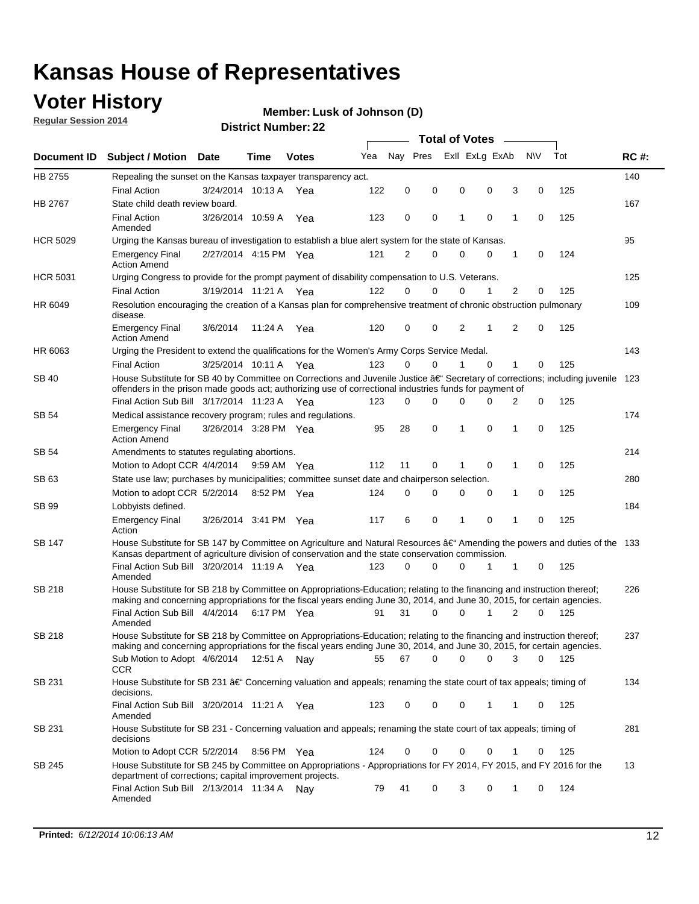### **Voter History**

**Regular Session 2014**

#### **Member: Lusk of Johnson (D)**

| Nay Pres<br>Exll ExLg ExAb<br>N\V<br>Tot<br>Yea<br><b>RC#:</b><br>Document ID Subject / Motion Date<br>Time<br><b>Votes</b><br>HB 2755<br>140<br>Repealing the sunset on the Kansas taxpayer transparency act.<br>122<br>0<br>0<br>0<br>0<br>3<br>0<br>125<br><b>Final Action</b><br>3/24/2014 10:13 A<br>Yea<br>HB 2767<br>167<br>State child death review board.<br><b>Final Action</b><br>3/26/2014 10:59 A<br>123<br>0<br>0<br>1<br>$\mathbf 0$<br>1<br>125<br>0<br>Yea<br>Amended<br><b>HCR 5029</b><br>95<br>Urging the Kansas bureau of investigation to establish a blue alert system for the state of Kansas.<br>2/27/2014 4:15 PM Yea<br>121<br>2<br>0<br>0<br>0<br>0<br>124<br><b>Emergency Final</b><br>1<br><b>Action Amend</b><br><b>HCR 5031</b><br>125<br>Urging Congress to provide for the prompt payment of disability compensation to U.S. Veterans.<br>$\overline{2}$<br><b>Final Action</b><br>122<br>$\Omega$<br>$\Omega$<br>0<br>1<br>125<br>3/19/2014 11:21 A Yea<br>0<br>109<br>HR 6049<br>Resolution encouraging the creation of a Kansas plan for comprehensive treatment of chronic obstruction pulmonary<br>disease.<br>0<br>2<br>$\overline{2}$<br>$\mathbf 0$<br>125<br><b>Emergency Final</b><br>3/6/2014<br>11:24 A<br>Yea<br>120<br>0<br>1<br><b>Action Amend</b><br>HR 6063<br>143<br>Urging the President to extend the qualifications for the Women's Army Corps Service Medal.<br>3/25/2014 10:11 A Yea<br>123<br>$\Omega$<br>$\Omega$<br>1<br>$\Omega$<br>1<br>125<br><b>Final Action</b><br>0<br>House Substitute for SB 40 by Committee on Corrections and Juvenile Justice †Secretary of corrections; including juvenile<br>SB 40<br>123<br>offenders in the prison made goods act; authorizing use of correctional industries funds for payment of<br>Final Action Sub Bill 3/17/2014 11:23 A Yea<br>0<br>0<br>125<br>123<br>0<br>0<br><sup>0</sup><br>2<br>174<br>SB 54<br>Medical assistance recovery program; rules and regulations.<br>$\mathbf 0$<br>$\mathbf 0$<br>28<br>1<br>0<br>125<br><b>Emergency Final</b><br>3/26/2014 3:28 PM Yea<br>95<br>1<br><b>Action Amend</b><br>214<br>SB 54<br>Amendments to statutes regulating abortions.<br>112<br>11<br>0<br>$\mathbf 0$<br>1<br>0<br>125<br>Motion to Adopt CCR 4/4/2014 9:59 AM Yea<br>State use law; purchases by municipalities; committee sunset date and chairperson selection.<br>280<br>SB 63<br>Motion to adopt CCR 5/2/2014<br>0<br>0<br>1<br>0<br>125<br>8:52 PM Yea<br>124<br>0<br>0<br>184<br>SB 99<br>Lobbyists defined.<br>6<br>0<br>$\mathbf 0$<br>$\mathbf{1}$<br>0<br>125<br><b>Emergency Final</b><br>3/26/2014 3:41 PM Yea<br>117<br>1<br>Action<br>House Substitute for SB 147 by Committee on Agriculture and Natural Resources †Amending the powers and duties of the 133<br>SB 147<br>Kansas department of agriculture division of conservation and the state conservation commission.<br>Final Action Sub Bill 3/20/2014 11:19 A Yea<br>$\Omega$<br>0<br>125<br>123<br>0<br>1<br>1<br>0<br>Amended<br><b>SB 218</b><br>House Substitute for SB 218 by Committee on Appropriations-Education; relating to the financing and instruction thereof;<br>226<br>making and concerning appropriations for the fiscal years ending June 30, 2014, and June 30, 2015, for certain agencies.<br>Final Action Sub Bill 4/4/2014<br>31<br>$\Omega$<br>1<br>$\overline{2}$<br>125<br>6:17 PM Yea<br>91<br>0<br>0<br>Amended<br>House Substitute for SB 218 by Committee on Appropriations-Education; relating to the financing and instruction thereof;<br>SB 218<br>237<br>making and concerning appropriations for the fiscal years ending June 30, 2014, and June 30, 2015, for certain agencies.<br>67<br>0<br>Sub Motion to Adopt 4/6/2014 12:51 A Nay<br>55<br>0<br>0<br>3<br>0<br>- 125<br>CCR<br>134<br>SB 231<br>House Substitute for SB 231 †Concerning valuation and appeals; renaming the state court of tax appeals; timing of<br>decisions.<br>Final Action Sub Bill 3/20/2014 11:21 A Yea<br>123<br>0<br>0<br>0<br>1<br>125<br>1<br>0<br>Amended<br>House Substitute for SB 231 - Concerning valuation and appeals; renaming the state court of tax appeals; timing of<br>281<br>SB 231<br>decisions<br>125<br>Motion to Adopt CCR 5/2/2014<br>0<br>0<br>0<br>0<br>8:56 PM Yea<br>124<br>0<br>1<br>House Substitute for SB 245 by Committee on Appropriations - Appropriations for FY 2014, FY 2015, and FY 2016 for the<br>13<br>SB 245<br>department of corrections; capital improvement projects.<br>Final Action Sub Bill 2/13/2014 11:34 A<br>41<br>0<br>3<br>0<br>124<br>79<br>1<br>0<br>Nav<br>Amended |  |  |  |  | <b>Total of Votes</b> |  |  |
|------------------------------------------------------------------------------------------------------------------------------------------------------------------------------------------------------------------------------------------------------------------------------------------------------------------------------------------------------------------------------------------------------------------------------------------------------------------------------------------------------------------------------------------------------------------------------------------------------------------------------------------------------------------------------------------------------------------------------------------------------------------------------------------------------------------------------------------------------------------------------------------------------------------------------------------------------------------------------------------------------------------------------------------------------------------------------------------------------------------------------------------------------------------------------------------------------------------------------------------------------------------------------------------------------------------------------------------------------------------------------------------------------------------------------------------------------------------------------------------------------------------------------------------------------------------------------------------------------------------------------------------------------------------------------------------------------------------------------------------------------------------------------------------------------------------------------------------------------------------------------------------------------------------------------------------------------------------------------------------------------------------------------------------------------------------------------------------------------------------------------------------------------------------------------------------------------------------------------------------------------------------------------------------------------------------------------------------------------------------------------------------------------------------------------------------------------------------------------------------------------------------------------------------------------------------------------------------------------------------------------------------------------------------------------------------------------------------------------------------------------------------------------------------------------------------------------------------------------------------------------------------------------------------------------------------------------------------------------------------------------------------------------------------------------------------------------------------------------------------------------------------------------------------------------------------------------------------------------------------------------------------------------------------------------------------------------------------------------------------------------------------------------------------------------------------------------------------------------------------------------------------------------------------------------------------------------------------------------------------------------------------------------------------------------------------------------------------------------------------------------------------------------------------------------------------------------------------------------------------------------------------------------------------------------------------------------------------------------------------------------------------------------------------------------------------------------------------------------------------------------------------------------------------------------------------------------------------------------------------------------------------------------------------------------------------------------------------------------------------------------------------------------------------------------------------------------------------------------------------------------------------------------------------------------------------------------------------------------------------------------------------------|--|--|--|--|-----------------------|--|--|
|                                                                                                                                                                                                                                                                                                                                                                                                                                                                                                                                                                                                                                                                                                                                                                                                                                                                                                                                                                                                                                                                                                                                                                                                                                                                                                                                                                                                                                                                                                                                                                                                                                                                                                                                                                                                                                                                                                                                                                                                                                                                                                                                                                                                                                                                                                                                                                                                                                                                                                                                                                                                                                                                                                                                                                                                                                                                                                                                                                                                                                                                                                                                                                                                                                                                                                                                                                                                                                                                                                                                                                                                                                                                                                                                                                                                                                                                                                                                                                                                                                                                                                                                                                                                                                                                                                                                                                                                                                                                                                                                                                                                                                                |  |  |  |  |                       |  |  |
|                                                                                                                                                                                                                                                                                                                                                                                                                                                                                                                                                                                                                                                                                                                                                                                                                                                                                                                                                                                                                                                                                                                                                                                                                                                                                                                                                                                                                                                                                                                                                                                                                                                                                                                                                                                                                                                                                                                                                                                                                                                                                                                                                                                                                                                                                                                                                                                                                                                                                                                                                                                                                                                                                                                                                                                                                                                                                                                                                                                                                                                                                                                                                                                                                                                                                                                                                                                                                                                                                                                                                                                                                                                                                                                                                                                                                                                                                                                                                                                                                                                                                                                                                                                                                                                                                                                                                                                                                                                                                                                                                                                                                                                |  |  |  |  |                       |  |  |
|                                                                                                                                                                                                                                                                                                                                                                                                                                                                                                                                                                                                                                                                                                                                                                                                                                                                                                                                                                                                                                                                                                                                                                                                                                                                                                                                                                                                                                                                                                                                                                                                                                                                                                                                                                                                                                                                                                                                                                                                                                                                                                                                                                                                                                                                                                                                                                                                                                                                                                                                                                                                                                                                                                                                                                                                                                                                                                                                                                                                                                                                                                                                                                                                                                                                                                                                                                                                                                                                                                                                                                                                                                                                                                                                                                                                                                                                                                                                                                                                                                                                                                                                                                                                                                                                                                                                                                                                                                                                                                                                                                                                                                                |  |  |  |  |                       |  |  |
|                                                                                                                                                                                                                                                                                                                                                                                                                                                                                                                                                                                                                                                                                                                                                                                                                                                                                                                                                                                                                                                                                                                                                                                                                                                                                                                                                                                                                                                                                                                                                                                                                                                                                                                                                                                                                                                                                                                                                                                                                                                                                                                                                                                                                                                                                                                                                                                                                                                                                                                                                                                                                                                                                                                                                                                                                                                                                                                                                                                                                                                                                                                                                                                                                                                                                                                                                                                                                                                                                                                                                                                                                                                                                                                                                                                                                                                                                                                                                                                                                                                                                                                                                                                                                                                                                                                                                                                                                                                                                                                                                                                                                                                |  |  |  |  |                       |  |  |
|                                                                                                                                                                                                                                                                                                                                                                                                                                                                                                                                                                                                                                                                                                                                                                                                                                                                                                                                                                                                                                                                                                                                                                                                                                                                                                                                                                                                                                                                                                                                                                                                                                                                                                                                                                                                                                                                                                                                                                                                                                                                                                                                                                                                                                                                                                                                                                                                                                                                                                                                                                                                                                                                                                                                                                                                                                                                                                                                                                                                                                                                                                                                                                                                                                                                                                                                                                                                                                                                                                                                                                                                                                                                                                                                                                                                                                                                                                                                                                                                                                                                                                                                                                                                                                                                                                                                                                                                                                                                                                                                                                                                                                                |  |  |  |  |                       |  |  |
|                                                                                                                                                                                                                                                                                                                                                                                                                                                                                                                                                                                                                                                                                                                                                                                                                                                                                                                                                                                                                                                                                                                                                                                                                                                                                                                                                                                                                                                                                                                                                                                                                                                                                                                                                                                                                                                                                                                                                                                                                                                                                                                                                                                                                                                                                                                                                                                                                                                                                                                                                                                                                                                                                                                                                                                                                                                                                                                                                                                                                                                                                                                                                                                                                                                                                                                                                                                                                                                                                                                                                                                                                                                                                                                                                                                                                                                                                                                                                                                                                                                                                                                                                                                                                                                                                                                                                                                                                                                                                                                                                                                                                                                |  |  |  |  |                       |  |  |
|                                                                                                                                                                                                                                                                                                                                                                                                                                                                                                                                                                                                                                                                                                                                                                                                                                                                                                                                                                                                                                                                                                                                                                                                                                                                                                                                                                                                                                                                                                                                                                                                                                                                                                                                                                                                                                                                                                                                                                                                                                                                                                                                                                                                                                                                                                                                                                                                                                                                                                                                                                                                                                                                                                                                                                                                                                                                                                                                                                                                                                                                                                                                                                                                                                                                                                                                                                                                                                                                                                                                                                                                                                                                                                                                                                                                                                                                                                                                                                                                                                                                                                                                                                                                                                                                                                                                                                                                                                                                                                                                                                                                                                                |  |  |  |  |                       |  |  |
|                                                                                                                                                                                                                                                                                                                                                                                                                                                                                                                                                                                                                                                                                                                                                                                                                                                                                                                                                                                                                                                                                                                                                                                                                                                                                                                                                                                                                                                                                                                                                                                                                                                                                                                                                                                                                                                                                                                                                                                                                                                                                                                                                                                                                                                                                                                                                                                                                                                                                                                                                                                                                                                                                                                                                                                                                                                                                                                                                                                                                                                                                                                                                                                                                                                                                                                                                                                                                                                                                                                                                                                                                                                                                                                                                                                                                                                                                                                                                                                                                                                                                                                                                                                                                                                                                                                                                                                                                                                                                                                                                                                                                                                |  |  |  |  |                       |  |  |
|                                                                                                                                                                                                                                                                                                                                                                                                                                                                                                                                                                                                                                                                                                                                                                                                                                                                                                                                                                                                                                                                                                                                                                                                                                                                                                                                                                                                                                                                                                                                                                                                                                                                                                                                                                                                                                                                                                                                                                                                                                                                                                                                                                                                                                                                                                                                                                                                                                                                                                                                                                                                                                                                                                                                                                                                                                                                                                                                                                                                                                                                                                                                                                                                                                                                                                                                                                                                                                                                                                                                                                                                                                                                                                                                                                                                                                                                                                                                                                                                                                                                                                                                                                                                                                                                                                                                                                                                                                                                                                                                                                                                                                                |  |  |  |  |                       |  |  |
|                                                                                                                                                                                                                                                                                                                                                                                                                                                                                                                                                                                                                                                                                                                                                                                                                                                                                                                                                                                                                                                                                                                                                                                                                                                                                                                                                                                                                                                                                                                                                                                                                                                                                                                                                                                                                                                                                                                                                                                                                                                                                                                                                                                                                                                                                                                                                                                                                                                                                                                                                                                                                                                                                                                                                                                                                                                                                                                                                                                                                                                                                                                                                                                                                                                                                                                                                                                                                                                                                                                                                                                                                                                                                                                                                                                                                                                                                                                                                                                                                                                                                                                                                                                                                                                                                                                                                                                                                                                                                                                                                                                                                                                |  |  |  |  |                       |  |  |
|                                                                                                                                                                                                                                                                                                                                                                                                                                                                                                                                                                                                                                                                                                                                                                                                                                                                                                                                                                                                                                                                                                                                                                                                                                                                                                                                                                                                                                                                                                                                                                                                                                                                                                                                                                                                                                                                                                                                                                                                                                                                                                                                                                                                                                                                                                                                                                                                                                                                                                                                                                                                                                                                                                                                                                                                                                                                                                                                                                                                                                                                                                                                                                                                                                                                                                                                                                                                                                                                                                                                                                                                                                                                                                                                                                                                                                                                                                                                                                                                                                                                                                                                                                                                                                                                                                                                                                                                                                                                                                                                                                                                                                                |  |  |  |  |                       |  |  |
|                                                                                                                                                                                                                                                                                                                                                                                                                                                                                                                                                                                                                                                                                                                                                                                                                                                                                                                                                                                                                                                                                                                                                                                                                                                                                                                                                                                                                                                                                                                                                                                                                                                                                                                                                                                                                                                                                                                                                                                                                                                                                                                                                                                                                                                                                                                                                                                                                                                                                                                                                                                                                                                                                                                                                                                                                                                                                                                                                                                                                                                                                                                                                                                                                                                                                                                                                                                                                                                                                                                                                                                                                                                                                                                                                                                                                                                                                                                                                                                                                                                                                                                                                                                                                                                                                                                                                                                                                                                                                                                                                                                                                                                |  |  |  |  |                       |  |  |
|                                                                                                                                                                                                                                                                                                                                                                                                                                                                                                                                                                                                                                                                                                                                                                                                                                                                                                                                                                                                                                                                                                                                                                                                                                                                                                                                                                                                                                                                                                                                                                                                                                                                                                                                                                                                                                                                                                                                                                                                                                                                                                                                                                                                                                                                                                                                                                                                                                                                                                                                                                                                                                                                                                                                                                                                                                                                                                                                                                                                                                                                                                                                                                                                                                                                                                                                                                                                                                                                                                                                                                                                                                                                                                                                                                                                                                                                                                                                                                                                                                                                                                                                                                                                                                                                                                                                                                                                                                                                                                                                                                                                                                                |  |  |  |  |                       |  |  |
|                                                                                                                                                                                                                                                                                                                                                                                                                                                                                                                                                                                                                                                                                                                                                                                                                                                                                                                                                                                                                                                                                                                                                                                                                                                                                                                                                                                                                                                                                                                                                                                                                                                                                                                                                                                                                                                                                                                                                                                                                                                                                                                                                                                                                                                                                                                                                                                                                                                                                                                                                                                                                                                                                                                                                                                                                                                                                                                                                                                                                                                                                                                                                                                                                                                                                                                                                                                                                                                                                                                                                                                                                                                                                                                                                                                                                                                                                                                                                                                                                                                                                                                                                                                                                                                                                                                                                                                                                                                                                                                                                                                                                                                |  |  |  |  |                       |  |  |
|                                                                                                                                                                                                                                                                                                                                                                                                                                                                                                                                                                                                                                                                                                                                                                                                                                                                                                                                                                                                                                                                                                                                                                                                                                                                                                                                                                                                                                                                                                                                                                                                                                                                                                                                                                                                                                                                                                                                                                                                                                                                                                                                                                                                                                                                                                                                                                                                                                                                                                                                                                                                                                                                                                                                                                                                                                                                                                                                                                                                                                                                                                                                                                                                                                                                                                                                                                                                                                                                                                                                                                                                                                                                                                                                                                                                                                                                                                                                                                                                                                                                                                                                                                                                                                                                                                                                                                                                                                                                                                                                                                                                                                                |  |  |  |  |                       |  |  |
|                                                                                                                                                                                                                                                                                                                                                                                                                                                                                                                                                                                                                                                                                                                                                                                                                                                                                                                                                                                                                                                                                                                                                                                                                                                                                                                                                                                                                                                                                                                                                                                                                                                                                                                                                                                                                                                                                                                                                                                                                                                                                                                                                                                                                                                                                                                                                                                                                                                                                                                                                                                                                                                                                                                                                                                                                                                                                                                                                                                                                                                                                                                                                                                                                                                                                                                                                                                                                                                                                                                                                                                                                                                                                                                                                                                                                                                                                                                                                                                                                                                                                                                                                                                                                                                                                                                                                                                                                                                                                                                                                                                                                                                |  |  |  |  |                       |  |  |
|                                                                                                                                                                                                                                                                                                                                                                                                                                                                                                                                                                                                                                                                                                                                                                                                                                                                                                                                                                                                                                                                                                                                                                                                                                                                                                                                                                                                                                                                                                                                                                                                                                                                                                                                                                                                                                                                                                                                                                                                                                                                                                                                                                                                                                                                                                                                                                                                                                                                                                                                                                                                                                                                                                                                                                                                                                                                                                                                                                                                                                                                                                                                                                                                                                                                                                                                                                                                                                                                                                                                                                                                                                                                                                                                                                                                                                                                                                                                                                                                                                                                                                                                                                                                                                                                                                                                                                                                                                                                                                                                                                                                                                                |  |  |  |  |                       |  |  |
|                                                                                                                                                                                                                                                                                                                                                                                                                                                                                                                                                                                                                                                                                                                                                                                                                                                                                                                                                                                                                                                                                                                                                                                                                                                                                                                                                                                                                                                                                                                                                                                                                                                                                                                                                                                                                                                                                                                                                                                                                                                                                                                                                                                                                                                                                                                                                                                                                                                                                                                                                                                                                                                                                                                                                                                                                                                                                                                                                                                                                                                                                                                                                                                                                                                                                                                                                                                                                                                                                                                                                                                                                                                                                                                                                                                                                                                                                                                                                                                                                                                                                                                                                                                                                                                                                                                                                                                                                                                                                                                                                                                                                                                |  |  |  |  |                       |  |  |
|                                                                                                                                                                                                                                                                                                                                                                                                                                                                                                                                                                                                                                                                                                                                                                                                                                                                                                                                                                                                                                                                                                                                                                                                                                                                                                                                                                                                                                                                                                                                                                                                                                                                                                                                                                                                                                                                                                                                                                                                                                                                                                                                                                                                                                                                                                                                                                                                                                                                                                                                                                                                                                                                                                                                                                                                                                                                                                                                                                                                                                                                                                                                                                                                                                                                                                                                                                                                                                                                                                                                                                                                                                                                                                                                                                                                                                                                                                                                                                                                                                                                                                                                                                                                                                                                                                                                                                                                                                                                                                                                                                                                                                                |  |  |  |  |                       |  |  |
|                                                                                                                                                                                                                                                                                                                                                                                                                                                                                                                                                                                                                                                                                                                                                                                                                                                                                                                                                                                                                                                                                                                                                                                                                                                                                                                                                                                                                                                                                                                                                                                                                                                                                                                                                                                                                                                                                                                                                                                                                                                                                                                                                                                                                                                                                                                                                                                                                                                                                                                                                                                                                                                                                                                                                                                                                                                                                                                                                                                                                                                                                                                                                                                                                                                                                                                                                                                                                                                                                                                                                                                                                                                                                                                                                                                                                                                                                                                                                                                                                                                                                                                                                                                                                                                                                                                                                                                                                                                                                                                                                                                                                                                |  |  |  |  |                       |  |  |
|                                                                                                                                                                                                                                                                                                                                                                                                                                                                                                                                                                                                                                                                                                                                                                                                                                                                                                                                                                                                                                                                                                                                                                                                                                                                                                                                                                                                                                                                                                                                                                                                                                                                                                                                                                                                                                                                                                                                                                                                                                                                                                                                                                                                                                                                                                                                                                                                                                                                                                                                                                                                                                                                                                                                                                                                                                                                                                                                                                                                                                                                                                                                                                                                                                                                                                                                                                                                                                                                                                                                                                                                                                                                                                                                                                                                                                                                                                                                                                                                                                                                                                                                                                                                                                                                                                                                                                                                                                                                                                                                                                                                                                                |  |  |  |  |                       |  |  |
|                                                                                                                                                                                                                                                                                                                                                                                                                                                                                                                                                                                                                                                                                                                                                                                                                                                                                                                                                                                                                                                                                                                                                                                                                                                                                                                                                                                                                                                                                                                                                                                                                                                                                                                                                                                                                                                                                                                                                                                                                                                                                                                                                                                                                                                                                                                                                                                                                                                                                                                                                                                                                                                                                                                                                                                                                                                                                                                                                                                                                                                                                                                                                                                                                                                                                                                                                                                                                                                                                                                                                                                                                                                                                                                                                                                                                                                                                                                                                                                                                                                                                                                                                                                                                                                                                                                                                                                                                                                                                                                                                                                                                                                |  |  |  |  |                       |  |  |
|                                                                                                                                                                                                                                                                                                                                                                                                                                                                                                                                                                                                                                                                                                                                                                                                                                                                                                                                                                                                                                                                                                                                                                                                                                                                                                                                                                                                                                                                                                                                                                                                                                                                                                                                                                                                                                                                                                                                                                                                                                                                                                                                                                                                                                                                                                                                                                                                                                                                                                                                                                                                                                                                                                                                                                                                                                                                                                                                                                                                                                                                                                                                                                                                                                                                                                                                                                                                                                                                                                                                                                                                                                                                                                                                                                                                                                                                                                                                                                                                                                                                                                                                                                                                                                                                                                                                                                                                                                                                                                                                                                                                                                                |  |  |  |  |                       |  |  |
|                                                                                                                                                                                                                                                                                                                                                                                                                                                                                                                                                                                                                                                                                                                                                                                                                                                                                                                                                                                                                                                                                                                                                                                                                                                                                                                                                                                                                                                                                                                                                                                                                                                                                                                                                                                                                                                                                                                                                                                                                                                                                                                                                                                                                                                                                                                                                                                                                                                                                                                                                                                                                                                                                                                                                                                                                                                                                                                                                                                                                                                                                                                                                                                                                                                                                                                                                                                                                                                                                                                                                                                                                                                                                                                                                                                                                                                                                                                                                                                                                                                                                                                                                                                                                                                                                                                                                                                                                                                                                                                                                                                                                                                |  |  |  |  |                       |  |  |
|                                                                                                                                                                                                                                                                                                                                                                                                                                                                                                                                                                                                                                                                                                                                                                                                                                                                                                                                                                                                                                                                                                                                                                                                                                                                                                                                                                                                                                                                                                                                                                                                                                                                                                                                                                                                                                                                                                                                                                                                                                                                                                                                                                                                                                                                                                                                                                                                                                                                                                                                                                                                                                                                                                                                                                                                                                                                                                                                                                                                                                                                                                                                                                                                                                                                                                                                                                                                                                                                                                                                                                                                                                                                                                                                                                                                                                                                                                                                                                                                                                                                                                                                                                                                                                                                                                                                                                                                                                                                                                                                                                                                                                                |  |  |  |  |                       |  |  |
|                                                                                                                                                                                                                                                                                                                                                                                                                                                                                                                                                                                                                                                                                                                                                                                                                                                                                                                                                                                                                                                                                                                                                                                                                                                                                                                                                                                                                                                                                                                                                                                                                                                                                                                                                                                                                                                                                                                                                                                                                                                                                                                                                                                                                                                                                                                                                                                                                                                                                                                                                                                                                                                                                                                                                                                                                                                                                                                                                                                                                                                                                                                                                                                                                                                                                                                                                                                                                                                                                                                                                                                                                                                                                                                                                                                                                                                                                                                                                                                                                                                                                                                                                                                                                                                                                                                                                                                                                                                                                                                                                                                                                                                |  |  |  |  |                       |  |  |
|                                                                                                                                                                                                                                                                                                                                                                                                                                                                                                                                                                                                                                                                                                                                                                                                                                                                                                                                                                                                                                                                                                                                                                                                                                                                                                                                                                                                                                                                                                                                                                                                                                                                                                                                                                                                                                                                                                                                                                                                                                                                                                                                                                                                                                                                                                                                                                                                                                                                                                                                                                                                                                                                                                                                                                                                                                                                                                                                                                                                                                                                                                                                                                                                                                                                                                                                                                                                                                                                                                                                                                                                                                                                                                                                                                                                                                                                                                                                                                                                                                                                                                                                                                                                                                                                                                                                                                                                                                                                                                                                                                                                                                                |  |  |  |  |                       |  |  |
|                                                                                                                                                                                                                                                                                                                                                                                                                                                                                                                                                                                                                                                                                                                                                                                                                                                                                                                                                                                                                                                                                                                                                                                                                                                                                                                                                                                                                                                                                                                                                                                                                                                                                                                                                                                                                                                                                                                                                                                                                                                                                                                                                                                                                                                                                                                                                                                                                                                                                                                                                                                                                                                                                                                                                                                                                                                                                                                                                                                                                                                                                                                                                                                                                                                                                                                                                                                                                                                                                                                                                                                                                                                                                                                                                                                                                                                                                                                                                                                                                                                                                                                                                                                                                                                                                                                                                                                                                                                                                                                                                                                                                                                |  |  |  |  |                       |  |  |
|                                                                                                                                                                                                                                                                                                                                                                                                                                                                                                                                                                                                                                                                                                                                                                                                                                                                                                                                                                                                                                                                                                                                                                                                                                                                                                                                                                                                                                                                                                                                                                                                                                                                                                                                                                                                                                                                                                                                                                                                                                                                                                                                                                                                                                                                                                                                                                                                                                                                                                                                                                                                                                                                                                                                                                                                                                                                                                                                                                                                                                                                                                                                                                                                                                                                                                                                                                                                                                                                                                                                                                                                                                                                                                                                                                                                                                                                                                                                                                                                                                                                                                                                                                                                                                                                                                                                                                                                                                                                                                                                                                                                                                                |  |  |  |  |                       |  |  |
|                                                                                                                                                                                                                                                                                                                                                                                                                                                                                                                                                                                                                                                                                                                                                                                                                                                                                                                                                                                                                                                                                                                                                                                                                                                                                                                                                                                                                                                                                                                                                                                                                                                                                                                                                                                                                                                                                                                                                                                                                                                                                                                                                                                                                                                                                                                                                                                                                                                                                                                                                                                                                                                                                                                                                                                                                                                                                                                                                                                                                                                                                                                                                                                                                                                                                                                                                                                                                                                                                                                                                                                                                                                                                                                                                                                                                                                                                                                                                                                                                                                                                                                                                                                                                                                                                                                                                                                                                                                                                                                                                                                                                                                |  |  |  |  |                       |  |  |
|                                                                                                                                                                                                                                                                                                                                                                                                                                                                                                                                                                                                                                                                                                                                                                                                                                                                                                                                                                                                                                                                                                                                                                                                                                                                                                                                                                                                                                                                                                                                                                                                                                                                                                                                                                                                                                                                                                                                                                                                                                                                                                                                                                                                                                                                                                                                                                                                                                                                                                                                                                                                                                                                                                                                                                                                                                                                                                                                                                                                                                                                                                                                                                                                                                                                                                                                                                                                                                                                                                                                                                                                                                                                                                                                                                                                                                                                                                                                                                                                                                                                                                                                                                                                                                                                                                                                                                                                                                                                                                                                                                                                                                                |  |  |  |  |                       |  |  |
|                                                                                                                                                                                                                                                                                                                                                                                                                                                                                                                                                                                                                                                                                                                                                                                                                                                                                                                                                                                                                                                                                                                                                                                                                                                                                                                                                                                                                                                                                                                                                                                                                                                                                                                                                                                                                                                                                                                                                                                                                                                                                                                                                                                                                                                                                                                                                                                                                                                                                                                                                                                                                                                                                                                                                                                                                                                                                                                                                                                                                                                                                                                                                                                                                                                                                                                                                                                                                                                                                                                                                                                                                                                                                                                                                                                                                                                                                                                                                                                                                                                                                                                                                                                                                                                                                                                                                                                                                                                                                                                                                                                                                                                |  |  |  |  |                       |  |  |
|                                                                                                                                                                                                                                                                                                                                                                                                                                                                                                                                                                                                                                                                                                                                                                                                                                                                                                                                                                                                                                                                                                                                                                                                                                                                                                                                                                                                                                                                                                                                                                                                                                                                                                                                                                                                                                                                                                                                                                                                                                                                                                                                                                                                                                                                                                                                                                                                                                                                                                                                                                                                                                                                                                                                                                                                                                                                                                                                                                                                                                                                                                                                                                                                                                                                                                                                                                                                                                                                                                                                                                                                                                                                                                                                                                                                                                                                                                                                                                                                                                                                                                                                                                                                                                                                                                                                                                                                                                                                                                                                                                                                                                                |  |  |  |  |                       |  |  |
|                                                                                                                                                                                                                                                                                                                                                                                                                                                                                                                                                                                                                                                                                                                                                                                                                                                                                                                                                                                                                                                                                                                                                                                                                                                                                                                                                                                                                                                                                                                                                                                                                                                                                                                                                                                                                                                                                                                                                                                                                                                                                                                                                                                                                                                                                                                                                                                                                                                                                                                                                                                                                                                                                                                                                                                                                                                                                                                                                                                                                                                                                                                                                                                                                                                                                                                                                                                                                                                                                                                                                                                                                                                                                                                                                                                                                                                                                                                                                                                                                                                                                                                                                                                                                                                                                                                                                                                                                                                                                                                                                                                                                                                |  |  |  |  |                       |  |  |
|                                                                                                                                                                                                                                                                                                                                                                                                                                                                                                                                                                                                                                                                                                                                                                                                                                                                                                                                                                                                                                                                                                                                                                                                                                                                                                                                                                                                                                                                                                                                                                                                                                                                                                                                                                                                                                                                                                                                                                                                                                                                                                                                                                                                                                                                                                                                                                                                                                                                                                                                                                                                                                                                                                                                                                                                                                                                                                                                                                                                                                                                                                                                                                                                                                                                                                                                                                                                                                                                                                                                                                                                                                                                                                                                                                                                                                                                                                                                                                                                                                                                                                                                                                                                                                                                                                                                                                                                                                                                                                                                                                                                                                                |  |  |  |  |                       |  |  |
|                                                                                                                                                                                                                                                                                                                                                                                                                                                                                                                                                                                                                                                                                                                                                                                                                                                                                                                                                                                                                                                                                                                                                                                                                                                                                                                                                                                                                                                                                                                                                                                                                                                                                                                                                                                                                                                                                                                                                                                                                                                                                                                                                                                                                                                                                                                                                                                                                                                                                                                                                                                                                                                                                                                                                                                                                                                                                                                                                                                                                                                                                                                                                                                                                                                                                                                                                                                                                                                                                                                                                                                                                                                                                                                                                                                                                                                                                                                                                                                                                                                                                                                                                                                                                                                                                                                                                                                                                                                                                                                                                                                                                                                |  |  |  |  |                       |  |  |
|                                                                                                                                                                                                                                                                                                                                                                                                                                                                                                                                                                                                                                                                                                                                                                                                                                                                                                                                                                                                                                                                                                                                                                                                                                                                                                                                                                                                                                                                                                                                                                                                                                                                                                                                                                                                                                                                                                                                                                                                                                                                                                                                                                                                                                                                                                                                                                                                                                                                                                                                                                                                                                                                                                                                                                                                                                                                                                                                                                                                                                                                                                                                                                                                                                                                                                                                                                                                                                                                                                                                                                                                                                                                                                                                                                                                                                                                                                                                                                                                                                                                                                                                                                                                                                                                                                                                                                                                                                                                                                                                                                                                                                                |  |  |  |  |                       |  |  |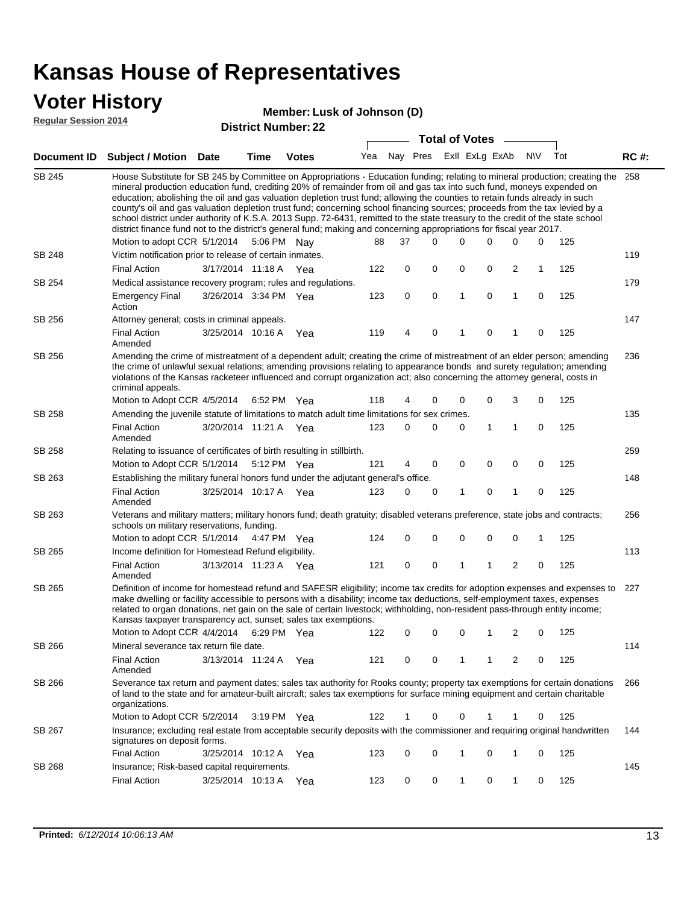### **Voter History**

#### **Member: Lusk of Johnson (D)**

**Regular Session 2014**

|               |                                                                                                                                                                                                                                                                                                                                                                                                                                                                                                                                                                                                                                                                                                                                                                                                                   |                       |             | <b>DISUILLINUIIIDEL.</b> |     |    | <b>Total of Votes</b>       |   | $\sim$      |              |             |     |             |
|---------------|-------------------------------------------------------------------------------------------------------------------------------------------------------------------------------------------------------------------------------------------------------------------------------------------------------------------------------------------------------------------------------------------------------------------------------------------------------------------------------------------------------------------------------------------------------------------------------------------------------------------------------------------------------------------------------------------------------------------------------------------------------------------------------------------------------------------|-----------------------|-------------|--------------------------|-----|----|-----------------------------|---|-------------|--------------|-------------|-----|-------------|
|               | Document ID Subject / Motion Date                                                                                                                                                                                                                                                                                                                                                                                                                                                                                                                                                                                                                                                                                                                                                                                 |                       | <b>Time</b> | <b>Votes</b>             |     |    | Yea Nay Pres ExII ExLg ExAb |   |             |              | N\V         | Tot | <b>RC#:</b> |
| <b>SB 245</b> | House Substitute for SB 245 by Committee on Appropriations - Education funding; relating to mineral production; creating the 258<br>mineral production education fund, crediting 20% of remainder from oil and gas tax into such fund, moneys expended on<br>education; abolishing the oil and gas valuation depletion trust fund; allowing the counties to retain funds already in such<br>county's oil and gas valuation depletion trust fund; concerning school financing sources; proceeds from the tax levied by a<br>school district under authority of K.S.A. 2013 Supp. 72-6431, remitted to the state treasury to the credit of the state school<br>district finance fund not to the district's general fund; making and concerning appropriations for fiscal year 2017.<br>Motion to adopt CCR 5/1/2014 |                       |             | 5:06 PM Nay              | 88  | 37 | 0                           | 0 | 0           | 0            | 0           | 125 |             |
| SB 248        | Victim notification prior to release of certain inmates.                                                                                                                                                                                                                                                                                                                                                                                                                                                                                                                                                                                                                                                                                                                                                          |                       |             |                          |     |    |                             |   |             |              |             |     | 119         |
|               | <b>Final Action</b>                                                                                                                                                                                                                                                                                                                                                                                                                                                                                                                                                                                                                                                                                                                                                                                               | 3/17/2014 11:18 A     |             | Yea                      | 122 | 0  | 0                           | 0 | 0           | 2            | 1           | 125 |             |
| SB 254        | Medical assistance recovery program; rules and regulations.                                                                                                                                                                                                                                                                                                                                                                                                                                                                                                                                                                                                                                                                                                                                                       |                       |             |                          |     |    |                             |   |             |              |             |     | 179         |
|               | <b>Emergency Final</b><br>Action                                                                                                                                                                                                                                                                                                                                                                                                                                                                                                                                                                                                                                                                                                                                                                                  | 3/26/2014 3:34 PM Yea |             |                          | 123 | 0  | 0                           | 1 | $\mathbf 0$ | 1            | $\mathbf 0$ | 125 |             |
| SB 256        | Attorney general; costs in criminal appeals.                                                                                                                                                                                                                                                                                                                                                                                                                                                                                                                                                                                                                                                                                                                                                                      |                       |             |                          |     |    |                             |   |             |              |             |     | 147         |
|               | <b>Final Action</b><br>Amended                                                                                                                                                                                                                                                                                                                                                                                                                                                                                                                                                                                                                                                                                                                                                                                    | 3/25/2014 10:16 A     |             | Yea                      | 119 | 4  | $\mathbf 0$                 | 1 | 0           | 1            | 0           | 125 |             |
| SB 256        | Amending the crime of mistreatment of a dependent adult; creating the crime of mistreatment of an elder person; amending<br>the crime of unlawful sexual relations; amending provisions relating to appearance bonds and surety regulation; amending<br>violations of the Kansas racketeer influenced and corrupt organization act; also concerning the attorney general, costs in<br>criminal appeals.                                                                                                                                                                                                                                                                                                                                                                                                           |                       |             |                          |     |    |                             |   |             |              |             |     | 236         |
|               | Motion to Adopt CCR 4/5/2014                                                                                                                                                                                                                                                                                                                                                                                                                                                                                                                                                                                                                                                                                                                                                                                      |                       |             | 6:52 PM Yea              | 118 | 4  | 0                           | 0 | 0           | 3            | 0           | 125 |             |
| <b>SB 258</b> | Amending the juvenile statute of limitations to match adult time limitations for sex crimes.                                                                                                                                                                                                                                                                                                                                                                                                                                                                                                                                                                                                                                                                                                                      |                       |             |                          |     |    |                             |   |             |              |             |     | 135         |
|               | <b>Final Action</b><br>Amended                                                                                                                                                                                                                                                                                                                                                                                                                                                                                                                                                                                                                                                                                                                                                                                    | 3/20/2014 11:21 A Yea |             |                          | 123 | 0  | 0                           | 0 | 1           | $\mathbf{1}$ | 0           | 125 |             |
| SB 258        | Relating to issuance of certificates of birth resulting in stillbirth.                                                                                                                                                                                                                                                                                                                                                                                                                                                                                                                                                                                                                                                                                                                                            |                       |             |                          |     |    |                             |   |             |              |             |     | 259         |
|               | Motion to Adopt CCR 5/1/2014 5:12 PM Yea                                                                                                                                                                                                                                                                                                                                                                                                                                                                                                                                                                                                                                                                                                                                                                          |                       |             |                          | 121 | 4  | 0                           | 0 | $\mathbf 0$ | 0            | 0           | 125 |             |
| SB 263        | Establishing the military funeral honors fund under the adjutant general's office.                                                                                                                                                                                                                                                                                                                                                                                                                                                                                                                                                                                                                                                                                                                                |                       |             |                          |     |    |                             |   |             |              |             |     | 148         |
|               | <b>Final Action</b><br>Amended                                                                                                                                                                                                                                                                                                                                                                                                                                                                                                                                                                                                                                                                                                                                                                                    | 3/25/2014 10:17 A Yea |             |                          | 123 | 0  | 0                           | 1 | 0           | $\mathbf{1}$ | 0           | 125 |             |
| SB 263        | Veterans and military matters; military honors fund; death gratuity; disabled veterans preference, state jobs and contracts;<br>schools on military reservations, funding.                                                                                                                                                                                                                                                                                                                                                                                                                                                                                                                                                                                                                                        |                       |             |                          |     |    |                             |   |             |              |             |     | 256         |
|               | Motion to adopt CCR 5/1/2014 4:47 PM Yea                                                                                                                                                                                                                                                                                                                                                                                                                                                                                                                                                                                                                                                                                                                                                                          |                       |             |                          | 124 | 0  | 0                           | 0 | 0           | 0            | 1           | 125 |             |
| SB 265        | Income definition for Homestead Refund eligibility.                                                                                                                                                                                                                                                                                                                                                                                                                                                                                                                                                                                                                                                                                                                                                               |                       |             |                          |     |    |                             |   |             |              |             |     | 113         |
|               | <b>Final Action</b><br>Amended                                                                                                                                                                                                                                                                                                                                                                                                                                                                                                                                                                                                                                                                                                                                                                                    | 3/13/2014 11:23 A Yea |             |                          | 121 | 0  | 0                           | 1 | 1           | 2            | 0           | 125 |             |
| SB 265        | Definition of income for homestead refund and SAFESR eligibility; income tax credits for adoption expenses and expenses to<br>make dwelling or facility accessible to persons with a disability; income tax deductions, self-employment taxes, expenses<br>related to organ donations, net gain on the sale of certain livestock; withholding, non-resident pass-through entity income;<br>Kansas taxpayer transparency act, sunset; sales tax exemptions.<br>Motion to Adopt CCR 4/4/2014                                                                                                                                                                                                                                                                                                                        |                       |             | 6:29 PM Yea              | 122 | 0  | 0                           | 0 | 1           | 2            | 0           | 125 | 227         |
| SB 266        | Mineral severance tax return file date.                                                                                                                                                                                                                                                                                                                                                                                                                                                                                                                                                                                                                                                                                                                                                                           |                       |             |                          |     |    |                             |   |             |              |             |     | 114         |
|               | <b>Final Action</b><br>Amended                                                                                                                                                                                                                                                                                                                                                                                                                                                                                                                                                                                                                                                                                                                                                                                    | 3/13/2014 11:24 A     |             | Yea                      | 121 | 0  | 0                           | 1 | 1           | 2            | 0           | 125 |             |
| SB 266        | Severance tax return and payment dates; sales tax authority for Rooks county; property tax exemptions for certain donations<br>of land to the state and for amateur-built aircraft; sales tax exemptions for surface mining equipment and certain charitable<br>organizations.                                                                                                                                                                                                                                                                                                                                                                                                                                                                                                                                    |                       |             |                          |     |    |                             |   |             |              |             |     | 266         |
|               | Motion to Adopt CCR 5/2/2014                                                                                                                                                                                                                                                                                                                                                                                                                                                                                                                                                                                                                                                                                                                                                                                      |                       |             | $3:19 \text{ PM}$ Yea    | 122 | 1  | 0                           | 0 |             | 1            | 0           | 125 |             |
| SB 267        | Insurance; excluding real estate from acceptable security deposits with the commissioner and requiring original handwritten<br>signatures on deposit forms.                                                                                                                                                                                                                                                                                                                                                                                                                                                                                                                                                                                                                                                       |                       |             |                          |     |    |                             |   |             |              |             |     | 144         |
|               | <b>Final Action</b>                                                                                                                                                                                                                                                                                                                                                                                                                                                                                                                                                                                                                                                                                                                                                                                               | 3/25/2014 10:12 A Yea |             |                          | 123 | 0  | 0                           | 1 | 0           | $\mathbf{1}$ | 0           | 125 |             |
| SB 268        | Insurance; Risk-based capital requirements.                                                                                                                                                                                                                                                                                                                                                                                                                                                                                                                                                                                                                                                                                                                                                                       |                       |             |                          |     |    |                             |   |             |              |             |     | 145         |
|               | <b>Final Action</b>                                                                                                                                                                                                                                                                                                                                                                                                                                                                                                                                                                                                                                                                                                                                                                                               | 3/25/2014 10:13 A     |             | Yea                      | 123 | 0  | 0                           | 1 | 0           | 1            | 0           | 125 |             |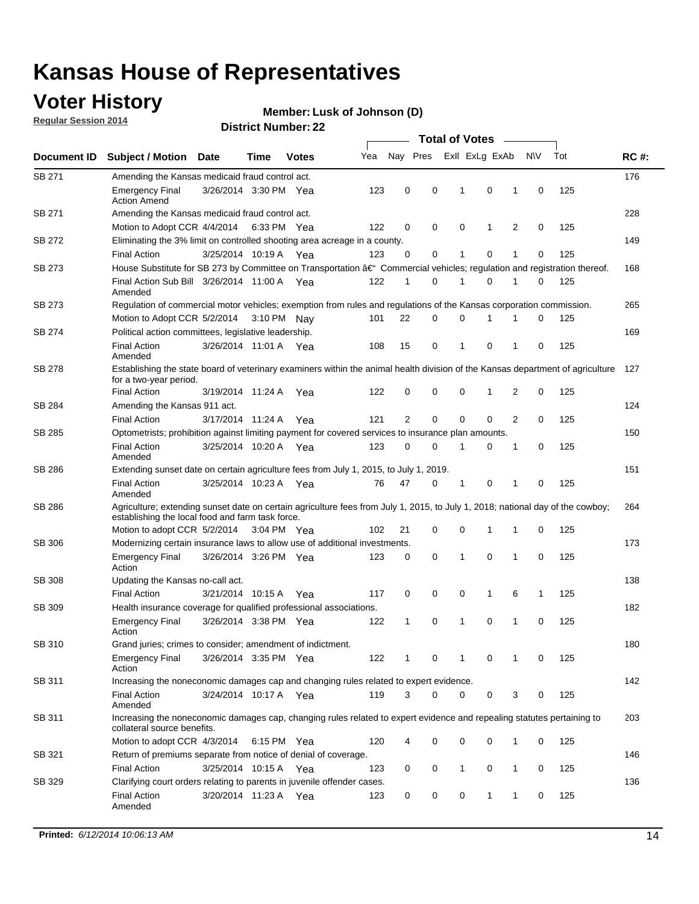### **Voter History**

**Regular Session 2014**

#### **Member: Lusk of Johnson (D)**

|               |                                                                                                                                                                                    |                       |      |              |     |                |             | <b>Total of Votes</b> |              |   |             |     |             |
|---------------|------------------------------------------------------------------------------------------------------------------------------------------------------------------------------------|-----------------------|------|--------------|-----|----------------|-------------|-----------------------|--------------|---|-------------|-----|-------------|
| Document ID   | <b>Subject / Motion Date</b>                                                                                                                                                       |                       | Time | <b>Votes</b> | Yea | Nay Pres       |             | Exll ExLg ExAb        |              |   | N\V         | Tot | <b>RC#:</b> |
| SB 271        | Amending the Kansas medicaid fraud control act.                                                                                                                                    |                       |      |              |     |                |             |                       |              |   |             |     | 176         |
|               | <b>Emergency Final</b><br><b>Action Amend</b>                                                                                                                                      | 3/26/2014 3:30 PM Yea |      |              | 123 | 0              | 0           | 1                     | 0            | 1 | $\mathbf 0$ | 125 |             |
| SB 271        | Amending the Kansas medicaid fraud control act.                                                                                                                                    |                       |      |              |     |                |             |                       |              |   |             |     | 228         |
|               | Motion to Adopt CCR 4/4/2014 6:33 PM Yea                                                                                                                                           |                       |      |              | 122 | 0              | 0           | 0                     | 1            | 2 | 0           | 125 |             |
| SB 272        | Eliminating the 3% limit on controlled shooting area acreage in a county.                                                                                                          |                       |      |              |     |                |             |                       |              |   |             |     | 149         |
|               | <b>Final Action</b>                                                                                                                                                                | 3/25/2014 10:19 A Yea |      |              | 123 | 0              | 0           | 1                     | 0            | 1 | $\mathbf 0$ | 125 |             |
| SB 273        | House Substitute for SB 273 by Committee on Transportation †Commercial vehicles; regulation and registration thereof.                                                              |                       |      |              |     |                |             |                       |              |   |             |     | 168         |
|               | Final Action Sub Bill 3/26/2014 11:00 A Yea<br>Amended                                                                                                                             |                       |      |              | 122 | 1              | 0           | 1                     | 0            | 1 | 0           | 125 |             |
| SB 273        | Regulation of commercial motor vehicles; exemption from rules and regulations of the Kansas corporation commission.                                                                |                       |      |              |     |                |             |                       |              |   |             |     | 265         |
|               | Motion to Adopt CCR 5/2/2014 3:10 PM Nay                                                                                                                                           |                       |      |              | 101 | 22             | 0           | 0                     | 1            | 1 | 0           | 125 |             |
| SB 274        | Political action committees, legislative leadership.                                                                                                                               |                       |      |              |     |                |             |                       |              |   |             |     | 169         |
|               | <b>Final Action</b><br>Amended                                                                                                                                                     | 3/26/2014 11:01 A Yea |      |              | 108 | 15             | 0           | -1                    | 0            | 1 | 0           | 125 |             |
| <b>SB 278</b> | Establishing the state board of veterinary examiners within the animal health division of the Kansas department of agriculture<br>for a two-year period.                           |                       |      |              |     |                |             |                       |              |   |             |     | 127         |
|               | <b>Final Action</b>                                                                                                                                                                | 3/19/2014 11:24 A     |      | Yea          | 122 | 0              | 0           | 0                     | 1            | 2 | 0           | 125 |             |
| SB 284        | Amending the Kansas 911 act.                                                                                                                                                       |                       |      |              |     |                |             |                       |              |   |             |     | 124         |
|               | <b>Final Action</b>                                                                                                                                                                | 3/17/2014 11:24 A     |      | Yea          | 121 | $\overline{2}$ | $\mathbf 0$ | $\mathbf 0$           | $\mathbf 0$  | 2 | 0           | 125 |             |
| SB 285        | Optometrists; prohibition against limiting payment for covered services to insurance plan amounts.                                                                                 |                       |      |              |     |                |             |                       |              |   |             |     | 150         |
|               | <b>Final Action</b><br>Amended                                                                                                                                                     | 3/25/2014 10:20 A     |      | Yea          | 123 | 0              | 0           | $\mathbf{1}$          | 0            | 1 | 0           | 125 |             |
| SB 286        | Extending sunset date on certain agriculture fees from July 1, 2015, to July 1, 2019.                                                                                              |                       |      |              |     |                |             |                       |              |   |             |     | 151         |
|               | <b>Final Action</b><br>Amended                                                                                                                                                     | 3/25/2014 10:23 A Yea |      |              | 76  | 47             | 0           | $\mathbf{1}$          | 0            | 1 | 0           | 125 |             |
| SB 286        | Agriculture; extending sunset date on certain agriculture fees from July 1, 2015, to July 1, 2018; national day of the cowboy;<br>establishing the local food and farm task force. |                       |      |              |     |                |             |                       |              |   |             |     | 264         |
|               | Motion to adopt CCR 5/2/2014 3:04 PM Yea                                                                                                                                           |                       |      |              | 102 | 21             | 0           | 0                     | 1            | 1 | 0           | 125 |             |
| SB 306        | Modernizing certain insurance laws to allow use of additional investments.                                                                                                         |                       |      |              |     |                |             |                       |              |   |             |     | 173         |
|               | <b>Emergency Final</b><br>Action                                                                                                                                                   | 3/26/2014 3:26 PM Yea |      |              | 123 | 0              | 0           | 1                     | $\mathbf 0$  | 1 | 0           | 125 |             |
| <b>SB 308</b> | Updating the Kansas no-call act.                                                                                                                                                   |                       |      |              |     |                |             |                       |              |   |             |     | 138         |
|               | <b>Final Action</b>                                                                                                                                                                | 3/21/2014 10:15 A     |      | Yea          | 117 | 0              | 0           | 0                     | $\mathbf{1}$ | 6 | 1           | 125 |             |
| SB 309        | Health insurance coverage for qualified professional associations.                                                                                                                 |                       |      |              |     |                |             |                       |              |   |             |     | 182         |
|               | <b>Emergency Final</b><br>Action                                                                                                                                                   | 3/26/2014 3:38 PM Yea |      |              | 122 | 1              | 0           | 1                     | 0            | 1 | 0           | 125 |             |
| SB 310        | Grand juries; crimes to consider; amendment of indictment.                                                                                                                         |                       |      |              |     |                |             |                       |              |   |             |     | 180         |
|               | <b>Emergency Final</b><br>Action                                                                                                                                                   | 3/26/2014 3:35 PM Yea |      |              | 122 | 1              | 0           | 1                     | 0            | 1 | 0           | 125 |             |
| SB 311        | Increasing the noneconomic damages cap and changing rules related to expert evidence.                                                                                              |                       |      |              |     |                |             |                       |              |   |             |     | 142         |
|               | <b>Final Action</b><br>Amended                                                                                                                                                     | 3/24/2014 10:17 A Yea |      |              | 119 | 3              | $\Omega$    | 0                     | 0            | 3 | 0           | 125 |             |
| SB 311        | Increasing the noneconomic damages cap, changing rules related to expert evidence and repealing statutes pertaining to<br>collateral source benefits.                              |                       |      |              |     |                |             |                       |              |   |             |     | 203         |
|               | Motion to adopt CCR 4/3/2014 6:15 PM Yea                                                                                                                                           |                       |      |              | 120 | 4              | 0           | 0                     | 0            | 1 | 0           | 125 |             |
| SB 321        | Return of premiums separate from notice of denial of coverage.                                                                                                                     |                       |      |              |     |                |             |                       |              |   |             |     | 146         |
|               | <b>Final Action</b>                                                                                                                                                                | 3/25/2014 10:15 A Yea |      |              | 123 | 0              | 0           | 1                     | 0            | 1 | 0           | 125 |             |
| SB 329        | Clarifying court orders relating to parents in juvenile offender cases.<br><b>Final Action</b><br>Amended                                                                          | 3/20/2014 11:23 A Yea |      |              | 123 | 0              | 0           | 0                     | 1            | 1 | 0           | 125 | 136         |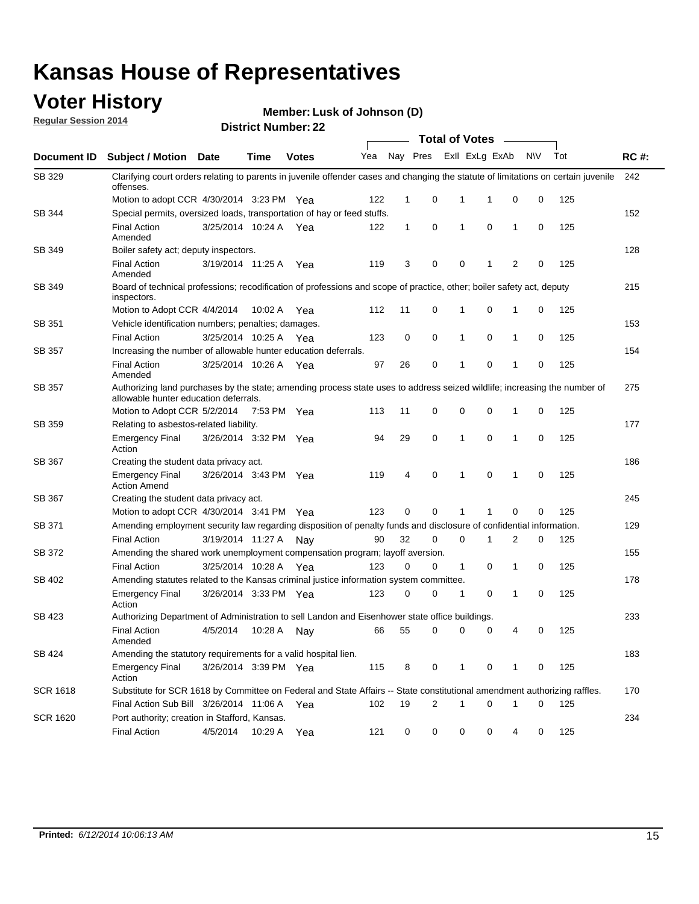### **Voter History**

**Regular Session 2014**

**Member: Lusk of Johnson (D)** 

|               |                                                                                                                                                                    |                       |         |              |     |              |                |   | <b>Total of Votes</b> |                |             |     |             |
|---------------|--------------------------------------------------------------------------------------------------------------------------------------------------------------------|-----------------------|---------|--------------|-----|--------------|----------------|---|-----------------------|----------------|-------------|-----|-------------|
| Document ID   | <b>Subject / Motion Date</b>                                                                                                                                       |                       | Time    | <b>Votes</b> | Yea | Nay Pres     |                |   | Exll ExLg ExAb        |                | <b>NV</b>   | Tot | <b>RC#:</b> |
| SB 329        | Clarifying court orders relating to parents in juvenile offender cases and changing the statute of limitations on certain juvenile<br>offenses.                    |                       |         |              |     |              |                |   |                       |                |             |     | 242         |
|               | Motion to adopt CCR 4/30/2014 3:23 PM Yea                                                                                                                          |                       |         |              | 122 | 1            | 0              |   | 1<br>1                | 0              | 0           | 125 |             |
| <b>SB 344</b> | Special permits, oversized loads, transportation of hay or feed stuffs.                                                                                            |                       |         |              |     |              |                |   |                       |                |             |     | 152         |
|               | <b>Final Action</b><br>Amended                                                                                                                                     | 3/25/2014 10:24 A     |         | Yea          | 122 | $\mathbf{1}$ | 0              |   | $\mathbf 0$<br>1      | 1              | 0           | 125 |             |
| SB 349        | Boiler safety act; deputy inspectors.                                                                                                                              |                       |         |              |     |              |                |   |                       |                |             |     | 128         |
|               | <b>Final Action</b><br>Amended                                                                                                                                     | 3/19/2014 11:25 A     |         | Yea          | 119 | 3            | 0              |   | $\mathbf 0$<br>1      | $\overline{2}$ | $\mathbf 0$ | 125 |             |
| SB 349        | Board of technical professions; recodification of professions and scope of practice, other; boiler safety act, deputy<br>inspectors.                               |                       |         |              |     |              |                |   |                       |                |             |     | 215         |
|               | Motion to Adopt CCR 4/4/2014                                                                                                                                       |                       | 10:02 A | Yea          | 112 | 11           | 0              |   | 0<br>1                | 1              | 0           | 125 |             |
| SB 351        | Vehicle identification numbers; penalties; damages.                                                                                                                |                       |         |              |     |              |                |   |                       |                |             |     | 153         |
|               | <b>Final Action</b>                                                                                                                                                | 3/25/2014 10:25 A     |         | Yea          | 123 | 0            | 0              |   | 1<br>0                | 1              | 0           | 125 |             |
| SB 357        | Increasing the number of allowable hunter education deferrals.                                                                                                     |                       |         |              |     |              |                |   |                       |                |             |     | 154         |
|               | <b>Final Action</b><br>Amended                                                                                                                                     | 3/25/2014 10:26 A     |         | Yea          | 97  | 26           | 0              |   | 0<br>1                | $\mathbf{1}$   | 0           | 125 |             |
| SB 357        | Authorizing land purchases by the state; amending process state uses to address seized wildlife; increasing the number of<br>allowable hunter education deferrals. |                       |         |              |     |              |                |   |                       |                |             |     | 275         |
|               | Motion to Adopt CCR 5/2/2014 7:53 PM Yea                                                                                                                           |                       |         |              | 113 | 11           | 0              |   | 0<br>0                | 1              | 0           | 125 |             |
| <b>SB 359</b> | Relating to asbestos-related liability.                                                                                                                            |                       |         |              |     |              |                |   |                       |                |             |     | 177         |
|               | <b>Emergency Final</b><br>Action                                                                                                                                   | 3/26/2014 3:32 PM Yea |         |              | 94  | 29           | 0              |   | $\mathbf 0$<br>1      | $\mathbf{1}$   | 0           | 125 |             |
| <b>SB 367</b> | Creating the student data privacy act.                                                                                                                             |                       |         |              |     |              |                |   |                       |                |             |     | 186         |
|               | <b>Emergency Final</b><br><b>Action Amend</b>                                                                                                                      | 3/26/2014 3:43 PM Yea |         |              | 119 | 4            | 0              |   | $\mathbf 0$<br>1      | 1              | 0           | 125 |             |
| SB 367        | Creating the student data privacy act.                                                                                                                             |                       |         |              |     |              |                |   |                       |                |             |     | 245         |
|               | Motion to adopt CCR 4/30/2014 3:41 PM Yea                                                                                                                          |                       |         |              | 123 | 0            | 0              | 1 | 1                     | 0              | 0           | 125 |             |
| SB 371        | Amending employment security law regarding disposition of penalty funds and disclosure of confidential information.                                                |                       |         |              |     |              |                |   |                       |                |             |     | 129         |
|               | <b>Final Action</b>                                                                                                                                                | 3/19/2014 11:27 A     |         | Nav          | 90  | 32           | 0              |   | 0<br>1                | 2              | 0           | 125 |             |
| <b>SB 372</b> | Amending the shared work unemployment compensation program; layoff aversion.                                                                                       |                       |         |              |     |              |                |   |                       |                |             |     | 155         |
|               | <b>Final Action</b>                                                                                                                                                | 3/25/2014 10:28 A     |         | Yea          | 123 | 0            | 0              |   | 1<br>0                | 1              | 0           | 125 |             |
| SB 402        | Amending statutes related to the Kansas criminal justice information system committee.                                                                             |                       |         |              |     |              |                |   |                       |                |             |     | 178         |
|               | <b>Emergency Final</b><br>Action                                                                                                                                   | 3/26/2014 3:33 PM Yea |         |              | 123 | 0            | 0              |   | 1<br>0                | 1              | 0           | 125 |             |
| SB 423        | Authorizing Department of Administration to sell Landon and Eisenhower state office buildings.                                                                     |                       |         |              |     |              |                |   |                       |                |             |     | 233         |
|               | <b>Final Action</b><br>Amended                                                                                                                                     | 4/5/2014              | 10:28 A | Nay          | 66  | 55           | 0              |   | 0<br>0                | 4              | 0           | 125 |             |
| SB 424        | Amending the statutory requirements for a valid hospital lien.                                                                                                     |                       |         |              |     |              |                |   |                       |                |             |     | 183         |
|               | <b>Emergency Final</b><br>Action                                                                                                                                   | 3/26/2014 3:39 PM Yea |         |              | 115 | 8            | 0              |   | 1<br>0                | 1              | 0           | 125 |             |
| SCR 1618      | Substitute for SCR 1618 by Committee on Federal and State Affairs -- State constitutional amendment authorizing raffles.                                           |                       |         |              |     |              |                |   |                       |                |             |     | 170         |
|               | Final Action Sub Bill 3/26/2014 11:06 A                                                                                                                            |                       |         | Yea          | 102 | 19           | $\overline{c}$ |   | 1<br>0                | 1              | 0           | 125 |             |
| SCR 1620      | Port authority; creation in Stafford, Kansas.                                                                                                                      |                       |         |              |     |              |                |   |                       |                |             |     | 234         |
|               | <b>Final Action</b>                                                                                                                                                | 4/5/2014              | 10:29 A | Yea          | 121 | 0            | 0              |   | 0<br>0                | 4              | 0           | 125 |             |